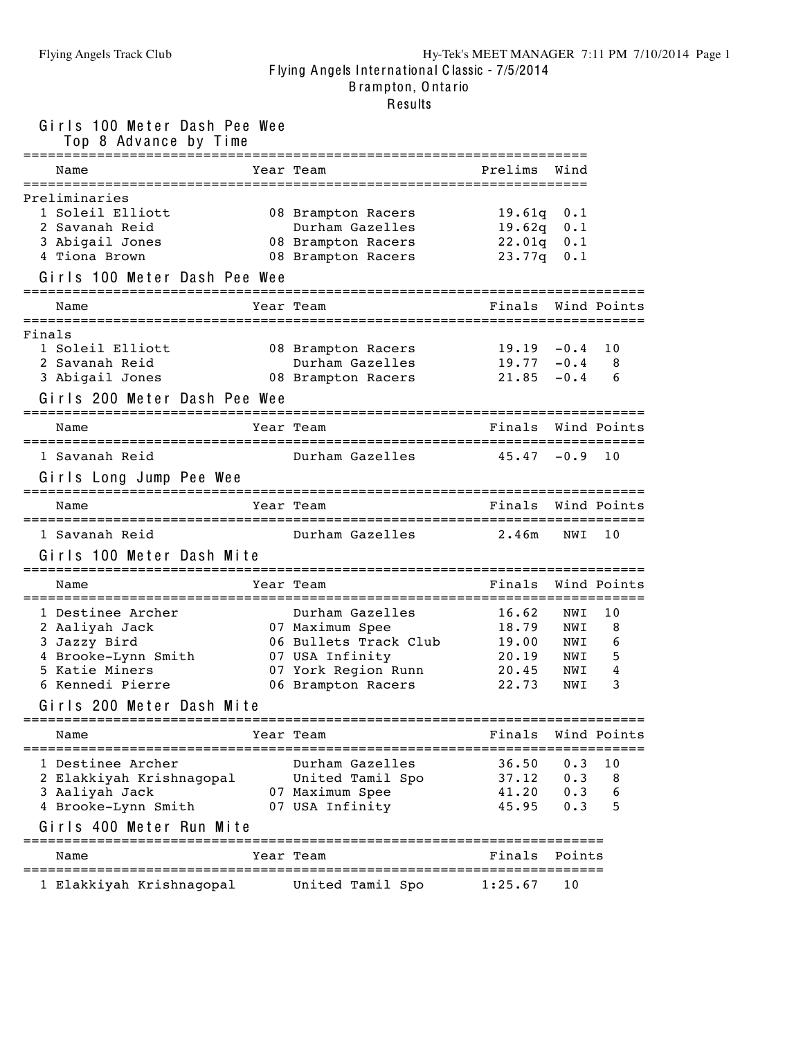### Flying Angels Track Club Hy-Tek's MEET MANAGER 7:11 PM 7/10/2014 Page 1 F lying Angels Inte rna tiona l C lassic - 7/5/2014 B rampton, O nta rio

### Results

Girls 100 Meter Dash Pee Wee

| Top 8 Advance by Time                                                                                              | ============================                                                                                                |                                                          |                                        |                             |
|--------------------------------------------------------------------------------------------------------------------|-----------------------------------------------------------------------------------------------------------------------------|----------------------------------------------------------|----------------------------------------|-----------------------------|
| Name                                                                                                               | Year Team                                                                                                                   | Prelims                                                  | Wind                                   |                             |
| Preliminaries<br>1 Soleil Elliott<br>2 Savanah Reid<br>3 Abigail Jones<br>4 Tiona Brown                            | 08 Brampton Racers<br>Durham Gazelles<br>08 Brampton Racers<br>08 Brampton Racers                                           | $19.61q$ 0.1<br>$19.62q$ 0.1<br>22.01q 0.1<br>23.77q 0.1 |                                        |                             |
| Girls 100 Meter Dash Pee Wee                                                                                       |                                                                                                                             |                                                          |                                        |                             |
| Name                                                                                                               | Year Team                                                                                                                   | Finals                                                   |                                        | Wind Points                 |
| Finals<br>1 Soleil Elliott<br>2 Savanah Reid<br>3 Abigail Jones<br>Girls 200 Meter Dash Pee Wee                    | 08 Brampton Racers<br>Durham Gazelles<br>08 Brampton Racers                                                                 | 19.19<br>19.77<br>21.85                                  | $-0.4$<br>$-0.4$<br>$-0.4$             | 10<br>8<br>6                |
| Name                                                                                                               | Year Team                                                                                                                   | Finals                                                   |                                        | Wind Points                 |
| 1 Savanah Reid<br>Girls Long Jump Pee Wee                                                                          | Durham Gazelles                                                                                                             | $45.47 - 0.9$                                            |                                        | 10                          |
| Name                                                                                                               | Year Team                                                                                                                   | Finals Wind Points                                       |                                        |                             |
| 1 Savanah Reid<br>Girls 100 Meter Dash Mite                                                                        | Durham Gazelles                                                                                                             | 2.46m                                                    | NWI                                    | 10                          |
| Name                                                                                                               | Year Team                                                                                                                   | Finals Wind Points                                       |                                        |                             |
| 1 Destinee Archer<br>2 Aaliyah Jack<br>3 Jazzy Bird<br>4 Brooke-Lynn Smith<br>5 Katie Miners<br>6 Kennedi Pierre   | Durham Gazelles<br>07 Maximum Spee<br>06 Bullets Track Club<br>07 USA Infinity<br>07 York Region Runn<br>06 Brampton Racers | 16.62<br>18.79<br>19.00<br>20.19<br>20.45<br>22.73       | NWI<br>NWI<br>NWI<br>NWI<br>NWI<br>NWI | 10<br>8<br>6<br>5<br>4<br>3 |
| Girls 200 Meter Dash Mite                                                                                          |                                                                                                                             |                                                          |                                        |                             |
| Name                                                                                                               | Year Team                                                                                                                   | Finals                                                   |                                        | Wind Points                 |
| 1 Destinee Archer<br>2 Elakkiyah Krishnagopal<br>3 Aaliyah Jack<br>4 Brooke-Lynn Smith<br>Girls 400 Meter Run Mite | Durham Gazelles<br>United Tamil Spo<br>07 Maximum Spee<br>07 USA Infinity<br>=============<br>======================        | 36.50<br>37.12<br>41.20<br>45.95                         | 0.3<br>0.3<br>0.3<br>0.3               | 10<br>8<br>6<br>5           |
| Name                                                                                                               | Year Team                                                                                                                   | Finals                                                   | Points                                 |                             |
| 1 Elakkiyah Krishnagopal                                                                                           | United Tamil Spo                                                                                                            | 1:25.67                                                  | 10                                     |                             |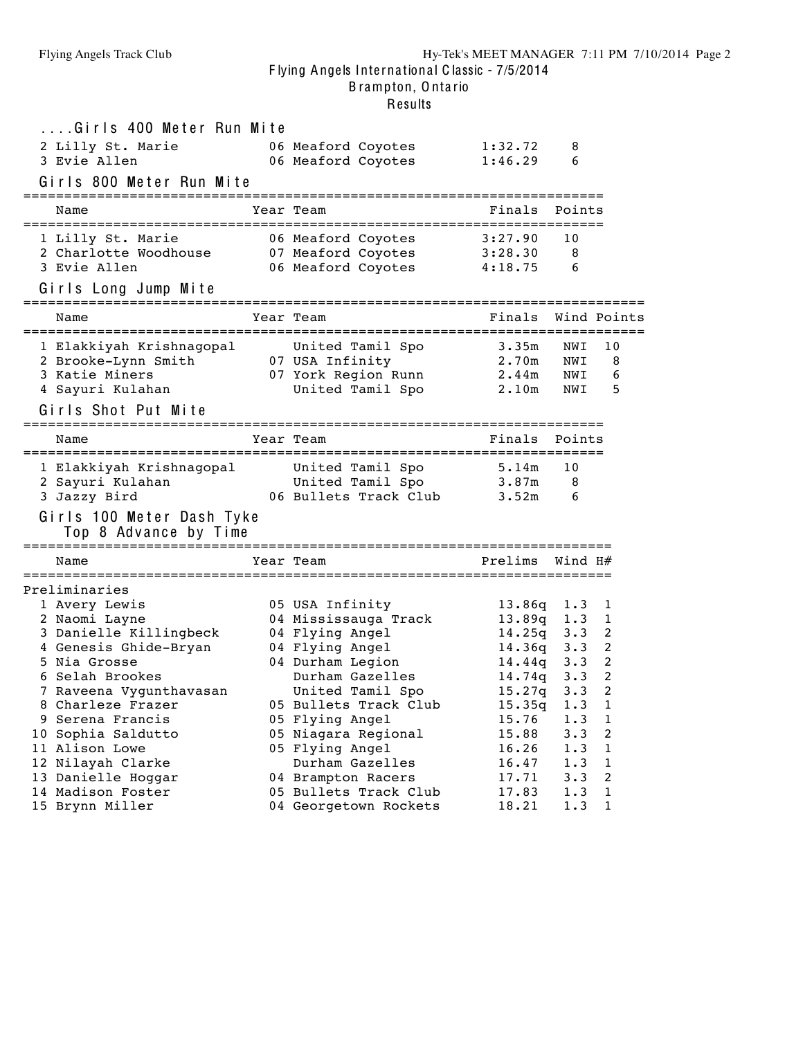| Results |
|---------|
|---------|

| Girls 400 Meter Run Mite                                                                  |                                                    |                  |             |                       |
|-------------------------------------------------------------------------------------------|----------------------------------------------------|------------------|-------------|-----------------------|
| 2 Lilly St. Marie                                                                         | 06 Meaford Coyotes                                 | 1:32.72          | 8           |                       |
| 3 Evie Allen                                                                              | 06 Meaford Coyotes                                 | 1:46.29          | 6           |                       |
| Girls 800 Meter Run Mite                                                                  |                                                    |                  |             |                       |
| Name                                                                                      | Year Team                                          | Finals           | Points      |                       |
| 1 Lilly St. Marie                                                                         | 06 Meaford Coyotes                                 | 3:27.90          | 10          |                       |
| 2 Charlotte Woodhouse                                                                     | 07 Meaford Coyotes                                 | 3:28.30          | 8           |                       |
| 3 Evie Allen                                                                              | 06 Meaford Coyotes                                 | 4:18.75          | 6           |                       |
| Girls Long Jump Mite                                                                      |                                                    |                  |             |                       |
| Name                                                                                      | Year Team                                          | Finals           |             | Wind Points           |
| 1 Elakkiyah Krishnagopal United Tamil Spo                                                 |                                                    | 3.35m            | NWI         | 10                    |
| 2 Brooke-Lynn Smith                                                                       | 07 USA Infinity                                    | 2.70m            | NWI         | 8                     |
| 3 Katie Miners                                                                            | 07 York Region Runn                                | 2.44m            | NWI         | 6                     |
| 4 Sayuri Kulahan                                                                          | United Tamil Spo                                   | 2.10m            | NWI         | 5                     |
| Girls Shot Put Mite<br>=====================================                              | -===============================                   |                  |             |                       |
| Name                                                                                      | Year Team                                          | Finals           | Points      |                       |
| 1 Elakkiyah Krishnagopal                                                                  | United Tamil Spo                                   | 5.14m            | 10          |                       |
| 2 Sayuri Kulahan                                                                          | United Tamil Spo                                   | 3.87m            | 8           |                       |
| 3 Jazzy Bird                                                                              | 06 Bullets Track Club                              | 3.52m            | 6           |                       |
| Girls 100 Meter Dash Tyke<br>Top 8 Advance by Time<br>-================================== |                                                    |                  |             |                       |
| Name                                                                                      | -------------------------------------<br>Year Team | Prelims          | Wind H#     |                       |
| Preliminaries                                                                             |                                                    |                  |             |                       |
| 1 Avery Lewis                                                                             | 05 USA Infinity                                    | $13.86q$ $1.3$   |             | 1                     |
| 2 Naomi Layne                                                                             | 04 Mississauga Track                               | $13.89q$ 1.3     |             | 1                     |
| 3 Danielle Killingbeck                                                                    | 04 Flying Angel                                    | $14.25q$ $3.3$   |             | 2                     |
| 4 Genesis Ghide-Bryan                                                                     | 04 Flying Angel                                    | $14.36q$ $3.3$   |             | 2                     |
| 5 Nia Grosse                                                                              | 04 Durham Legion                                   | $14.44q$ 3.3     |             | 2                     |
| 6 Selah Brookes<br>7 Raveena Vygunthavasan                                                | Durham Gazelles                                    | 14.74q 3.3       | $3 \cdot 3$ | 2<br>$\boldsymbol{2}$ |
| 8 Charleze Frazer                                                                         | United Tamil Spo<br>05 Bullets Track Club          | 15.27q<br>15.35q | 1.3         | 1                     |
| 9 Serena Francis                                                                          | 05 Flying Angel                                    | 15.76            | 1.3         | 1                     |
| 10 Sophia Saldutto                                                                        | 05 Niagara Regional                                | 15.88            | 3.3         | 2                     |
| 11 Alison Lowe                                                                            | 05 Flying Angel                                    | 16.26            | 1.3         | 1                     |
| 12 Nilayah Clarke                                                                         | Durham Gazelles                                    | 16.47            | 1.3         | 1                     |
| 13 Danielle Hoggar                                                                        | 04 Brampton Racers                                 | 17.71            | 3.3         | 2                     |
| 14 Madison Foster                                                                         | 05 Bullets Track Club                              | 17.83            | 1.3         | 1                     |
| 15 Brynn Miller                                                                           | 04 Georgetown Rockets                              | 18.21            | 1.3         | 1                     |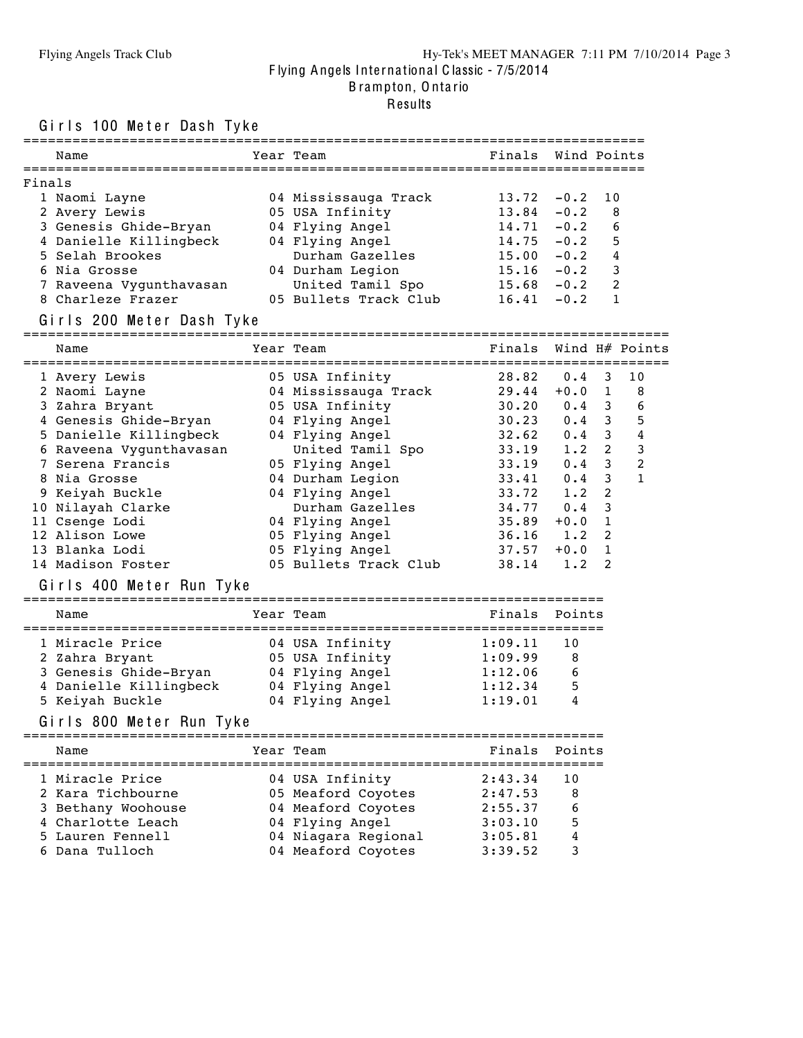### Flying Angels Track Club Hy-Tek's MEET MANAGER 7:11 PM 7/10/2014 Page 3 F lying Angels Inte rna tiona l C lassic - 7/5/2014 B rampton, O nta rio

# Results

Girls 100 Meter Dash Tyke

| Name                                                                                                                                                                                                                              | Year Team                                            |             | Finals Wind Points               |                  |
|-----------------------------------------------------------------------------------------------------------------------------------------------------------------------------------------------------------------------------------|------------------------------------------------------|-------------|----------------------------------|------------------|
| Finals                                                                                                                                                                                                                            |                                                      |             |                                  |                  |
| 1 Naomi Layne                                                                                                                                                                                                                     | 04 Mississauga Track                                 | 13.72       | $-0.2$<br>10                     |                  |
| 2 Avery Lewis                                                                                                                                                                                                                     | 05 USA Infinity                                      | 13.84       | $-0.2$<br>8                      |                  |
| 3 Genesis Ghide-Bryan b 04 Flying Angel                                                                                                                                                                                           |                                                      | 14.71       | $-0.2$<br>-6                     |                  |
| 4 Danielle Killingbeck                                                                                                                                                                                                            | 04 Flying Angel                                      | 14.75       | $5^{\circ}$<br>$-0.2$            |                  |
| 5 Selah Brookes                                                                                                                                                                                                                   | Durham Gazelles                                      |             | $15.00 -0.2 4$<br>$15.16 -0.2 3$ |                  |
| 6 Nia Grosse                                                                                                                                                                                                                      | 04 Durham Legion                                     |             |                                  |                  |
| 7 Raveena Vygunthavasan                                                                                                                                                                                                           | United Tamil Spo 15.68                               |             | $-0.2$ 2                         |                  |
| 8 Charleze Frazer                                                                                                                                                                                                                 | 05 Bullets Track Club 16.41                          |             | $-0.2$<br>1                      |                  |
| Girls 200 Meter Dash Tyke                                                                                                                                                                                                         |                                                      |             |                                  |                  |
| Name                                                                                                                                                                                                                              | Year Team                                            |             | Finals Wind H# Points            |                  |
|                                                                                                                                                                                                                                   |                                                      |             |                                  | 10               |
|                                                                                                                                                                                                                                   |                                                      |             |                                  | 8                |
|                                                                                                                                                                                                                                   |                                                      |             |                                  | 6                |
|                                                                                                                                                                                                                                   |                                                      |             |                                  | 5                |
|                                                                                                                                                                                                                                   |                                                      |             |                                  | 4                |
| 6 Raveena Vygunthavasan                                                                                                                                                                                                           | United Tamil Spo 33.19 1.2 2                         |             |                                  | 3                |
| 7 Serena Francis                                                                                                                                                                                                                  | 05 Flying Angel                                      | $33.19$ 0.4 | 3                                | $\boldsymbol{2}$ |
| 8 Nia Grosse                                                                                                                                                                                                                      | 04 Durham Legion                                     | $33.41$ 0.4 | 3                                | $\mathbf{1}$     |
| 9 Keiyah Buckle                                                                                                                                                                                                                   | 04 Flying Angel                                      | $33.72$ 1.2 | $\overline{2}$                   |                  |
| 10 Nilayah Clarke                                                                                                                                                                                                                 | Durham Gazelles 34.77 0.4<br>Flying Angel 35.89 +0.0 |             | $\mathbf{3}$                     |                  |
| 11 Csenge Lodi<br>12 Alison Lowe                                                                                                                                                                                                  | 04 Flying Angel<br>05 Flying Angel 36.16 1.2         |             | 1<br>2                           |                  |
| 13 Blanka Lodi                                                                                                                                                                                                                    | 05 Flying Angel                                      | 37.57       | $+0.0$<br>$\mathbf{1}$           |                  |
| 14 Madison Foster                                                                                                                                                                                                                 | 05 Bullets Track Club                                |             | $38.14$ 1.2<br>2                 |                  |
| Girls 400 Meter Run Tyke                                                                                                                                                                                                          |                                                      |             |                                  |                  |
| Name                                                                                                                                                                                                                              | Year Team                                            | Finals      | Points                           |                  |
|                                                                                                                                                                                                                                   |                                                      |             |                                  |                  |
|                                                                                                                                                                                                                                   |                                                      |             | 10                               |                  |
|                                                                                                                                                                                                                                   |                                                      |             | 8                                |                  |
|                                                                                                                                                                                                                                   |                                                      |             | 6                                |                  |
|                                                                                                                                                                                                                                   |                                                      |             | 5                                |                  |
| 1 Miracle Price 04 USA Infinity 1:09.11 1<br>2 Zahra Bryant 05 USA Infinity 1:09.99<br>3 Genesis Ghide-Bryan 04 Flying Angel 1:12.06<br>4 Danielle Killingbeck 04 Flying Angel 1:12.34<br>5 Keiyah Buckle 04 Flying Angel 1:19.01 |                                                      |             | 4                                |                  |
| Girls 800 Meter Run Tyke                                                                                                                                                                                                          |                                                      |             |                                  |                  |
| Name                                                                                                                                                                                                                              | Year Team                                            | Finals      | Points                           |                  |
| 1 Miracle Price                                                                                                                                                                                                                   | 04 USA Infinity                                      | 2:43.34     | 10                               |                  |
| 2 Kara Tichbourne                                                                                                                                                                                                                 | 05 Meaford Coyotes                                   | 2:47.53     | 8                                |                  |
| 3 Bethany Woohouse                                                                                                                                                                                                                | 04 Meaford Coyotes                                   | 2:55.37     | 6                                |                  |
| 4 Charlotte Leach                                                                                                                                                                                                                 | 04 Flying Angel                                      | 3:03.10     | 5                                |                  |
| 5 Lauren Fennell                                                                                                                                                                                                                  | 04 Niagara Regional                                  | 3:05.81     | 4                                |                  |
| 6 Dana Tulloch                                                                                                                                                                                                                    | 04 Meaford Coyotes                                   | 3:39.52     | 3                                |                  |
|                                                                                                                                                                                                                                   |                                                      |             |                                  |                  |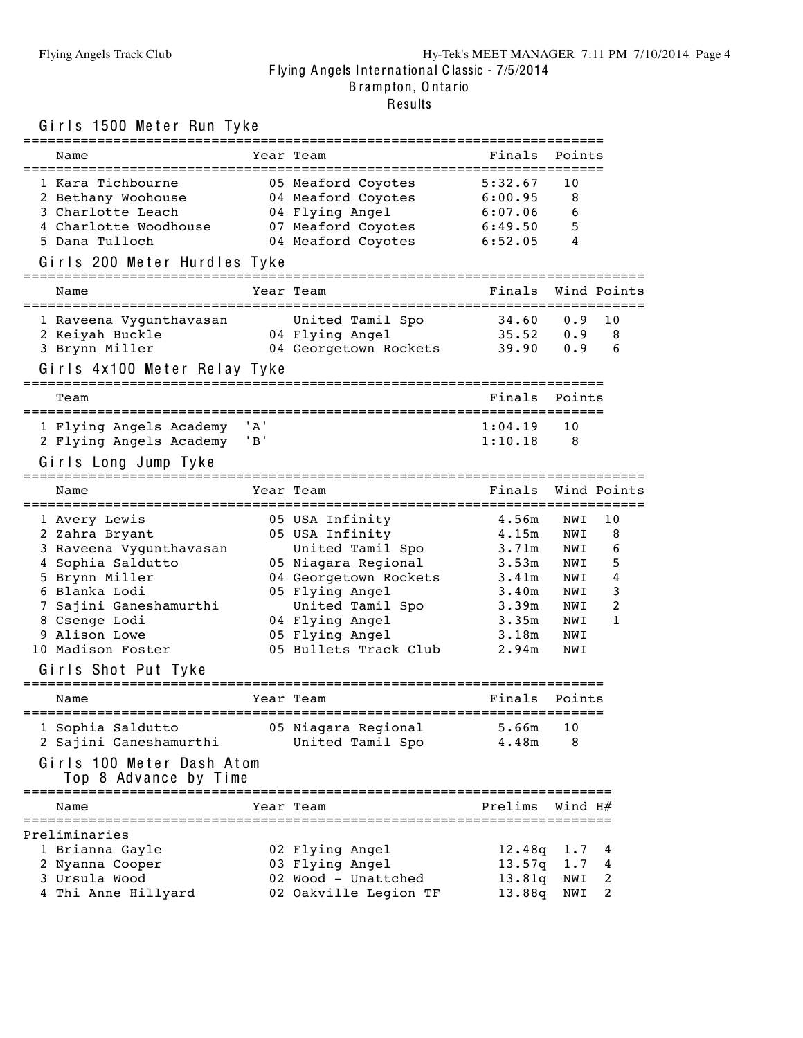### Flying Angels Track Club Hy-Tek's MEET MANAGER 7:11 PM 7/10/2014 Page 4 F lying Angels Inte rna tiona l C lassic - 7/5/2014 B rampton, O nta rio Results

### Girls 1500 Meter Run Tyke

| ============================                                                                                                                                                                                               |                            | ======================                                                                                                                                                                                       |                                                                                        |                                                                    |                                       |
|----------------------------------------------------------------------------------------------------------------------------------------------------------------------------------------------------------------------------|----------------------------|--------------------------------------------------------------------------------------------------------------------------------------------------------------------------------------------------------------|----------------------------------------------------------------------------------------|--------------------------------------------------------------------|---------------------------------------|
| Name                                                                                                                                                                                                                       |                            | Year Team                                                                                                                                                                                                    | Finals                                                                                 | Points                                                             |                                       |
| 1 Kara Tichbourne<br>2 Bethany Woohouse<br>3 Charlotte Leach<br>4 Charlotte Woodhouse<br>5 Dana Tulloch                                                                                                                    |                            | 05 Meaford Coyotes<br>04 Meaford Coyotes<br>04 Flying Angel<br>07 Meaford Coyotes<br>04 Meaford Coyotes                                                                                                      | 5:32.67<br>6:00.95<br>6:07.06<br>6:49.50<br>6:52.05                                    | 10<br>8<br>6<br>5<br>4                                             |                                       |
| Girls 200 Meter Hurdles Tyke                                                                                                                                                                                               |                            | --------------------                                                                                                                                                                                         |                                                                                        |                                                                    |                                       |
| Name                                                                                                                                                                                                                       |                            | Year Team<br>==============<br>===========================                                                                                                                                                   | Finals                                                                                 |                                                                    | Wind Points                           |
| 1 Raveena Vygunthavasan<br>2 Keiyah Buckle<br>3 Brynn Miller<br>Girls 4x100 Meter Relay Tyke                                                                                                                               |                            | United Tamil Spo<br>04 Flying Angel<br>04 Georgetown Ro<br>04 Georgetown Rockets 39.90                                                                                                                       | 34.60<br>35.52                                                                         | 0.9<br>0.9<br>0.9                                                  | 10<br>8<br>6                          |
| Team                                                                                                                                                                                                                       |                            |                                                                                                                                                                                                              | Finals                                                                                 | Points                                                             |                                       |
| 1 Flying Angels Academy<br>2 Flying Angels Academy<br>Girls Long Jump Tyke                                                                                                                                                 | ' A '<br>$\cdot$ B $\cdot$ |                                                                                                                                                                                                              | 1:04.19<br>1:10.18                                                                     | 10<br>8                                                            |                                       |
| Name                                                                                                                                                                                                                       |                            | Year Team                                                                                                                                                                                                    | Finals                                                                                 |                                                                    | Wind Points                           |
| 1 Avery Lewis<br>2 Zahra Bryant<br>3 Raveena Vygunthavasan<br>4 Sophia Saldutto<br>5 Brynn Miller<br>6 Blanka Lodi<br>7 Sajini Ganeshamurthi<br>8 Csenge Lodi<br>9 Alison Lowe<br>10 Madison Foster<br>Girls Shot Put Tyke |                            | 05 USA Infinity<br>05 USA Infinity<br>United Tamil Spo<br>05 Niagara Regional<br>04 Georgetown Rockets<br>05 Flying Angel<br>United Tamil Spo<br>04 Flying Angel<br>05 Flying Angel<br>05 Bullets Track Club | 4.56m<br>4.15m<br>3.71m<br>3.53m<br>3.41m<br>3.40m<br>3.39m<br>3.35m<br>3.18m<br>2.94m | NWI<br>NWI<br>NWI<br>NWI<br>NWI<br>NWI<br>NWI<br>NWI<br>NWI<br>NWI | 10<br>8<br>6<br>5<br>4<br>3<br>2<br>1 |
| Name                                                                                                                                                                                                                       |                            | Year Team                                                                                                                                                                                                    | Finals                                                                                 | Points                                                             |                                       |
| 1 Sophia Saldutto<br>2 Sajini Ganeshamurthi<br>Girls 100 Meter Dash Atom<br>Top 8 Advance by Time<br>============                                                                                                          |                            | 05 Niagara Regional<br>United Tamil Spo<br>===========================                                                                                                                                       | 5.66m<br>4.48m                                                                         | 10<br>8                                                            |                                       |
| Name                                                                                                                                                                                                                       |                            | Year Team                                                                                                                                                                                                    | Prelims                                                                                | Wind H#                                                            |                                       |
| Preliminaries<br>1 Brianna Gayle<br>2 Nyanna Cooper<br>3 Ursula Wood<br>4 Thi Anne Hillyard                                                                                                                                |                            | 02 Flying Angel<br>03 Flying Angel<br>02 Wood - Unattched<br>02 Oakville Legion TF                                                                                                                           | 12.48q<br>13.57q<br>13.81q<br>13.88q                                                   | 1.7<br>1.7<br>NWI<br>NWI                                           | 4<br>4<br>2<br>2                      |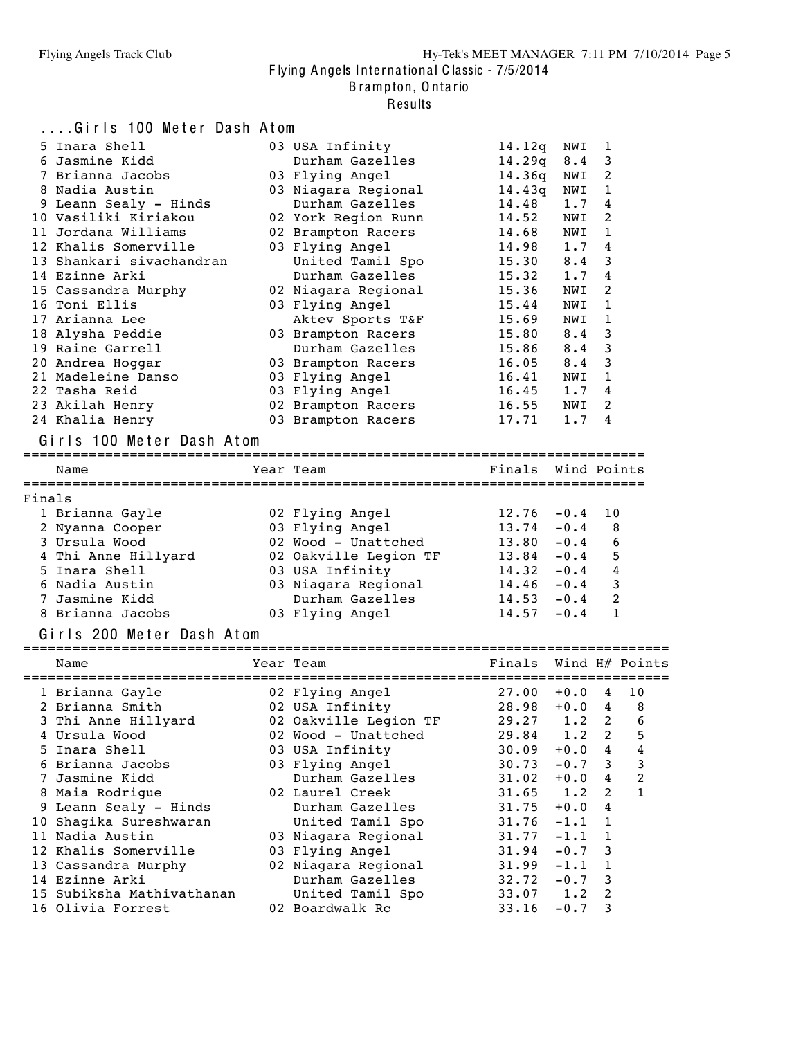#### B rampton, O nta rio

|        | Girls 100 Meter Dash Atom       |                                        |                       |                                                                    |                |             |
|--------|---------------------------------|----------------------------------------|-----------------------|--------------------------------------------------------------------|----------------|-------------|
|        | 5 Inara Shell                   | 03 USA Infinity                        | 14.12q                | NWI                                                                | 1              |             |
|        | 6 Jasmine Kidd                  | Durham Gazelles                        | 14.29q                | 8.4                                                                | 3              |             |
|        | 7 Brianna Jacobs                | 03 Flying Angel                        | 14.36q                | NWI                                                                | $\overline{c}$ |             |
|        | 8 Nadia Austin                  | 03 Niagara Regional                    | 14.43q                | NWI                                                                | 1              |             |
|        | 9 Leann Sealy - Hinds           | Durham Gazelles                        | 14.48                 | 1.7                                                                | 4              |             |
|        | 10 Vasiliki Kiriakou            | 02 York Region Runn                    | 14.52                 | NWI                                                                | 2              |             |
|        | 11 Jordana Williams             | 02 Brampton Racers                     | 14.68                 | NWI                                                                | 1              |             |
|        | 12 Khalis Somerville            | 03 Flying Angel                        | 14.98                 | 1.7                                                                | 4              |             |
|        | 13 Shankari sivachandran        | United Tamil Spo                       | 15.30                 | 8.4                                                                | 3              |             |
|        | 14 Ezinne Arki                  | Durham Gazelles                        | 15.32                 | 1.7                                                                | 4              |             |
|        | 15 Cassandra Murphy             | 02 Niagara Regional                    | 15.36                 | NWI                                                                | 2              |             |
|        | 16 Toni Ellis                   | 03 Flying Angel                        | 15.44                 | NWI                                                                | 1              |             |
|        | 17 Arianna Lee                  | Aktev Sports T&F                       | 15.69                 | NWI                                                                | 1              |             |
|        | 18 Alysha Peddie                | 03 Brampton Racers                     | 15.80                 | 8.4                                                                | 3              |             |
|        | 19 Raine Garrell                | Durham Gazelles                        | 15.86                 | 8.4                                                                | 3              |             |
|        | 20 Andrea Hoggar                | 03 Brampton Racers                     | 16.05                 | 8.4                                                                | 3              |             |
|        | 21 Madeleine Danso              | 03 Flying Angel                        | 16.41                 | NWI                                                                | 1              |             |
|        | 22 Tasha Reid                   | 03 Flying Angel                        | 16.45                 | 1.7                                                                | 4              |             |
|        | 23 Akilah Henry                 | 02 Brampton Racers                     | 16.55                 | NWI                                                                | 2              |             |
|        | 24 Khalia Henry                 | 03 Brampton Racers                     | 17.71                 | 1.7                                                                | $\overline{4}$ |             |
|        | Girls 100 Meter Dash Atom       |                                        |                       |                                                                    |                |             |
|        |                                 |                                        |                       |                                                                    |                |             |
|        | Name                            | Year Team                              | Finals Wind Points    |                                                                    |                |             |
|        |                                 |                                        |                       |                                                                    |                |             |
| Finals |                                 |                                        |                       |                                                                    |                |             |
|        | 1 Brianna Gayle                 | 02 Flying Angel                        | 12.76                 | $-0.4$                                                             | 10             |             |
|        | 2 Nyanna Cooper                 | 03 Flying Angel                        | 13.74                 | $-0.4$                                                             | 8              |             |
|        | 3 Ursula Wood                   | 02 Wood - Unattched                    | 13.80                 | $-0.4$                                                             | 6              |             |
|        | 4 Thi Anne Hillyard             | 02 Oakville Legion TF                  | 13.84                 | $-0.4$                                                             | 5              |             |
|        | 5 Inara Shell<br>6 Nadia Austin | 03 USA Infinity                        | 14.32<br>14.46        | $-0.4$                                                             | 4<br>3         |             |
|        | 7 Jasmine Kidd                  | 03 Niagara Regional<br>Durham Gazelles | 14.53                 | $-0.4$                                                             | 2              |             |
|        | 8 Brianna Jacobs                |                                        | 14.57                 | $-0.4$                                                             | 1              |             |
|        |                                 | 03 Flying Angel                        |                       | $-0.4$                                                             |                |             |
|        | Girls 200 Meter Dash Atom       |                                        |                       |                                                                    |                |             |
|        | Name                            | Year Team                              | Finals Wind H# Points |                                                                    |                |             |
|        |                                 |                                        |                       |                                                                    |                |             |
|        | 1 Brianna Gayle                 | 02 Flying Angel                        | 27.00                 | $+0.0$                                                             | 4              | 10          |
|        | 2 Brianna Smith                 | 02 USA Infinity                        | $28.98 + 0.0$         |                                                                    |                | $4 \quad 8$ |
|        | 3 Thi Anne Hillyard             | 02 Oakville Legion TF                  | 29.27                 | 1.2                                                                | 2              | 6           |
|        | 4 Ursula Wood                   | 02 Wood - Unattched                    | 29.84                 | 1.2                                                                | 2              | 5           |
|        | 5 Inara Shell                   | 03 USA Infinity                        | 30.09                 | $+0.0$                                                             | 4              | 4           |
|        | 6 Brianna Jacobs                | 03 Flying Angel                        | 30.73                 | $-0.7$                                                             | 3              | 3           |
|        | 7 Jasmine Kidd                  | Durham Gazelles                        | 31.02                 | $+0.0$                                                             | 4              | 2           |
|        | 8 Maia Rodrigue                 | 02 Laurel Creek                        | 31.65                 | 1.2                                                                | 2              | 1           |
|        | 9 Leann Sealy - Hinds           | Durham Gazelles                        | 31.75                 | $+0.0$                                                             | 4              |             |
|        | 10 Shagika Sureshwaran          | United Tamil Spo                       | 31.76                 | $-1.1$                                                             | 1              |             |
|        | 11 Nadia Austin                 | 03 Niagara Regional                    | 31.77                 | $-1.1$                                                             | 1              |             |
|        | 12 Khalis Somerville            | 03 Flying Angel                        | 31.94                 | $-0.7$                                                             | 3              |             |
|        | 13 Cassandra Murphy             | 02 Niagara Regional                    | 31.99                 | $-1.1$                                                             | 1              |             |
|        | 14 Ezinne Arki                  | Durham Gazelles                        | 32.72                 | $-0.7$                                                             | 3              |             |
|        | 15 Subiksha Mathivathanan       | United Tamil Spo                       | 33.07                 | 1.2                                                                | 2              |             |
|        | 16 Olivia Forrest               | 02 Boardwalk Rc                        | 33.16                 | $\mathord{\hspace{1pt}\text{--}\hspace{1pt}}\mathord{\circ}$ 0 . 7 | 3              |             |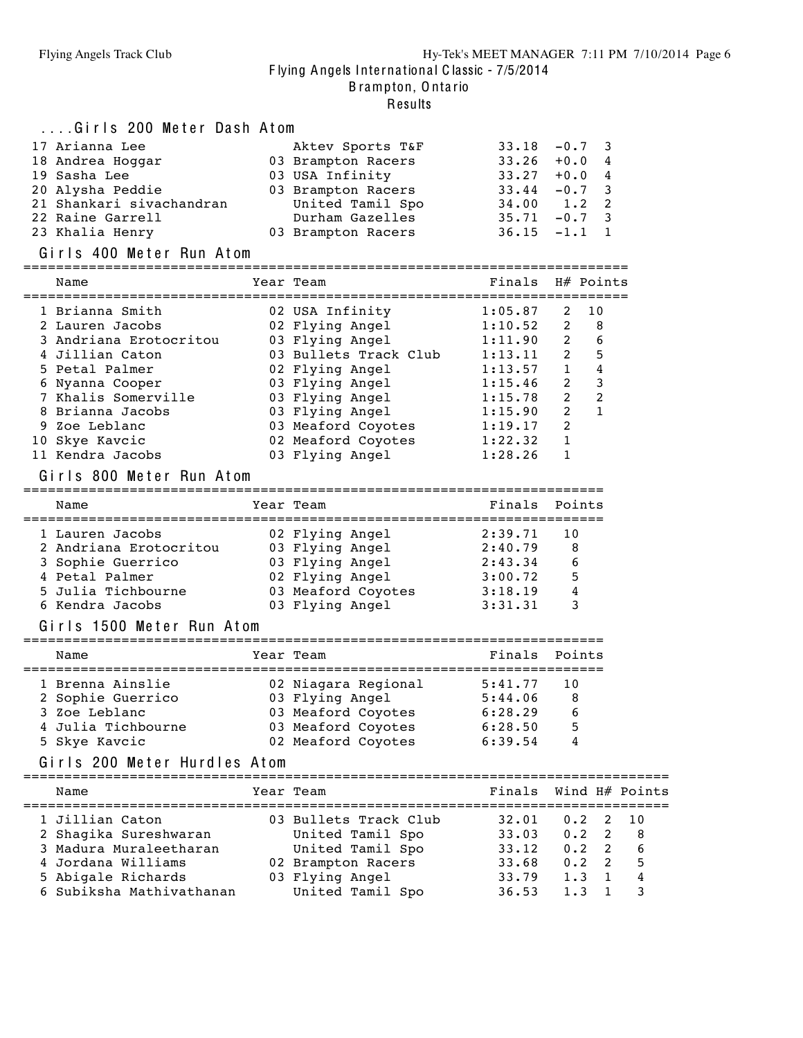#### Results

| Girls 200 Meter Dash Atom |                    |                     |  |
|---------------------------|--------------------|---------------------|--|
| 17 Arianna Lee            | Aktev Sports T&F   | $33.18 - 0.7$ 3     |  |
| 18 Andrea Hoggar          | 03 Brampton Racers | $33.26 + 0.04$      |  |
| 19 Sasha Lee              | 03 USA Infinity    | $33.27 + 0.04$      |  |
| 20 Alysha Peddie          | 03 Brampton Racers | $33.44 - 0.7$ 3     |  |
| 21 Shankari sivachandran  | United Tamil Spo   | $34.00 \t 1.2 \t 2$ |  |
| 22 Raine Garrell          | Durham Gazelles    | $35.71 - 0.7$ 3     |  |
| 23 Khalia Henry           | 03 Brampton Racers | $36.15 -1.1 1$      |  |

#### Girls 400 Meter Run Atom

| Name                   |  |  | Finals                                                                                                                                                                                                                                 |                | H# Points      |  |  |  |  |
|------------------------|--|--|----------------------------------------------------------------------------------------------------------------------------------------------------------------------------------------------------------------------------------------|----------------|----------------|--|--|--|--|
| 1 Brianna Smith        |  |  | 1:05.87                                                                                                                                                                                                                                | 2              | - 10           |  |  |  |  |
| 2 Lauren Jacobs        |  |  | 1:10.52                                                                                                                                                                                                                                | $\overline{2}$ | - 8            |  |  |  |  |
| 3 Andriana Erotocritou |  |  | 1:11.90                                                                                                                                                                                                                                | $\overline{2}$ | 6              |  |  |  |  |
| 4 Jillian Caton        |  |  | 1:13.11                                                                                                                                                                                                                                | $\overline{2}$ | 5              |  |  |  |  |
| 5 Petal Palmer         |  |  | 1:13.57                                                                                                                                                                                                                                | $\mathbf{1}$   | 4              |  |  |  |  |
| 6 Nyanna Cooper        |  |  | 1:15.46                                                                                                                                                                                                                                | $\overline{2}$ | 3              |  |  |  |  |
| 7 Khalis Somerville    |  |  | 1:15.78                                                                                                                                                                                                                                | $\overline{2}$ | $\mathfrak{D}$ |  |  |  |  |
| 8 Brianna Jacobs       |  |  | 1:15.90                                                                                                                                                                                                                                | $\mathcal{L}$  |                |  |  |  |  |
| 9 Zoe Leblanc          |  |  | 1:19.17                                                                                                                                                                                                                                | $\mathfrak{D}$ |                |  |  |  |  |
| 10 Skye Kavcic         |  |  | 1:22.32                                                                                                                                                                                                                                |                |                |  |  |  |  |
| 11 Kendra Jacobs       |  |  | 1:28.26                                                                                                                                                                                                                                |                |                |  |  |  |  |
|                        |  |  | Year Team<br>02 USA Infinity<br>02 Flying Angel<br>03 Flying Angel<br>03 Bullets Track Club<br>02 Flying Angel<br>03 Flying Angel<br>03 Flying Angel<br>03 Flying Angel<br>03 Meaford Coyotes<br>02 Meaford Coyotes<br>03 Flying Angel |                |                |  |  |  |  |

#### Girls 800 Meter Run Atom

| Name                                                                                                   | Year Team                                                                                      | Finals Points                                       |                        |
|--------------------------------------------------------------------------------------------------------|------------------------------------------------------------------------------------------------|-----------------------------------------------------|------------------------|
| 1 Lauren Jacobs<br>2 Andriana Erotocritou<br>3 Sophie Guerrico<br>4 Petal Palmer<br>5 Julia Tichbourne | 02 Flying Angel<br>03 Flying Angel<br>03 Flying Angel<br>02 Flying Angel<br>03 Meaford Coyotes | 2:39.71<br>2:40.79<br>2:43.34<br>3:00.72<br>3:18.19 | 10<br>8<br>6<br>5<br>4 |
| 6 Kendra Jacobs                                                                                        | 03 Flying Angel                                                                                | 3:31.31                                             | ર                      |

#### Girls 1500 Meter Run Atom

| Name               |  | Year Team           | Finals Points |    |  |  |  |  |  |  |  |  |
|--------------------|--|---------------------|---------------|----|--|--|--|--|--|--|--|--|
| 1 Brenna Ainslie   |  | 02 Niagara Regional | 5:41.77       | 10 |  |  |  |  |  |  |  |  |
| 2 Sophie Guerrico  |  | 03 Flying Angel     | 5:44.06       | -8 |  |  |  |  |  |  |  |  |
| 3 Zoe Leblanc      |  | 03 Meaford Coyotes  | 6:28.29       | 6  |  |  |  |  |  |  |  |  |
| 4 Julia Tichbourne |  | 03 Meaford Coyotes  | 6:28.50       | 5  |  |  |  |  |  |  |  |  |
| 5 Skye Kavcic      |  | 02 Meaford Coyotes  | 6:39.54       | 4  |  |  |  |  |  |  |  |  |

#### Girls 200 Meter Hurdles Atom

| Name                     | Year Team             | Finals Wind H# Points |               |     |
|--------------------------|-----------------------|-----------------------|---------------|-----|
| 1 Jillian Caton          | 03 Bullets Track Club | 32.01                 | $0.2$ 2 10    |     |
| 2 Shaqika Sureshwaran    | United Tamil Spo      | 33.03                 | $0.2 \quad 2$ | - 8 |
| 3 Madura Muraleetharan   | United Tamil Spo      | 33.12                 | $0.2 \quad 2$ | - 6 |
| 4 Jordana Williams       | 02 Brampton Racers    | 33.68                 | $0.2 \quad 2$ | - 5 |
| 5 Abigale Richards       | 03 Flying Angel       | 33.79                 | $1.3 \quad 1$ | 4   |
| 6 Subiksha Mathivathanan | United Tamil Spo      | 36.53                 | 1.3           |     |
|                          |                       |                       |               |     |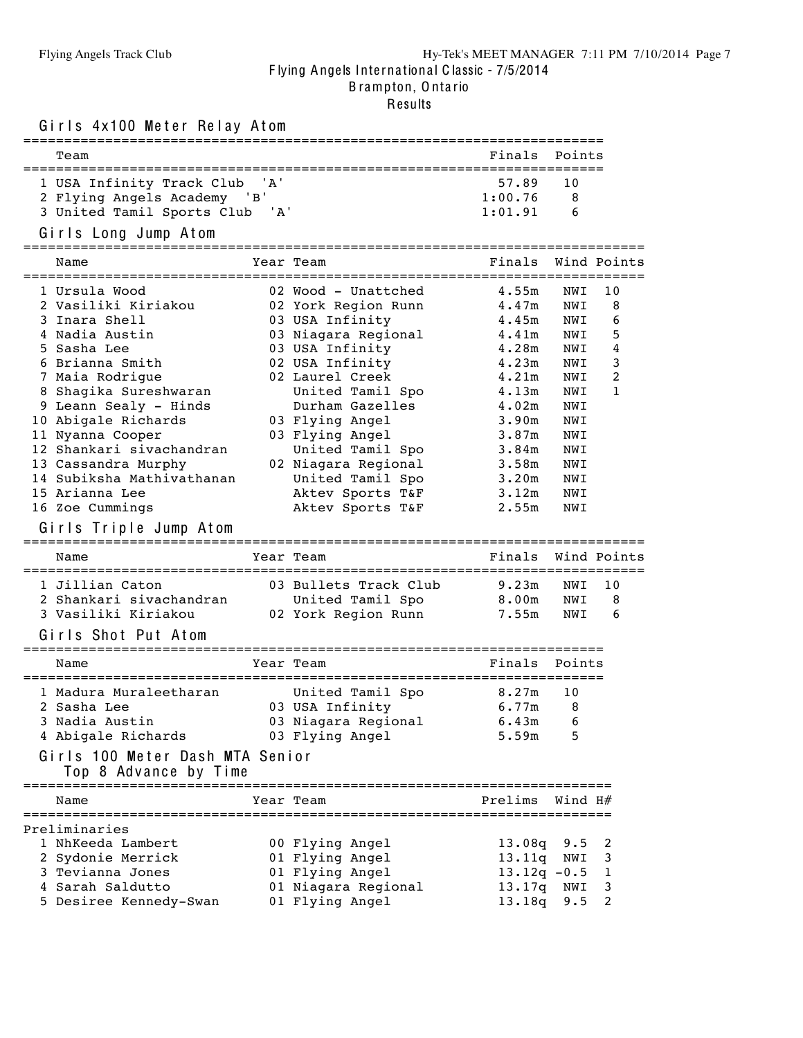.<br>Results

Girls 4x100 Meter Relay Atom

| Team                                                                                                                                                                                                                                                                                                                                                                     |                                                                                                                                                                                                                                                                                                                                   | Finals                                                                                                                                                   | Points                                                                                                       |                                       |
|--------------------------------------------------------------------------------------------------------------------------------------------------------------------------------------------------------------------------------------------------------------------------------------------------------------------------------------------------------------------------|-----------------------------------------------------------------------------------------------------------------------------------------------------------------------------------------------------------------------------------------------------------------------------------------------------------------------------------|----------------------------------------------------------------------------------------------------------------------------------------------------------|--------------------------------------------------------------------------------------------------------------|---------------------------------------|
| 1 USA Infinity Track Club 'A'<br>2 Flying Angels Academy 'B'<br>3 United Tamil Sports Club 'A'                                                                                                                                                                                                                                                                           |                                                                                                                                                                                                                                                                                                                                   | 57.89<br>1:00.76<br>1:01.91                                                                                                                              | 10<br>8<br>6                                                                                                 |                                       |
| Girls Long Jump Atom                                                                                                                                                                                                                                                                                                                                                     |                                                                                                                                                                                                                                                                                                                                   |                                                                                                                                                          |                                                                                                              |                                       |
| Name                                                                                                                                                                                                                                                                                                                                                                     | Year Team                                                                                                                                                                                                                                                                                                                         | Finals                                                                                                                                                   |                                                                                                              | Wind Points                           |
| 1 Ursula Wood<br>2 Vasiliki Kiriakou<br>3 Inara Shell<br>4 Nadia Austin<br>5 Sasha Lee<br>6 Brianna Smith<br>7 Maia Rodrigue<br>8 Shagika Sureshwaran<br>9 Leann Sealy - Hinds<br>10 Abigale Richards<br>11 Nyanna Cooper<br>12 Shankari sivachandran<br>13 Cassandra Murphy<br>14 Subiksha Mathivathanan<br>15 Arianna Lee<br>16 Zoe Cummings<br>Girls Triple Jump Atom | 02 Wood - Unattched<br>02 York Region Runn<br>03 USA Infinity<br>03 Niagara Regional<br>03 USA Infinity<br>02 USA Infinity<br>02 Laurel Creek<br>United Tamil Spo<br>Durham Gazelles<br>03 Flying Angel<br>03 Flying Angel<br>United Tamil Spo<br>02 Niagara Regional<br>United Tamil Spo<br>Aktev Sports T&F<br>Aktev Sports T&F | 4.55m<br>4.47m<br>4.45m<br>4.41m<br>4.28m<br>4.23m<br>4.21m<br>4.13m<br>4.02m<br>3.90m<br>3.87m<br>3.84 <sub>m</sub><br>3.58m<br>3.20m<br>3.12m<br>2.55m | NWI<br>NWI<br>NWI<br>NWI<br>NWI<br>NWI<br>NWI<br>NWI<br>NWI<br>NWI<br>NWI<br>NWI<br>NWI<br>NWI<br>NWI<br>NWI | 10<br>8<br>6<br>5<br>4<br>3<br>2<br>1 |
| --------------------------------------<br>Name                                                                                                                                                                                                                                                                                                                           | ==============================<br>Year Team                                                                                                                                                                                                                                                                                       | Finals                                                                                                                                                   |                                                                                                              | Wind Points                           |
| 1 Jillian Caton<br>2 Shankari sivachandran<br>3 Vasiliki Kiriakou<br>Girls Shot Put Atom                                                                                                                                                                                                                                                                                 | 03 Bullets Track Club<br>United Tamil Spo<br>02 York Region Runn                                                                                                                                                                                                                                                                  | 9.23m<br>8.00m<br>7.55m                                                                                                                                  | NWI<br>NWI<br>NWI                                                                                            | 10<br>8<br>6                          |
| Name                                                                                                                                                                                                                                                                                                                                                                     | Year Team                                                                                                                                                                                                                                                                                                                         | Finals                                                                                                                                                   | Points                                                                                                       |                                       |
| 1 Madura Muraleetharan<br>2 Sasha Lee<br>3 Nadia Austin<br>4 Abigale Richards<br>Girls 100 Meter Dash MTA Senior<br>Top 8 Advance by Time<br>-------------------------------                                                                                                                                                                                             | United Tamil Spo<br>03 USA Infinity<br>03 Niagara Regional 6.43m<br>03 Flying Angel                                                                                                                                                                                                                                               | 8.27m<br>6.77m<br>5.59m                                                                                                                                  | 10<br>8<br>$6\overline{6}$<br>5                                                                              |                                       |
| Name                                                                                                                                                                                                                                                                                                                                                                     | Year Team                                                                                                                                                                                                                                                                                                                         | Prelims                                                                                                                                                  | Wind H#                                                                                                      |                                       |
| Preliminaries<br>1 NhKeeda Lambert<br>2 Sydonie Merrick<br>3 Tevianna Jones<br>4 Sarah Saldutto<br>5 Desiree Kennedy-Swan                                                                                                                                                                                                                                                | 00 Flying Angel<br>01 Flying Angel<br>01 Flying Angel<br>01 Niagara Regional<br>01 Flying Angel                                                                                                                                                                                                                                   | 13.08q<br>13.11q<br>$13.12q - 0.5$<br>13.17q<br>13.18q                                                                                                   | 9.5<br>NWI<br>NWI<br>9.5                                                                                     | 2<br>3<br>1<br>3<br>2                 |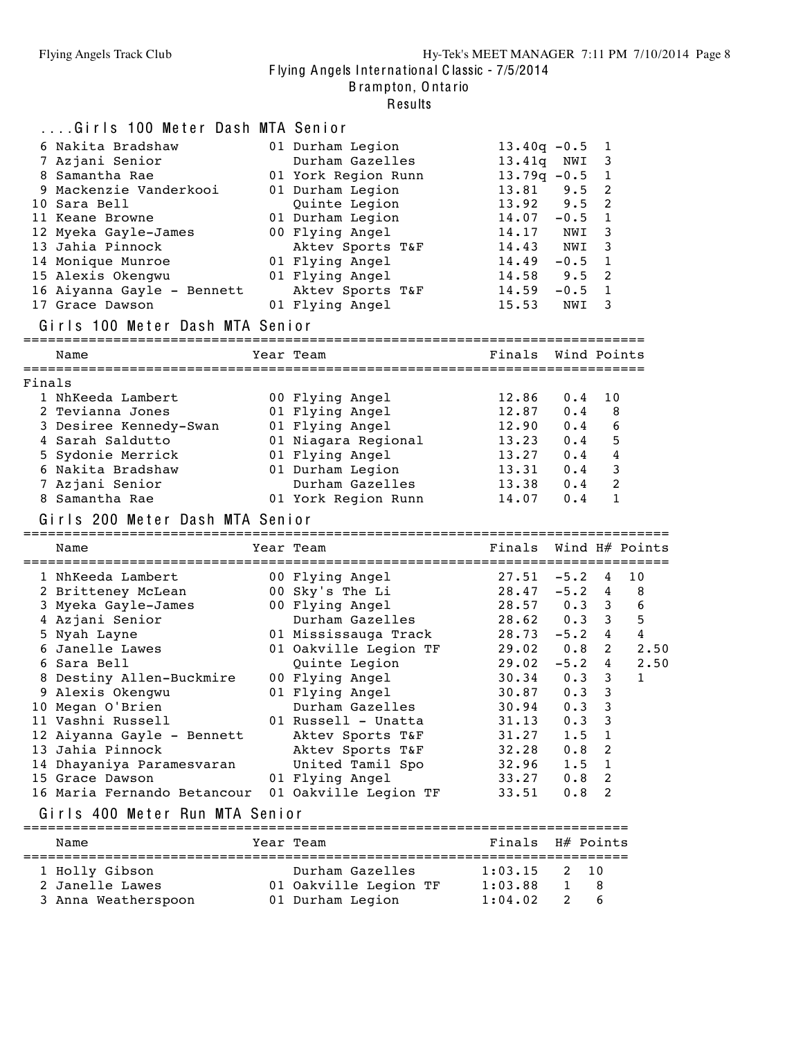B rampton, O nta rio

|        | Girls 100 Meter Dash MTA Senior                            |                        |                 |             |                |                  |
|--------|------------------------------------------------------------|------------------------|-----------------|-------------|----------------|------------------|
|        | 6 Nakita Bradshaw                                          | 01 Durham Legion       | $13.40q - 0.5$  |             | 1              |                  |
|        | 7 Azjani Senior                                            | Durham Gazelles        | 13.41q          | NWI         | 3              |                  |
|        | 8 Samantha Rae                                             | 01 York Region Runn    | $13.79q - 0.5$  |             | 1              |                  |
|        | 9 Mackenzie Vanderkooi                                     | 01 Durham Legion       | 13.81           | 9.5         | 2              |                  |
|        | 10 Sara Bell                                               | Quinte Legion          | 13.92           | 9.5         | 2              |                  |
|        | 11 Keane Browne                                            | 01 Durham Legion       | 14.07           | $-0.5$      | 1              |                  |
|        | 12 Myeka Gayle-James                                       | 00 Flying Angel        | 14.17           | NWI         | 3              |                  |
|        | 13 Jahia Pinnock                                           | Aktev Sports T&F       | 14.43           | NWI         | 3              |                  |
|        | 14 Monique Munroe                                          | 01 Flying Angel        | $14.49 - 0.5$   |             | 1              |                  |
|        | 15 Alexis Okengwu                                          | 01 Flying Angel        | $14.58$ 9.5     |             | 2              |                  |
|        | 16 Aiyanna Gayle - Bennett                                 | Aktev Sports T&F       | 14.59           | $-0.5$      | $\mathbf{1}$   |                  |
|        | 17 Grace Dawson                                            | 01 Flying Angel        | 15.53           | NWI         | 3              |                  |
|        | Girls 100 Meter Dash MTA Senior                            |                        |                 |             |                |                  |
|        | Name                                                       | Year Team              | Finals          | Wind Points |                |                  |
| Finals |                                                            |                        |                 |             |                |                  |
|        | 1 NhKeeda Lambert                                          | 00 Flying Angel        | 12.86           | 0.4         | 10             |                  |
|        | 2 Tevianna Jones                                           | 01 Flying Angel        | 12.87           | 0.4         | 8              |                  |
|        | 3 Desiree Kennedy-Swan                                     | 01 Flying Angel        | 12.90 0.4       |             | 6              |                  |
|        | 4 Sarah Saldutto                                           | 01 Niagara Regional    | $13.23$ 0.4     |             | 5              |                  |
|        | 5 Sydonie Merrick                                          | 01 Flying Angel        | $13.27$ 0.4     |             | $\overline{4}$ |                  |
|        | 6 Nakita Bradshaw                                          | 01 Durham Legion       | $13.31$ 0.4     |             | 3              |                  |
|        | 7 Azjani Senior                                            | Durham Gazelles        | $13.38$ 0.4     |             | 2              |                  |
|        | 8 Samantha Rae                                             | 01 York Region Runn    | 14.07           | 0.4         | $\mathbf{1}$   |                  |
|        |                                                            |                        |                 |             |                |                  |
|        | Girls 200 Meter Dash MTA Senior                            |                        |                 |             |                |                  |
|        | Name                                                       | Year Team              | Finals          |             |                | Wind $H#$ Points |
|        | 1 NhKeeda Lambert                                          | 00 Flying Angel        | $27.51 - 5.2 4$ |             |                | 10               |
|        | 2 Britteney McLean                                         | 00 Sky's The Li        | 28.47           | $-5.2$      | 4              | 8                |
|        | 3 Myeka Gayle-James                                        | 00 Flying Angel        | 28.57 0.3 3 6   |             |                |                  |
|        | 4 Azjani Senior                                            | Durham Gazelles        | $28.62 \t 0.3$  |             | 3              | 5                |
|        | 5 Nyah Layne                                               | 01 Mississauga Track   | 28.73           | $-5.2$      | 4              | 4                |
|        | 6 Janelle Lawes                                            | 01 Oakville Legion TF  | $29.02 \t 0.8$  |             | $\overline{2}$ | 2.50             |
|        | 6 Sara Bell                                                | Quinte Legion          | $29.02 - 5.2$   |             | 4              | 2.50             |
|        | 8 Destiny Allen-Buckmire                                   | 00 Flying Angel        | $30.34$ 0.3     |             | 3              | 1                |
|        | 9 Alexis Okengwu                                           | 01 Flying Angel        | 30.87           | 0.3         | 3              |                  |
|        | 10 Megan O'Brien                                           | Durham Gazelles        | 30.94           | 0.3         | 3              |                  |
|        | 11 Vashni Russell                                          | 01 Russell - Unatta    | 31.13           | 0.3         | 3              |                  |
|        | 12 Aiyanna Gayle - Bennett                                 | Aktev Sports T&F       | 31.27           | 1.5         | 1              |                  |
|        | 13 Jahia Pinnock                                           | Aktev Sports T&F       | 32.28           | 0.8         | 2              |                  |
|        | 14 Dhayaniya Paramesvaran                                  | United Tamil Spo       | 32.96           | 1.5         | 1              |                  |
|        | 15 Grace Dawson                                            | 01 Flying Angel        | 33.27           | 0.8         | 2              |                  |
|        | 16 Maria Fernando Betancour                                | 01 Oakville Legion TF  | 33.51           | 0.8         | 2              |                  |
|        | Girls 400 Meter Run MTA Senior<br>======================== | ====================== |                 | ----------  |                |                  |
|        | Name                                                       | Year Team              | Finals          | H# Points   |                |                  |
|        | 1 Holly Gibson                                             | Durham Gazelles        | 1:03.15         | 2           | 10             |                  |
|        | 2 Janelle Lawes                                            | 01 Oakville Legion TF  | 1:03.88         | 1           | 8              |                  |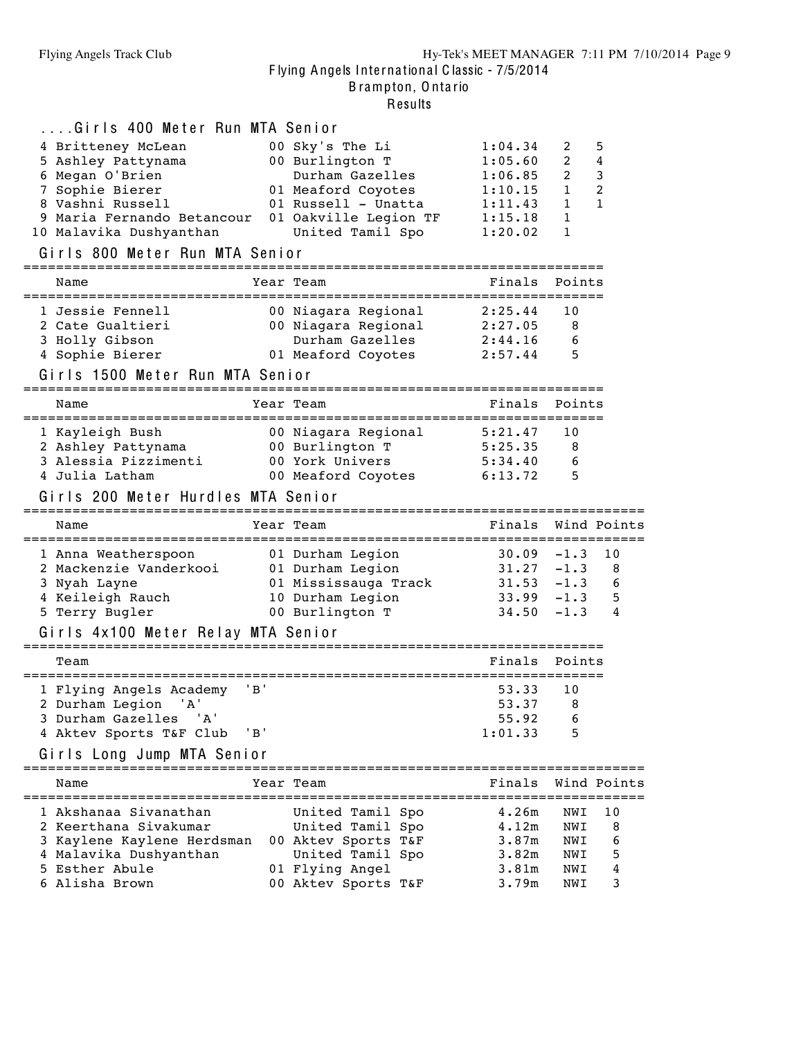| Girls 400 Meter Run MTA Senior     |       |                                                                 |                   |                |             |
|------------------------------------|-------|-----------------------------------------------------------------|-------------------|----------------|-------------|
| 4 Britteney McLean                 |       | 00 Sky's The Li                                                 | 1:04.34           | 2              | 5           |
| 5 Ashley Pattynama                 |       | 00 Burlington T                                                 | 1:05.60           | $\overline{2}$ | 4           |
| 6 Megan O'Brien                    |       | Durham Gazelles                                                 | 1:06.85           | $\overline{2}$ | 3           |
| 7 Sophie Bierer                    |       | 01 Meaford Coyotes                                              | 1:10.15           | $\mathbf{1}$   | 2           |
| 8 Vashni Russell                   |       | 01 Russell - Unatta                                             | 1:11.43           | 1              | 1           |
| 9 Maria Fernando Betancour         |       | 01 Oakville Legion TF                                           | 1:15.18           | 1              |             |
| 10 Malavika Dushyanthan            |       | United Tamil Spo                                                | 1:20.02           | 1              |             |
| Girls 800 Meter Run MTA Senior     |       |                                                                 |                   |                |             |
|                                    |       |                                                                 |                   |                |             |
| Name<br>======================     |       | Year Team<br>==============<br>-=============================== | Finals            | Points         |             |
| 1 Jessie Fennell                   |       | 00 Niagara Regional                                             | 2:25.44           | 10             |             |
| 2 Cate Gualtieri                   |       | 00 Niagara Regional                                             | 2:27.05           | 8              |             |
| 3 Holly Gibson                     |       | Durham Gazelles                                                 | 2:44.16           | 6              |             |
| 4 Sophie Bierer                    |       | 01 Meaford Coyotes                                              | 2:57.44           | 5              |             |
| Girls 1500 Meter Run MTA Senior    |       |                                                                 |                   |                |             |
|                                    |       |                                                                 |                   |                |             |
| Name                               |       | Year Team                                                       | Finals            | Points         |             |
| 1 Kayleigh Bush                    |       | 00 Niagara Regional                                             | 5:21.47           | 10             |             |
| 2 Ashley Pattynama                 |       | 00 Burlington T                                                 | 5:25.35           | 8              |             |
| 3 Alessia Pizzimenti               |       | 00 York Univers                                                 | 5:34.40           | 6              |             |
| 4 Julia Latham                     |       | 00 Meaford Coyotes                                              | 6:13.72           | 5              |             |
|                                    |       |                                                                 |                   |                |             |
| Girls 200 Meter Hurdles MTA Senior |       |                                                                 |                   |                |             |
|                                    |       |                                                                 |                   |                |             |
| Name                               |       | Year Team                                                       | Finals            |                | Wind Points |
|                                    |       |                                                                 |                   |                |             |
| 1 Anna Weatherspoon                |       | 01 Durham Legion                                                | 30.09             | $-1.3$         | 10          |
| 2 Mackenzie Vanderkooi             |       | 01 Durham Legion                                                | 31.27             | $-1.3$         | 8           |
| 3 Nyah Layne                       |       | 01 Mississauga Track                                            | 31.53             | $-1.3$         | 6           |
| 4 Keileigh Rauch                   |       | 10 Durham Legion                                                | 33.99             | $-1.3$         | 5           |
| 5 Terry Bugler                     |       | 00 Burlington T                                                 | 34.50             | $-1.3$         | 4           |
| Girls 4x100 Meter Relay MTA Senior |       |                                                                 |                   |                |             |
| Team                               |       |                                                                 | Finals            | Points         |             |
|                                    |       |                                                                 |                   |                |             |
| 1 Flying Angels Academy            | ' B ' |                                                                 | 53.33             | 10             |             |
| 2 Durham Legion<br>' A '           |       |                                                                 | 53.37             | 8              |             |
| 3 Durham Gazelles<br>' A '         |       |                                                                 | 55.92             | 6              |             |
| 4 Aktev Sports T&F Club            | 'B'   |                                                                 | 1:01.33           | 5              |             |
| Girls Long Jump MTA Senior         |       |                                                                 |                   |                |             |
| ===============================    |       | =========================                                       |                   |                |             |
| Name                               |       | Year Team                                                       | Finals            |                | Wind Points |
| 1 Akshanaa Sivanathan              |       | United Tamil Spo                                                | 4.26m             | NWI            | 10          |
| 2 Keerthana Sivakumar              |       | United Tamil Spo                                                | 4.12m             | NWI            | 8           |
| 3 Kaylene Kaylene Herdsman         |       | 00 Aktev Sports T&F                                             | 3.87m             | NWI            | 6           |
| 4 Malavika Dushyanthan             |       | United Tamil Spo                                                | 3.82m             | NWI            | 5           |
| 5 Esther Abule                     |       | 01 Flying Angel                                                 | 3.81 <sub>m</sub> | NWI            | 4           |
| 6 Alisha Brown                     |       | 00 Aktev Sports T&F                                             | 3.79m             | NWI            | 3           |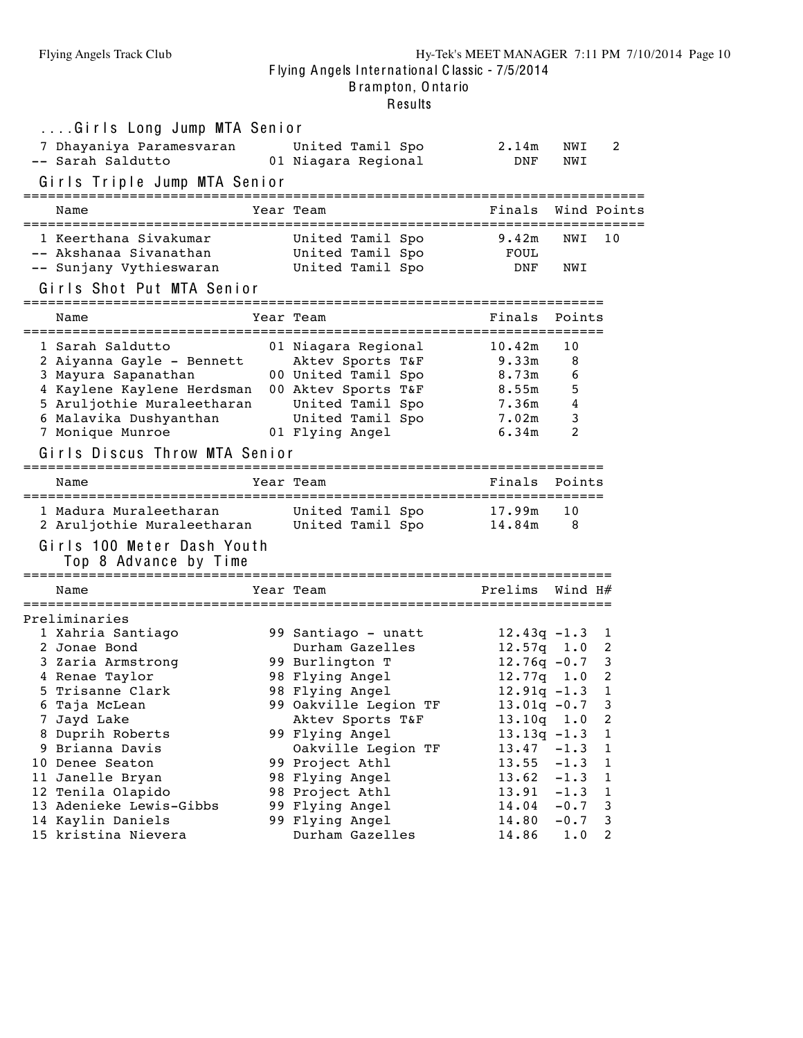B rampton, O nta rio

# .<br>Results

| Girls Long Jump MTA Senior                                                                                                                                                                                      |                                                                                                                                                  |                                                                                  |                                                |                                 |
|-----------------------------------------------------------------------------------------------------------------------------------------------------------------------------------------------------------------|--------------------------------------------------------------------------------------------------------------------------------------------------|----------------------------------------------------------------------------------|------------------------------------------------|---------------------------------|
| 7 Dhayaniya Paramesvaran<br>-- Sarah Saldutto                                                                                                                                                                   | United Tamil Spo<br>01 Niagara Regional                                                                                                          | 2.14m<br>DNF                                                                     | NWI<br>NWI                                     | 2                               |
| Girls Triple Jump MTA Senior                                                                                                                                                                                    |                                                                                                                                                  |                                                                                  |                                                |                                 |
| Name                                                                                                                                                                                                            | Year Team                                                                                                                                        | Finals                                                                           |                                                | Wind Points                     |
| 1 Keerthana Sivakumar<br>-- Akshanaa Sivanathan<br>-- Sunjany Vythieswaran                                                                                                                                      | United Tamil Spo<br>United Tamil Spo<br>United Tamil Spo                                                                                         | 9.42m<br>FOUL<br>DNF                                                             | NWI<br>NWI                                     | 10                              |
| Girls Shot Put MTA Senior<br>======================================                                                                                                                                             | ====================================                                                                                                             |                                                                                  |                                                |                                 |
| Name                                                                                                                                                                                                            | Year Team                                                                                                                                        | Finals                                                                           | Points                                         |                                 |
| 1 Sarah Saldutto<br>2 Aiyanna Gayle - Bennett<br>3 Mayura Sapanathan<br>4 Kaylene Kaylene Herdsman<br>5 Aruljothie Muraleetharan<br>6 Malavika Dushyanthan<br>7 Monique Munroe<br>Girls Discus Throw MTA Senior | 01 Niagara Regional<br>Aktev Sports T&F<br>00 United Tamil Spo<br>00 Aktev Sports T&F<br>United Tamil Spo<br>United Tamil Spo<br>01 Flying Angel | 10.42m<br>9.33m<br>8.73m<br>8.55m<br>7.36m<br>7.02m<br>6.34m                     | 10<br>8<br>6<br>5<br>4<br>3<br>2               |                                 |
| Name                                                                                                                                                                                                            | Year Team                                                                                                                                        | Finals                                                                           | Points                                         |                                 |
| 1 Madura Muraleetharan<br>2 Aruljothie Muraleetharan<br>Girls 100 Meter Dash Youth<br>Top 8 Advance by Time                                                                                                     | United Tamil Spo<br>United Tamil Spo                                                                                                             | 17.99m<br>14.84m                                                                 | 10<br>8                                        |                                 |
| Name                                                                                                                                                                                                            | Year Team                                                                                                                                        | Prelims                                                                          | Wind H#                                        |                                 |
| Preliminaries<br>1 Xahria Santiago<br>2 Jonae Bond<br>3 Zaria Armstrong                                                                                                                                         | 99 Santiago - unatt<br>Durham Gazelles<br>99 Burlington T                                                                                        | $12.43q - 1.3$<br>$12.57q$ $1.0$<br>$12.76q - 0.7$                               |                                                | 1<br>2<br>3                     |
| 4 Renae Taylor<br>5 Trisanne Clark<br>6 Taja McLean<br>7 Jayd Lake<br>8 Duprih Roberts                                                                                                                          | 98 Flying Angel<br>98 Flying Angel<br>99 Oakville Legion TF<br>Aktev Sports T&F<br>99 Flying Angel                                               | $12.77q$ 1.0<br>$12.91q - 1.3$<br>$13.01q - 0.7$<br>13.10q 1.0<br>$13.13q - 1.3$ |                                                | 2<br>1<br>3<br>2<br>$\mathbf 1$ |
| 9 Brianna Davis<br>10 Denee Seaton<br>11 Janelle Bryan<br>12 Tenila Olapido<br>13 Adenieke Lewis-Gibbs                                                                                                          | Oakville Legion TF<br>99 Project Athl<br>98 Flying Angel<br>98 Project Athl<br>99 Flying Angel                                                   | 13.47<br>13.55<br>13.62<br>13.91<br>14.04                                        | $-1.3$<br>$-1.3$<br>$-1.3$<br>$-1.3$<br>$-0.7$ | 1<br>1<br>1<br>1<br>3           |
| 14 Kaylin Daniels<br>15 kristina Nievera                                                                                                                                                                        | 99 Flying Angel<br>Durham Gazelles                                                                                                               | 14.80<br>14.86                                                                   | $-0.7$<br>1.0                                  | 3<br>2                          |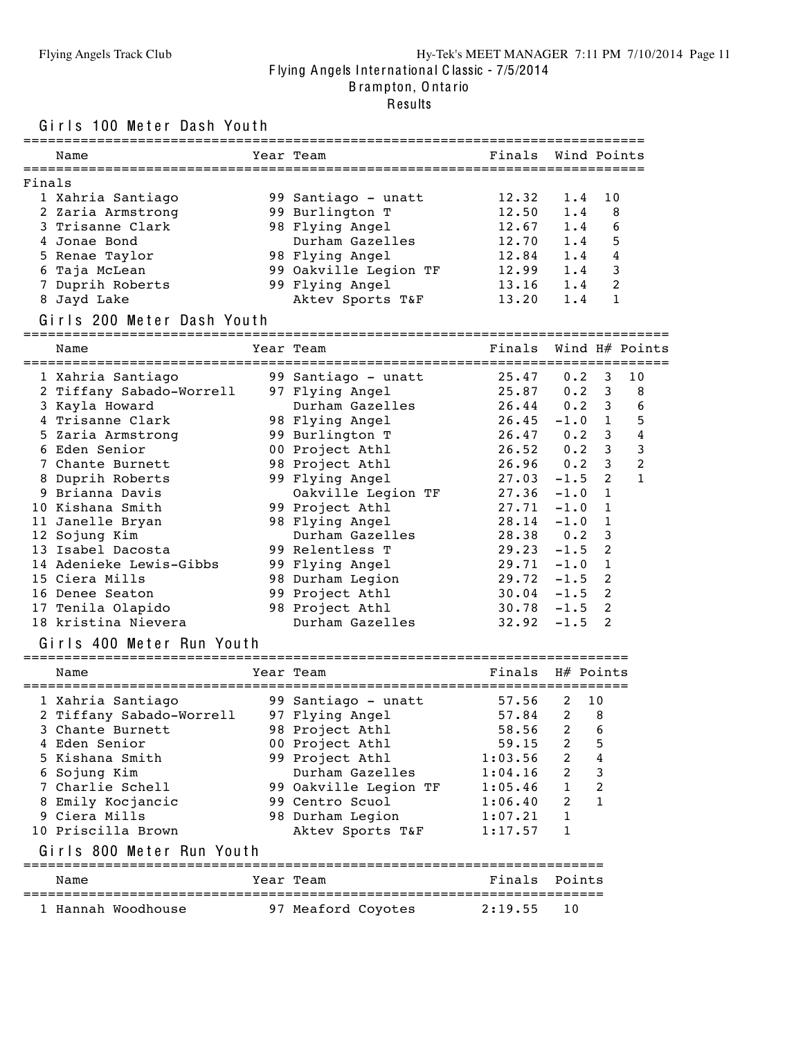#### Flying Angels Track Club Hy-Tek's MEET MANAGER 7:11 PM 7/10/2014 Page 11 F lying Angels Inte rna tiona l C lassic - 7/5/2014 B rampton, O nta rio

#### Results

Girls 100 Meter Dash Youth

|        | Name              | Year Team             | Finals Wind Points |     |                 |
|--------|-------------------|-----------------------|--------------------|-----|-----------------|
| Finals |                   |                       |                    |     |                 |
|        | 1 Xahria Santiago | 99 Santiago - unatt   | 12.32              | 1.4 | $\overline{10}$ |
|        | 2 Zaria Armstrong | 99 Burlington T       | 12.50              | 1.4 | 8               |
|        | 3 Trisanne Clark  | 98 Flying Angel       | 12.67              | 1.4 | 6               |
|        | 4 Jonae Bond      | Durham Gazelles       | 12.70              | 1.4 | 5               |
|        | 5 Renae Taylor    | 98 Flying Angel       | 12.84              | 1.4 | 4               |
|        | 6 Taja McLean     | 99 Oakville Legion TF | 12.99              | 1.4 | 3               |
|        | 7 Duprih Roberts  | 99 Flying Angel       | 13.16              | 1.4 | $\mathcal{L}$   |
|        | 8 Jayd Lake       | Aktev Sports T&F      | 13.20              | 1.4 |                 |
|        |                   |                       |                    |     |                 |

#### Girls 200 Meter Dash Youth

=============================================================================== Name Tear Team Team Finals Wind H# Points =============================================================================== Xahria Santiago 99 Santiago - unatt 25.47 0.2 3 10

| r vanrıa panrıado        | yy Santiago – unatt | 25.47               | 0.2 <sub>3</sub> |   | ΙV             |  |
|--------------------------|---------------------|---------------------|------------------|---|----------------|--|
| 2 Tiffany Sabado-Worrell | 97 Flying Angel     | 25.87               | $0.2 \quad 3$    |   | - 8            |  |
| 3 Kayla Howard           | Durham Gazelles     | $26.44$ 0.2 3       |                  |   | 6              |  |
| 4 Trisanne Clark         | 98 Flying Angel     | 26.45               | $-1.0$ 1         |   | 5              |  |
| 5 Zaria Armstrong        | 99 Burlington T     | 26.47               | $0.2 \quad 3$    |   | $\overline{4}$ |  |
| 6 Eden Senior            | 00 Project Athl     | $26.52 \t 0.2 \t 3$ |                  |   | 3              |  |
| 7 Chante Burnett         | 98 Project Athl     | $26.96$ 0.2 3       |                  |   | 2              |  |
| 8 Duprih Roberts         | 99 Flying Angel     | 27.03               | $-1.5$ 2         |   | $\mathbf{1}$   |  |
| 9 Brianna Davis          | Oakville Legion TF  | 27.36               | $-1.0$ 1         |   |                |  |
| 10 Kishana Smith         | 99 Project Athl     | 27.71               | $-1.0$ 1         |   |                |  |
| 11 Janelle Bryan         | 98 Flying Angel     | 28.14               | $-1.0$ 1         |   |                |  |
| 12 Sojung Kim            | Durham Gazelles     | 28.38               | $0.2 \quad 3$    |   |                |  |
| 13 Isabel Dacosta        | 99 Relentless T     | 29.23               | $-1.5$ 2         |   |                |  |
| 14 Adenieke Lewis-Gibbs  | 99 Flying Angel     | 29.71               | $-1.0$ 1         |   |                |  |
| 15 Ciera Mills           | 98 Durham Legion    | 29.72               | $-1.5$ 2         |   |                |  |
| 16 Denee Seaton          | 99 Project Athl     | 30.04               | $-1.5$ 2         |   |                |  |
| 17 Tenila Olapido        | 98 Project Athl     | $30.78 - 1.5$ 2     |                  |   |                |  |
| 18 kristina Nievera      | Durham Gazelles     | 32.92               | $-1.5$           | 2 |                |  |

#### Girls 400 Meter Run Youth

| Name                      | Year Team             | Finals        |                | H# Points |
|---------------------------|-----------------------|---------------|----------------|-----------|
| 1 Xahria Santiago         | 99 Santiago - unatt   | 57.56         | $\mathcal{L}$  | 10        |
| 2 Tiffany Sabado-Worrell  | 97 Flying Angel       | 57.84 2       |                | 8         |
| 3 Chante Burnett          | 98 Project Athl       | 58.56 2       |                | 6         |
| 4 Eden Senior             | 00 Project Athl       | 59.15         | $\overline{2}$ | 5         |
| 5 Kishana Smith           | 99 Project Athl       | 1:03.56       | $\overline{2}$ | 4         |
| 6 Sojung Kim              | Durham Gazelles       | 1:04.16       | $\overline{2}$ | 3         |
| 7 Charlie Schell          | 99 Oakville Legion TF | 1:05.46       | $\mathbf{1}$   | 2         |
| 8 Emily Kocjancic         | 99 Centro Scuol       | 1:06.40       | $\overline{2}$ |           |
| 9 Ciera Mills             | 98 Durham Legion      | 1:07.21       | $\mathbf{1}$   |           |
| 10 Priscilla Brown        | Aktev Sports T&F      | 1:17.57       | 1              |           |
| Girls 800 Meter Run Youth |                       |               |                |           |
| Name                      | Year Team             | Finals Points |                |           |
| 1 Hannah Woodhouse        | 97 Meaford Coyotes    | 2:19.55       | 10             |           |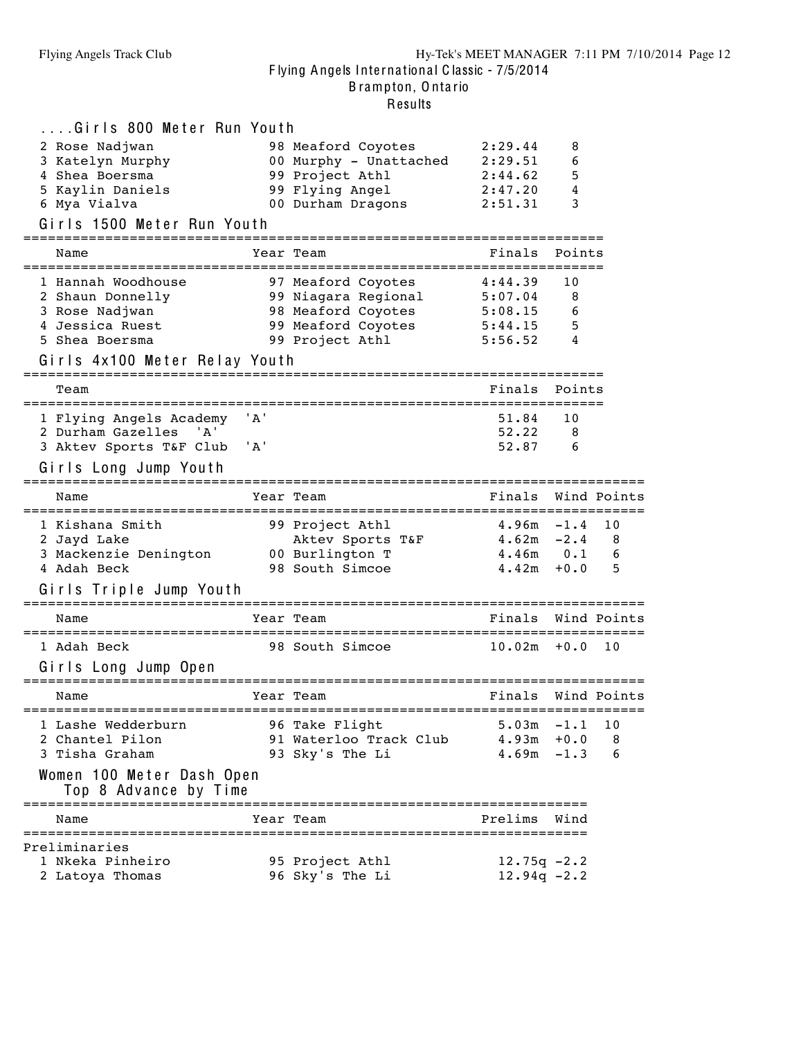B rampton, O nta rio

| Girls 800 Meter Run Youth                          |       |                                                                                 |                |        |             |
|----------------------------------------------------|-------|---------------------------------------------------------------------------------|----------------|--------|-------------|
| 2 Rose Nadjwan                                     |       | 98 Meaford Coyotes                                                              | 2:29.44        | 8      |             |
| 3 Katelyn Murphy                                   |       | 98 Meatord Coyotes<br>00 Murphy - Unattached 2:29.51<br>00 Proiect Athl 2:44.62 |                | 6      |             |
| 4 Shea Boersma                                     |       |                                                                                 |                | 5      |             |
| 5 Kaylin Daniels                                   |       | 99 Flying Angel                                                                 | 2:47.20        | 4      |             |
| 6 Mya Vialva                                       |       | 00 Durham Dragons                                                               | 2:51.31        | 3      |             |
| Girls 1500 Meter Run Youth                         |       |                                                                                 |                |        |             |
| Name                                               |       | Year Team                                                                       | Finals         | Points |             |
| 1 Hannah Woodhouse                                 |       | 97 Meaford Coyotes                                                              | 4:44.39        | 10     |             |
| 2 Shaun Donnelly                                   |       | 99 Niagara Regional                                                             | 5:07.04        | 8      |             |
| 3 Rose Nadjwan                                     |       |                                                                                 | 5:08.15        | 6      |             |
| 4 Jessica Ruest                                    |       | 98 Meaford Coyotes<br>99 Meaford Coyotes                                        | 5:44.15        | 5      |             |
| 5 Shea Boersma                                     |       | 99 Project Athl                                                                 | 5:56.52        | 4      |             |
| Girls 4x100 Meter Relay Youth                      |       |                                                                                 |                |        |             |
| Team                                               |       |                                                                                 | Finals         | Points |             |
|                                                    |       |                                                                                 |                |        |             |
| 1 Flying Angels Academy                            | ' A ' |                                                                                 | 51.84          | 10     |             |
| 2 Durham Gazelles<br>' A'                          |       |                                                                                 | 52.22          | 8      |             |
| 3 Aktev Sports T&F Club                            | ' A ' |                                                                                 | 52.87          | 6      |             |
| Girls Long Jump Youth                              |       |                                                                                 |                |        |             |
| Name                                               |       | Year Team                                                                       | Finals         |        | Wind Points |
| 1 Kishana Smith                                    |       | 99 Project Athl                                                                 | $4.96m - 1.4$  |        | 10          |
| 2 Jayd Lake                                        |       | Aktev Sports T&F                                                                | $4.62m -2.4$   |        | 8           |
| 3 Mackenzie Denington                              |       | 00 Burlington T                                                                 | $4.46m$ $0.1$  |        | 6           |
| 4 Adah Beck                                        |       | 98 South Simcoe                                                                 | 4.42m          | $+0.0$ | 5           |
| Girls Triple Jump Youth                            |       |                                                                                 |                |        |             |
|                                                    |       |                                                                                 |                |        |             |
| Name<br>==================                         |       | Year Team                                                                       | Finals         |        | Wind Points |
| 1 Adah Beck                                        |       | 98 South Simcoe                                                                 | $10.02m + 0.0$ |        | 10          |
| Girls Long Jump Open                               |       |                                                                                 |                |        |             |
|                                                    |       |                                                                                 |                |        |             |
| Name                                               |       | Year Team                                                                       | Finals         |        | Wind Points |
| 1 Lashe Wedderburn                                 |       | 96 Take Flight                                                                  | $5.03m - 1.1$  |        | 10          |
| 2 Chantel Pilon                                    |       | 91 Waterloo Track Club                                                          | $4.93m + 0.0$  |        | 8           |
| 3 Tisha Graham                                     |       | 93 Sky's The Li                                                                 | $4.69m - 1.3$  |        | 6           |
| Women 100 Meter Dash Open<br>Top 8 Advance by Time |       |                                                                                 |                |        |             |
| Name                                               |       | Year Team                                                                       | Prelims        | Wind   |             |
| Preliminaries                                      |       |                                                                                 |                |        |             |
| 1 Nkeka Pinheiro                                   |       | 95 Project Athl                                                                 | $12.75q -2.2$  |        |             |
| 2 Latoya Thomas                                    |       | 96 Sky's The Li                                                                 | $12.94q - 2.2$ |        |             |
|                                                    |       |                                                                                 |                |        |             |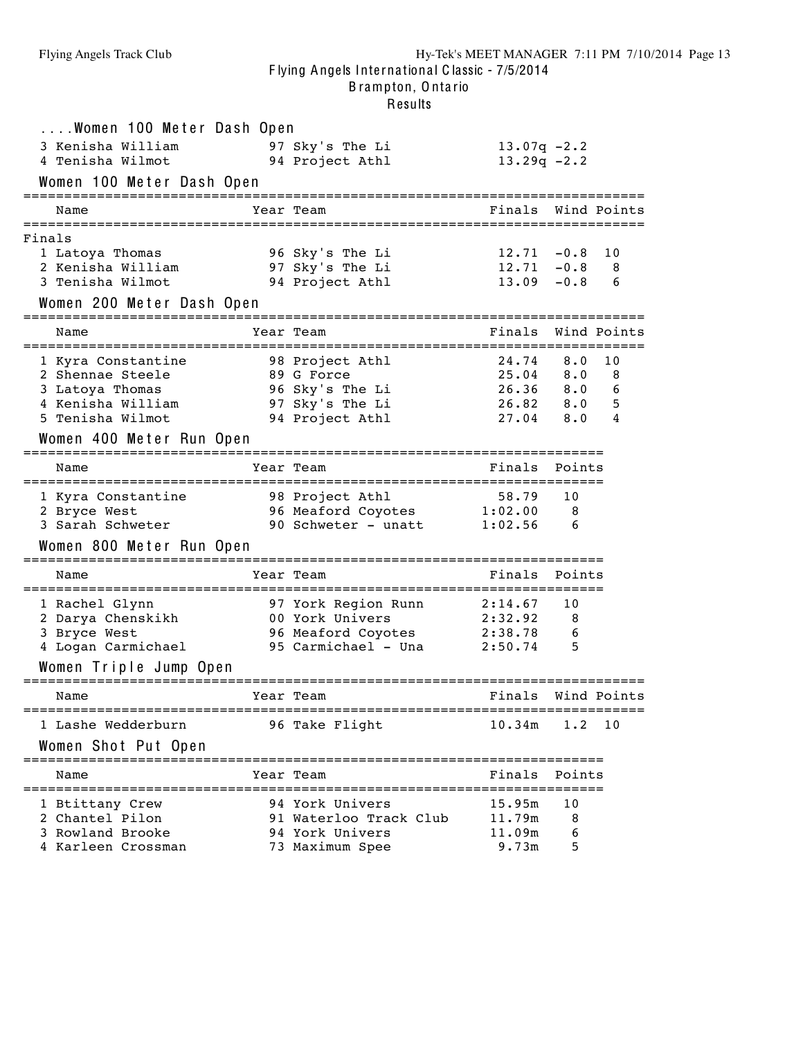| Women 100 Meter Dash Open                            |                                                    |                            |        |             |
|------------------------------------------------------|----------------------------------------------------|----------------------------|--------|-------------|
| 3 Kenisha William                                    | 97 Sky's The Li                                    | $13.07q -2.2$              |        |             |
| 4 Tenisha Wilmot                                     | 94 Project Athl                                    | $13.29q -2.2$              |        |             |
| Women 100 Meter Dash Open                            |                                                    |                            |        |             |
| Name                                                 | Year Team                                          | Finals                     |        | Wind Points |
| Finals                                               |                                                    |                            |        |             |
| 1 Latoya Thomas                                      | 96 Sky's The Li                                    | $12.71 - 0.8$              |        | 10          |
| 2 Kenisha William                                    | 97 Sky's The Li                                    | $12.71 - 0.8$              |        | 8           |
| 3 Tenisha Wilmot                                     | 94 Project Athl                                    | $13.09 - 0.8$              |        | 6           |
| Women 200 Meter Dash Open                            |                                                    |                            |        |             |
| Name                                                 | Year Team                                          | Finals                     |        | Wind Points |
| 1 Kyra Constantine                                   | 98 Project Athl                                    | $24.74$ 8.0                |        | 10          |
| 2 Shennae Steele                                     | 89 G Force                                         | $25.04$ 8.0                |        | 8           |
| 3 Latoya Thomas                                      | 96 Sky's The Li                                    | 26.36 8.0 6                |        |             |
| 4 Kenisha William<br>5 Tenisha Wilmot                | 97 Sky's The Li<br>94 Project Athl                 | 26.82 8.0 5<br>$27.04$ 8.0 |        | 4           |
|                                                      |                                                    |                            |        |             |
| Women 400 Meter Run Open                             |                                                    |                            |        |             |
| Name                                                 | Year Team                                          | Finals                     | Points |             |
| 1 Kyra Constantine                                   | 98 Project Athl                                    |                            | 10     |             |
| 2 Bryce West                                         | 96 Meaford Coyotes                                 | 58.79<br>1:02.00           | 8      |             |
| 3 Sarah Schweter                                     | 90 Schweter $\overline{\phantom{a}}$ unatt 1:02.56 |                            | 6      |             |
| Women 800 Meter Run Open                             |                                                    |                            |        |             |
| Name                                                 | Year Team                                          | Finals                     | Points |             |
|                                                      | 97 York Region Runn 2:14.67                        |                            | 10     |             |
| 1 Rachel Glynn<br>2 Darya Chenskikh 100 York Univers |                                                    | 2:32.92                    | 8      |             |
| 3 Bryce West                                         | 96 Meaford Coyotes 2:38.78                         |                            | 6      |             |
| 4 Logan Carmichael                                   | 95 Carmichael - Una 2:50.74                        |                            | 5      |             |
| Women Triple Jump Open                               |                                                    |                            |        |             |
| Name                                                 | Year Team                                          | Finals                     |        | Wind Points |
| 1 Lashe Wedderburn                                   | ========================<br>96 Take Flight         | 10.34m                     | 1.2    | 10          |
| Women Shot Put Open                                  |                                                    |                            |        |             |
| Name                                                 | ================<br>Year Team                      | Finals                     | Points |             |
| 1 Btittany Crew                                      | 94 York Univers                                    | 15.95m                     | 10     |             |
| 2 Chantel Pilon                                      | 91 Waterloo Track Club                             | 11.79m                     | 8      |             |
| 3 Rowland Brooke                                     | 94 York Univers                                    | 11.09m                     | 6      |             |
| 4 Karleen Crossman                                   | 73 Maximum Spee                                    | 9.73m                      | 5      |             |
|                                                      |                                                    |                            |        |             |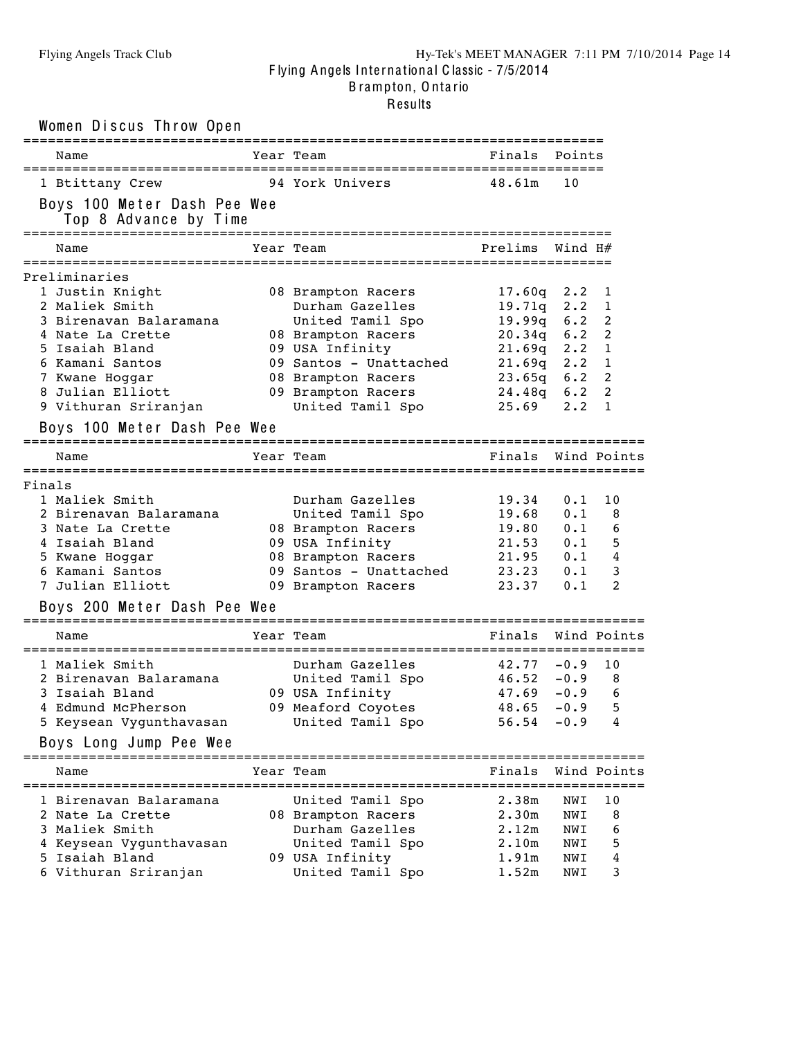|               | Women Discus Throw Open                                                                                                                                                                                           |                                                                                                                                                                                              | :======================                                                                           |                                                                               |                                                                   |
|---------------|-------------------------------------------------------------------------------------------------------------------------------------------------------------------------------------------------------------------|----------------------------------------------------------------------------------------------------------------------------------------------------------------------------------------------|---------------------------------------------------------------------------------------------------|-------------------------------------------------------------------------------|-------------------------------------------------------------------|
| Name          |                                                                                                                                                                                                                   | Year Team                                                                                                                                                                                    | Finals                                                                                            | Points                                                                        |                                                                   |
|               | 1 Btittany Crew<br>Boys 100 Meter Dash Pee Wee<br>Top 8 Advance by Time                                                                                                                                           | 94 York Univers<br>======================                                                                                                                                                    | 48.61m                                                                                            | 10                                                                            |                                                                   |
| Name          |                                                                                                                                                                                                                   | Year Team                                                                                                                                                                                    | Prelims                                                                                           | Wind H#                                                                       |                                                                   |
| Preliminaries | 1 Justin Knight<br>2 Maliek Smith<br>3 Birenavan Balaramana<br>4 Nate La Crette<br>5 Isaiah Bland<br>6 Kamani Santos<br>7 Kwane Hoggar<br>8 Julian Elliott<br>9 Vithuran Sriranjan<br>Boys 100 Meter Dash Pee Wee | 08 Brampton Racers<br>Durham Gazelles<br>United Tamil Spo<br>08 Brampton Racers<br>09 USA Infinity<br>09 Santos - Unattached<br>08 Brampton Racers<br>09 Brampton Racers<br>United Tamil Spo | 17.60q<br>19.71q<br>19.99q<br>20.34q<br>$21.69q$ 2.2<br>$21.69q$ 2.2<br>23.65g<br>24.48q<br>25.69 | $2 \cdot 2$<br>$2 \cdot 2$<br>6.2<br>6.2<br>6.2<br>$6 \cdot 2$<br>$2 \cdot 2$ | 1<br>1<br>2<br>$\overline{2}$<br>$\mathbf{1}$<br>1<br>2<br>2<br>1 |
| Name          |                                                                                                                                                                                                                   | Year Team                                                                                                                                                                                    | Finals                                                                                            |                                                                               | Wind Points                                                       |
| Finals        | 1 Maliek Smith<br>2 Birenavan Balaramana<br>3 Nate La Crette<br>4 Isaiah Bland<br>5 Kwane Hoggar<br>6 Kamani Santos<br>7 Julian Elliott<br>Boys 200 Meter Dash Pee Wee                                            | Durham Gazelles<br>United Tamil Spo<br>08 Brampton Racers<br>09 USA Infinity<br>08 Brampton Racers<br>09 Santos - Unattached<br>09 Brampton Racers                                           | 19.34<br>19.68<br>19.80<br>21.53<br>21.95<br>23.23<br>23.37                                       | 0.1<br>0.1<br>0.1<br>0.1<br>0.1<br>0.1<br>0.1                                 | 10<br>8<br>6<br>5<br>4<br>3<br>$\overline{2}$                     |
| Name          |                                                                                                                                                                                                                   | Year Team                                                                                                                                                                                    | Finals                                                                                            |                                                                               | Wind Points                                                       |
|               | 1 Maliek Smith<br>2 Birenavan Balaramana<br>3 Isaiah Bland<br>4 Edmund McPherson<br>5 Keysean Vygunthavasan<br>Boys Long Jump Pee Wee                                                                             | Durham Gazelles<br>United Tamil Spo<br>09 USA Infinity<br>09 Meaford Coyotes<br>United Tamil Spo                                                                                             | 42.77<br>46.52<br>47.69<br>48.65<br>56.54                                                         | $-0.9$<br>$-0.9$<br>$-0.9$<br>$-0.9$<br>$-0.9$                                | 10<br>8<br>6<br>5<br>4                                            |
| Name          | ===================                                                                                                                                                                                               | Year Team                                                                                                                                                                                    | Finals                                                                                            |                                                                               | Wind Points                                                       |
|               | 1 Birenavan Balaramana<br>2 Nate La Crette<br>3 Maliek Smith<br>4 Keysean Vygunthavasan                                                                                                                           | United Tamil Spo<br>08 Brampton Racers<br>Durham Gazelles<br>United Tamil Spo                                                                                                                | 2.38m<br>2.30m<br>2.12m<br>2.10m                                                                  | NWI<br>NWI<br>NWI<br>NWI                                                      | =========<br>10<br>8<br>6<br>5                                    |
| 5.            | Isaiah Bland<br>6 Vithuran Sriranjan                                                                                                                                                                              | 09 USA Infinity<br>United Tamil Spo                                                                                                                                                          | 1.91m<br>1.52m                                                                                    | NWI<br>NWI                                                                    | 4<br>3                                                            |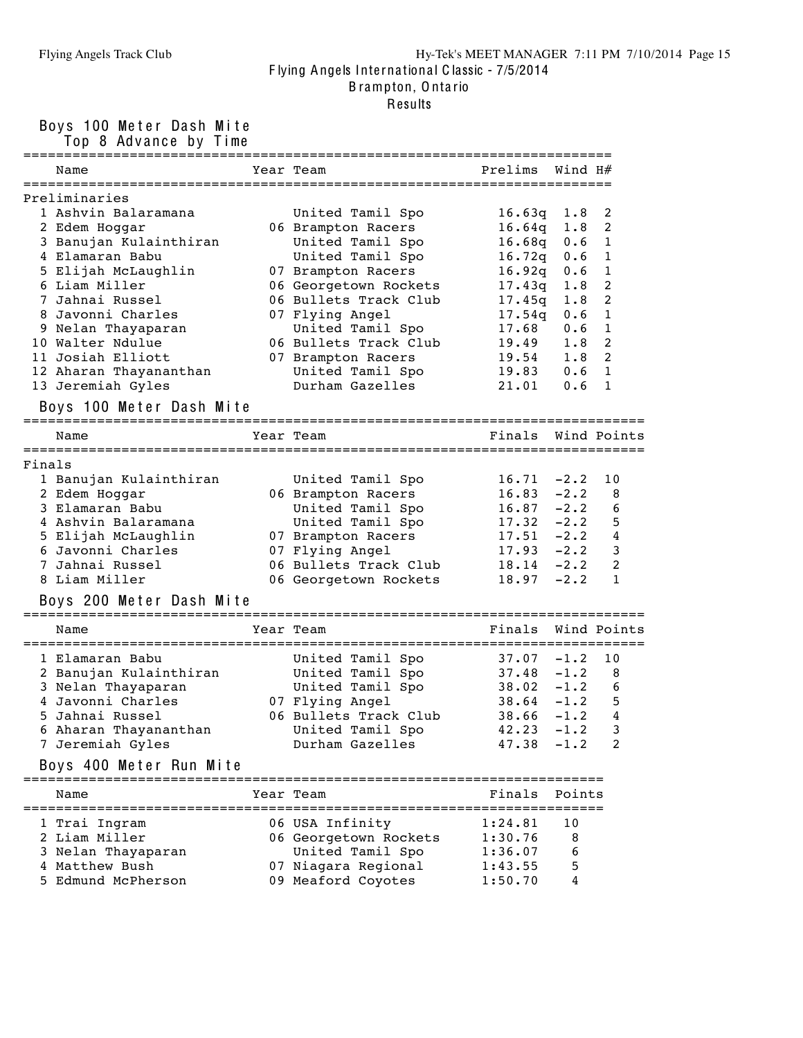#### Flying Angels Track Club Hy-Tek's MEET MANAGER 7:11 PM 7/10/2014 Page 15 F lying Angels Inte rna tiona l C lassic - 7/5/2014 B rampton, O nta rio

Results

Boys 100 Meter Dash Mite

Top 8 Advance by Time

|        |                                                   | -----------                            | ==========      | =======              |                |
|--------|---------------------------------------------------|----------------------------------------|-----------------|----------------------|----------------|
|        | Name                                              | Year Team                              | Prelims         | Wind H#              |                |
|        | Preliminaries                                     |                                        |                 |                      |                |
|        | 1 Ashvin Balaramana                               | United Tamil Spo                       | 16.63q          | 1.8                  | 2              |
|        | 2 Edem Hoggar                                     | 06 Brampton Racers                     | 16.64q          | 1.8                  | $\overline{c}$ |
|        | 3 Banujan Kulainthiran                            | United Tamil Spo                       | 16.68q          | 0.6                  | $\mathbf{1}$   |
|        | 4 Elamaran Babu                                   | United Tamil Spo                       | 16.72q          | 0.6                  | 1              |
|        | 5 Elijah McLaughlin                               | 07 Brampton Racers                     | 16.92q          | 0.6                  | 1              |
|        | 6 Liam Miller                                     | 06 Georgetown Rockets                  | 17.43q          | 1.8                  | $\overline{c}$ |
|        | 7 Jahnai Russel                                   | 06 Bullets Track Club                  |                 | 1.8                  | 2              |
|        | 8 Javonni Charles                                 | 07 Flying Angel                        | 17.45q          | 0.6                  | 1              |
|        | 9 Nelan Thayaparan                                | United Tamil Spo                       | 17.54q<br>17.68 | 0.6                  | 1              |
|        | 10 Walter Ndulue                                  | 06 Bullets Track Club                  | 19.49           | 1.8                  | 2              |
|        | 11 Josiah Elliott                                 |                                        |                 | 1.8                  | $\overline{c}$ |
|        |                                                   | 07 Brampton Racers<br>United Tamil Spo | 19.54<br>19.83  | 0.6                  | $\mathbf{1}$   |
|        | 12 Aharan Thayananthan                            | Durham Gazelles                        | 21.01           | 0.6                  | 1              |
|        | 13 Jeremiah Gyles                                 |                                        |                 |                      |                |
|        | Boys 100 Meter Dash Mite<br>===================== | ====================                   |                 |                      |                |
|        | Name                                              | Year Team                              | Finals          |                      | Wind Points    |
|        |                                                   |                                        |                 |                      |                |
| Finals |                                                   |                                        |                 |                      |                |
|        | 1 Banujan Kulainthiran                            | United Tamil Spo                       | 16.71           | $-2.2$               | 10             |
|        | 2 Edem Hoggar                                     | 06 Brampton Racers                     | 16.83           | $-2.2$               | 8              |
|        | 3 Elamaran Babu                                   | United Tamil Spo                       | 16.87           | $-2.2$               | 6              |
|        | 4 Ashvin Balaramana                               | United Tamil Spo                       | 17.32           | $-2.2$               | 5              |
|        | 5 Elijah McLaughlin                               | 07 Brampton Racers                     | 17.51           | $-2.2$               | 4              |
|        | 6 Javonni Charles                                 | 07 Flying Angel                        | $17.93 - 2.2$   |                      | 3              |
|        | 7 Jahnai Russel                                   | 06 Bullets Track Club                  | 18.14           | $-2.2$               | 2              |
|        | 8 Liam Miller                                     | 06 Georgetown Rockets                  | 18.97           | $-2.2$               | $\mathbf{1}$   |
|        | Boys 200 Meter Dash Mite                          |                                        |                 |                      |                |
|        | Name                                              | Year Team                              | Finals          |                      | Wind Points    |
|        |                                                   |                                        |                 |                      |                |
|        | 1 Elamaran Babu                                   | United Tamil Spo                       | 37.07           | $-1.2$               | 10             |
|        | 2 Banujan Kulainthiran                            | United Tamil Spo                       | 37.48           | $-1.2$               | 8              |
|        | 3 Nelan Thayaparan                                | United Tamil Spo                       | 38.02           | $-1.2$               | 6              |
|        | 4 Javonni Charles                                 | 07 Flying Angel                        | 38.64           | $-1.2$               | 5              |
|        | 5 Jahnai Russel                                   | 06 Bullets Track Club                  | 38.66           | $-1.2$               | 4              |
|        | 6 Aharan Thayananthan                             | United Tamil Spo                       | 42.23           | $-1.2$               | 3              |
|        | 7 Jeremiah Gyles                                  | Durham Gazelles                        | $47.38 - 1.2$   |                      | 2              |
|        | Boys 400 Meter Run Mite                           |                                        |                 |                      |                |
|        |                                                   |                                        |                 |                      |                |
|        | Name                                              | Year Team                              | Finals          | Points<br>========== |                |
|        | 1 Trai Ingram                                     | 06 USA Infinity                        | 1:24.81         | 10                   |                |
|        | 2 Liam Miller                                     | 06 Georgetown Rockets                  | 1:30.76         | 8                    |                |
|        | 3 Nelan Thayaparan                                | United Tamil Spo                       | 1:36.07         | 6                    |                |
|        | 4 Matthew Bush                                    | 07 Niagara Regional                    | 1:43.55         | 5                    |                |
|        | 5 Edmund McPherson                                | 09 Meaford Coyotes                     | 1:50.70         | 4                    |                |
|        |                                                   |                                        |                 |                      |                |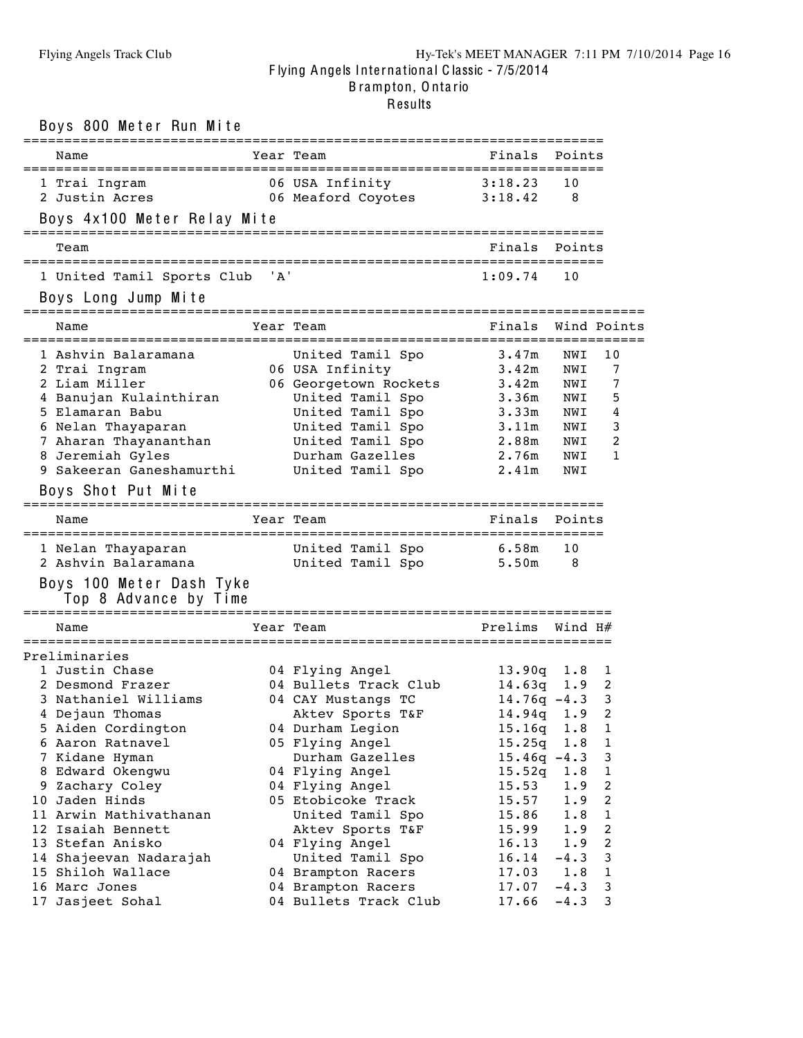| Boys 800 Meter Run Mite                           |       |                                       |                    |            |                         |
|---------------------------------------------------|-------|---------------------------------------|--------------------|------------|-------------------------|
| Name                                              |       | Year Team                             | Finals             | Points     |                         |
| 1 Trai Ingram<br>2 Justin Acres                   |       | 06 USA Infinity<br>06 Meaford Coyotes | 3:18.23<br>3:18.42 | 10<br>8    |                         |
| Boys 4x100 Meter Relay Mite                       |       |                                       |                    |            |                         |
| Team                                              |       | ==============================        | Finals             | Points     |                         |
| 1 United Tamil Sports Club                        | ' A ' |                                       | 1:09.74            | 10         |                         |
| Boys Long Jump Mite                               |       |                                       |                    |            |                         |
| Name                                              |       | Year Team                             | Finals Wind Points |            |                         |
| 1 Ashvin Balaramana<br>2 Trai Ingram              |       | United Tamil Spo<br>06 USA Infinity   | 3.47m<br>3.42m     | NWI<br>NWI | 10<br>7                 |
| 2 Liam Miller                                     |       | 06 Georgetown Rockets                 | 3.42m              | NWI        | 7                       |
| 4 Banujan Kulainthiran                            |       | United Tamil Spo                      | 3.36m              | NWI        | 5                       |
| 5 Elamaran Babu                                   |       | United Tamil Spo                      | 3.33m              | NWI        | 4                       |
| 6 Nelan Thayaparan<br>7 Aharan Thayananthan       |       | United Tamil Spo<br>United Tamil Spo  | 3.11m<br>2.88m     | NWI<br>NWI | 3<br>2                  |
| 8 Jeremiah Gyles                                  |       | Durham Gazelles                       | 2.76m              | NWI        | 1                       |
| 9 Sakeeran Ganeshamurthi                          |       | United Tamil Spo                      | 2.41m              | NWI        |                         |
| Boys Shot Put Mite                                |       |                                       |                    |            |                         |
| Name                                              |       | Year Team                             | Finals             | Points     |                         |
|                                                   |       |                                       |                    |            |                         |
| 1 Nelan Thayaparan                                |       | United Tamil Spo                      | 6.58m              | 10         |                         |
| 2 Ashvin Balaramana                               |       | United Tamil Spo                      | 5.50m              | 8          |                         |
| Boys 100 Meter Dash Tyke<br>Top 8 Advance by Time |       |                                       |                    |            |                         |
| Name                                              |       | Year Team                             | Prelims            | Wind H#    |                         |
| Preliminaries                                     |       |                                       |                    |            |                         |
| 1 Justin Chase                                    |       | 04 Flying Angel                       | 13.90q             | 1.8        | 1                       |
| 2 Desmond Frazer                                  |       | 04 Bullets Track Club                 | $14.63q$ 1.9       |            | 2                       |
| 3 Nathaniel Williams                              |       | 04 CAY Mustangs TC                    | $14.76q - 4.3$ 3   |            |                         |
| 4 Dejaun Thomas                                   |       | Aktev Sports T&F                      | 14.94q             | 1.9        | 2                       |
| 5 Aiden Cordington                                |       | 04 Durham Legion                      | 15.16q             | 1.8        | 1                       |
| 6 Aaron Ratnavel                                  |       | 05 Flying Angel                       | 15.25q             | 1.8        | $\mathbf 1$             |
| 7 Kidane Hyman                                    |       | Durham Gazelles                       | $15.46q -4.3$      |            | 3                       |
| 8 Edward Okengwu                                  |       | 04 Flying Angel                       | 15.52q             | 1.8        | 1                       |
| 9 Zachary Coley                                   |       | 04 Flying Angel                       | 15.53              | 1.9        | 2                       |
| 10 Jaden Hinds<br>11 Arwin Mathivathanan          |       | 05 Etobicoke Track                    | 15.57              | 1.9        | 2                       |
| 12 Isaiah Bennett                                 |       | United Tamil Spo<br>Aktev Sports T&F  | 15.86<br>15.99     | 1.8<br>1.9 | 1<br>$\boldsymbol{2}$   |
| 13 Stefan Anisko                                  |       | 04 Flying Angel                       | 16.13              | 1.9        | $\overline{\mathbf{c}}$ |
| 14 Shajeevan Nadarajah                            |       | United Tamil Spo                      | 16.14              | $-4.3$     | 3                       |
| 15 Shiloh Wallace                                 |       | 04 Brampton Racers                    | 17.03              | 1.8        | 1                       |
| 16 Marc Jones                                     |       | 04 Brampton Racers                    | 17.07              | $-4.3$     | 3                       |
| 17 Jasjeet Sohal                                  |       | 04 Bullets Track Club                 | 17.66              | $-4.3$     | 3                       |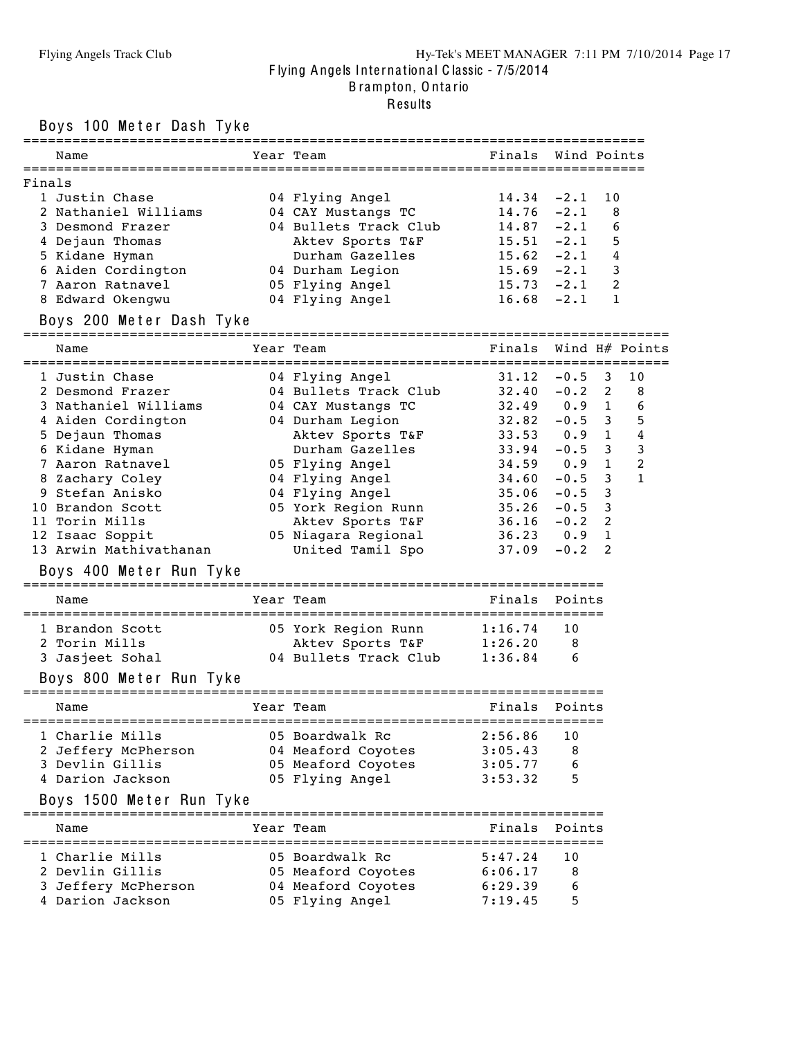#### Flying Angels Track Club Hy-Tek's MEET MANAGER 7:11 PM 7/10/2014 Page 17 F lying Angels Inte rna tiona l C lassic - 7/5/2014 B rampton, O nta rio

# Results

Boys 100 Meter Dash Tyke

| Name                                                                                                                                                                     | Year Team                                                     | Finals Wind Points |                                  |                             |
|--------------------------------------------------------------------------------------------------------------------------------------------------------------------------|---------------------------------------------------------------|--------------------|----------------------------------|-----------------------------|
|                                                                                                                                                                          |                                                               |                    |                                  |                             |
| Finals                                                                                                                                                                   |                                                               |                    |                                  |                             |
| 1 Justin Chase                                                                                                                                                           | 04 Flying Angel                                               | 14.34              | $-2.1$                           | 10                          |
| 2 Nathaniel Williams                                                                                                                                                     | 04 CAY Mustangs TC 14.76 -2.1                                 |                    |                                  | 8                           |
| 3 Desmond Frazer                                                                                                                                                         | 04 Bullets Track Club                                         | $14.87 - 2.1$      |                                  | -6                          |
| 4 Dejaun Thomas                                                                                                                                                          | Aktev Sports T&F                                              |                    | $15.51 -2.1$ 5<br>$15.62 -2.1 4$ |                             |
| 5 Kidane Hyman                                                                                                                                                           | Durham Gazelles                                               | $15.69 -2.1$ 3     |                                  |                             |
| 7 Aaron Ratnavel                                                                                                                                                         | 05 Flying Angel 15.73 -2.1 2                                  |                    |                                  |                             |
| 8 Edward Okengwu                                                                                                                                                         | 04 Flying Angel 16.68 -2.1 1                                  |                    |                                  |                             |
|                                                                                                                                                                          |                                                               |                    |                                  |                             |
| Boys 200 Meter Dash Tyke                                                                                                                                                 |                                                               |                    |                                  |                             |
| Name                                                                                                                                                                     | Year Team                                                     |                    | Finals Wind H# Points            |                             |
| 1 Justin Chase                                                                                                                                                           | 04 Flying Angel                                               |                    | $31.12 -0.5$ 3                   | 10                          |
|                                                                                                                                                                          | 04 Bullets Track Club 32.40 -0.2 2 8                          |                    |                                  |                             |
| 2 Desmond Frazer                       04 Bullets Track Club<br>3 Nathaniel Williams             04 CAY Mustangs TC<br>4 Aiden Cordington               04 Durham Legion |                                                               |                    | $32.49$ 0.9 1                    | 6                           |
|                                                                                                                                                                          |                                                               | $32.82 - 0.5$ 3    |                                  | 5                           |
| 5 Dejaun Thomas                                                                                                                                                          | Aktev Sports T&F 33.53 0.9 1                                  |                    |                                  | 4                           |
| 6 Kidane Hyman                                                                                                                                                           | Durham Gazelles 33.94                                         |                    | $-0.5$                           | $\mathbf{3}$<br>$3^{\circ}$ |
| 7 Aaron Ratnavel                                                                                                                                                         | 05 Flying Angel 34.59 0.9 1                                   |                    |                                  | $\overline{c}$              |
| 8 Zachary Coley                                                                                                                                                          | 04 Flying Angel<br>04 Flving Angel                            | 34.60<br>35.06     | $\mathbf{3}$<br>$-0.5$           | $\mathbf{1}$                |
| 9 Stefan Anisko                                                                                                                                                          |                                                               |                    | $\mathbf{3}$<br>$-0.5$           |                             |
| 10 Brandon Scott                                                                                                                                                         |                                                               |                    | $-0.5$<br>3                      |                             |
| 11 Torin Mills                                                                                                                                                           | Aktev Sports $T\&F$ 36.16 -0.2                                |                    | 2                                |                             |
| 12 Isaac Soppit                                                                                                                                                          | 05 Niagara Regional                                           | $36.23$ 0.9        | $\mathbf{1}$                     |                             |
| 13 Arwin Mathivathanan                                                                                                                                                   | United Tamil Spo                                              | 37.09              | 2<br>$-0.2$                      |                             |
| Boys 400 Meter Run Tyke                                                                                                                                                  |                                                               |                    |                                  |                             |
| Name                                                                                                                                                                     | Year Team                                                     | Finals Points      |                                  |                             |
| 1 Brandon Scott                                                                                                                                                          | 05 York Region Runn 1:16.74                                   |                    | 10                               |                             |
| 2 Torin Mills                                                                                                                                                            | Aktev Sports T&F 1:26.20 8<br>04 Bullets Track Club 1:36.84 6 |                    |                                  |                             |
| 3 Jasjeet Sohal                                                                                                                                                          |                                                               |                    |                                  |                             |
| Boys 800 Meter Run Tyke                                                                                                                                                  |                                                               |                    |                                  |                             |
| Name                                                                                                                                                                     | Year Team                                                     | Finals Points      |                                  |                             |
| 1 Charlie Mills                                                                                                                                                          | 05 Boardwalk Rc                                               | 2:56.86            | 10                               |                             |
| 2 Jeffery McPherson                                                                                                                                                      | 04 Meaford Coyotes                                            | 3:05.43            | 8                                |                             |
| 3 Devlin Gillis                                                                                                                                                          | 05 Meaford Coyotes                                            | 3:05.77            | 6                                |                             |
| 4 Darion Jackson                                                                                                                                                         | 05 Flying Angel                                               | 3:53.32            | 5                                |                             |
| Boys 1500 Meter Run Tyke                                                                                                                                                 |                                                               |                    |                                  |                             |
| Name                                                                                                                                                                     | Year Team                                                     | Finals             | Points                           |                             |
|                                                                                                                                                                          |                                                               |                    |                                  |                             |
| 1 Charlie Mills                                                                                                                                                          | 05 Boardwalk Rc                                               | 5:47.24            | 10                               |                             |
| 2 Devlin Gillis                                                                                                                                                          | 05 Meaford Coyotes                                            | 6:06.17            | 8                                |                             |
| 3 Jeffery McPherson                                                                                                                                                      | 04 Meaford Coyotes                                            | 6:29.39            | 6                                |                             |
| 4 Darion Jackson                                                                                                                                                         | 05 Flying Angel                                               | 7:19.45            | 5                                |                             |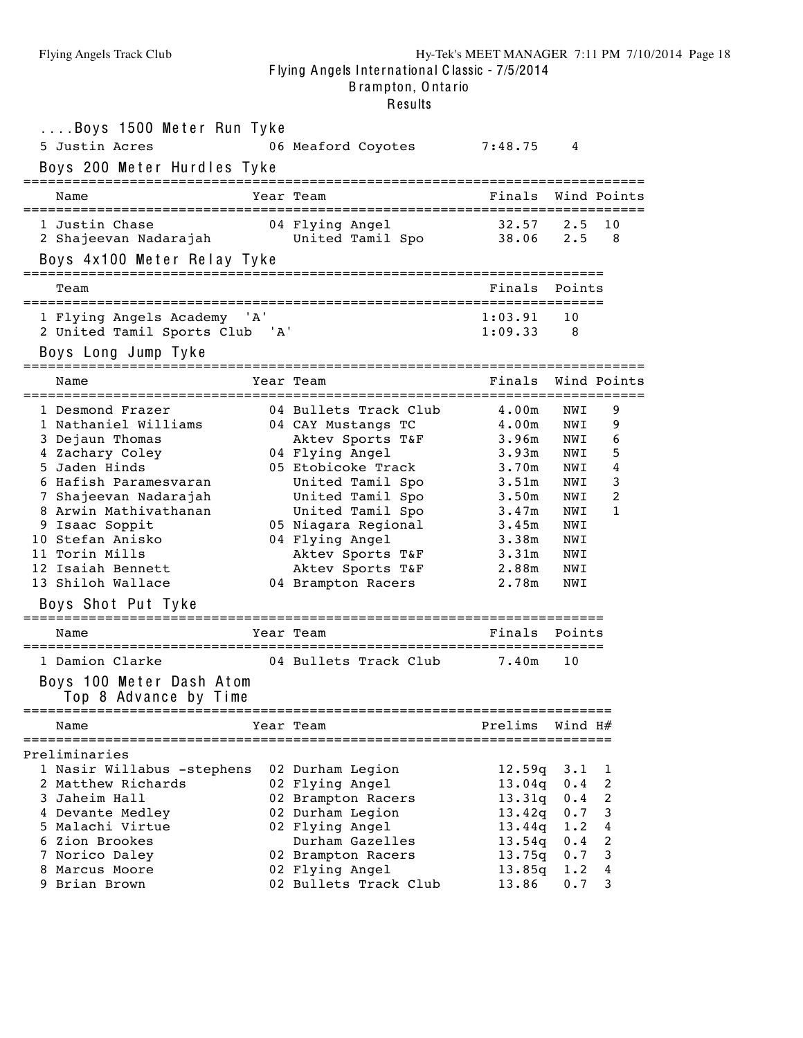| Boys 1500 Meter Run Tyke<br>5 Justin Acres<br>Boys 200 Meter Hurdles Tyke                                                                                                                                                                                                                                                                                                          | 06 Meaford Coyotes                                                                                                                                                                                                                                                                                                 | 7:48.75                                                                                                                              | 4                                                                                                       |                                                                   |
|------------------------------------------------------------------------------------------------------------------------------------------------------------------------------------------------------------------------------------------------------------------------------------------------------------------------------------------------------------------------------------|--------------------------------------------------------------------------------------------------------------------------------------------------------------------------------------------------------------------------------------------------------------------------------------------------------------------|--------------------------------------------------------------------------------------------------------------------------------------|---------------------------------------------------------------------------------------------------------|-------------------------------------------------------------------|
| Name                                                                                                                                                                                                                                                                                                                                                                               | Year Team                                                                                                                                                                                                                                                                                                          | Finals                                                                                                                               |                                                                                                         | Wind Points                                                       |
| 1 Justin Chase<br>2 Shajeevan Nadarajah<br>Boys 4x100 Meter Relay Tyke                                                                                                                                                                                                                                                                                                             | 04 Flying Angel<br>United Tamil Spo                                                                                                                                                                                                                                                                                | 32.57<br>38.06                                                                                                                       | $2 \cdot 5$<br>$2 \cdot 5$                                                                              | 10<br>8                                                           |
| Team                                                                                                                                                                                                                                                                                                                                                                               |                                                                                                                                                                                                                                                                                                                    | Finals                                                                                                                               | Points                                                                                                  |                                                                   |
| 1 Flying Angels Academy 'A'<br>2 United Tamil Sports Club 'A'<br>Boys Long Jump Tyke                                                                                                                                                                                                                                                                                               |                                                                                                                                                                                                                                                                                                                    | 1:03.91<br>1:09.33                                                                                                                   | 10<br>8                                                                                                 |                                                                   |
| Name                                                                                                                                                                                                                                                                                                                                                                               | Year Team                                                                                                                                                                                                                                                                                                          | Finals                                                                                                                               |                                                                                                         | Wind Points                                                       |
| 1 Desmond Frazer<br>1 Nathaniel Williams<br>3 Dejaun Thomas<br>4 Zachary Coley<br>5 Jaden Hinds<br>6 Hafish Paramesvaran<br>7 Shajeevan Nadarajah<br>8 Arwin Mathivathanan<br>9 Isaac Soppit<br>10 Stefan Anisko<br>11 Torin Mills<br>12 Isaiah Bennett<br>13 Shiloh Wallace<br>Boys Shot Put Tyke<br>Name<br>1 Damion Clarke<br>Boys 100 Meter Dash Atom<br>Top 8 Advance by Time | 04 Bullets Track Club<br>04 CAY Mustangs TC<br>Aktev Sports T&F<br>04 Flying Angel<br>05 Etobicoke Track<br>United Tamil Spo<br>United Tamil Spo<br>United Tamil Spo<br>05 Niagara Regional<br>04 Flying Angel<br>Aktev Sports T&F<br>Aktev Sports T&F<br>04 Brampton Racers<br>Year Team<br>04 Bullets Track Club | 4.00m<br>4.00m<br>3.96m<br>3.93m<br>3.70m<br>3.51m<br>3.50m<br>3.47m<br>3.45m<br>3.38m<br>3.31m<br>2.88m<br>2.78m<br>Finals<br>7.40m | NWI<br>NWI<br>NWI<br>NWI<br>NWI<br>NWI<br>NWI<br>NWI<br>NWI<br>NWI<br>NWI<br>NWI<br>NWI<br>Points<br>10 | 9<br>9<br>6<br>5<br>4<br>3<br>2<br>1                              |
| Name                                                                                                                                                                                                                                                                                                                                                                               | Year Team                                                                                                                                                                                                                                                                                                          | Prelims Wind H#                                                                                                                      |                                                                                                         |                                                                   |
| Preliminaries<br>1 Nasir Willabus -stephens<br>2 Matthew Richards<br>3 Jaheim Hall<br>4 Devante Medley<br>5 Malachi Virtue<br>6 Zion Brookes<br>7 Norico Daley<br>8 Marcus Moore<br>9 Brian Brown                                                                                                                                                                                  | 02 Durham Legion<br>02 Flying Angel<br>02 Brampton Racers<br>02 Durham Legion<br>02 Flying Angel<br>Durham Gazelles<br>02 Brampton Racers<br>02 Flying Angel<br>02 Bullets Track Club                                                                                                                              | 12.59q<br>13.04q<br>13.31q<br>13.42q<br>13.44q<br>13.54q<br>13.75q<br>13.85q<br>13.86                                                | $3 \cdot 1$<br>0.4<br>0.4<br>0.7<br>1.2<br>0.4<br>0.7<br>1.2<br>0.7                                     | 1<br>2<br>$\overline{c}$<br>$\mathbf{3}$<br>4<br>2<br>3<br>4<br>3 |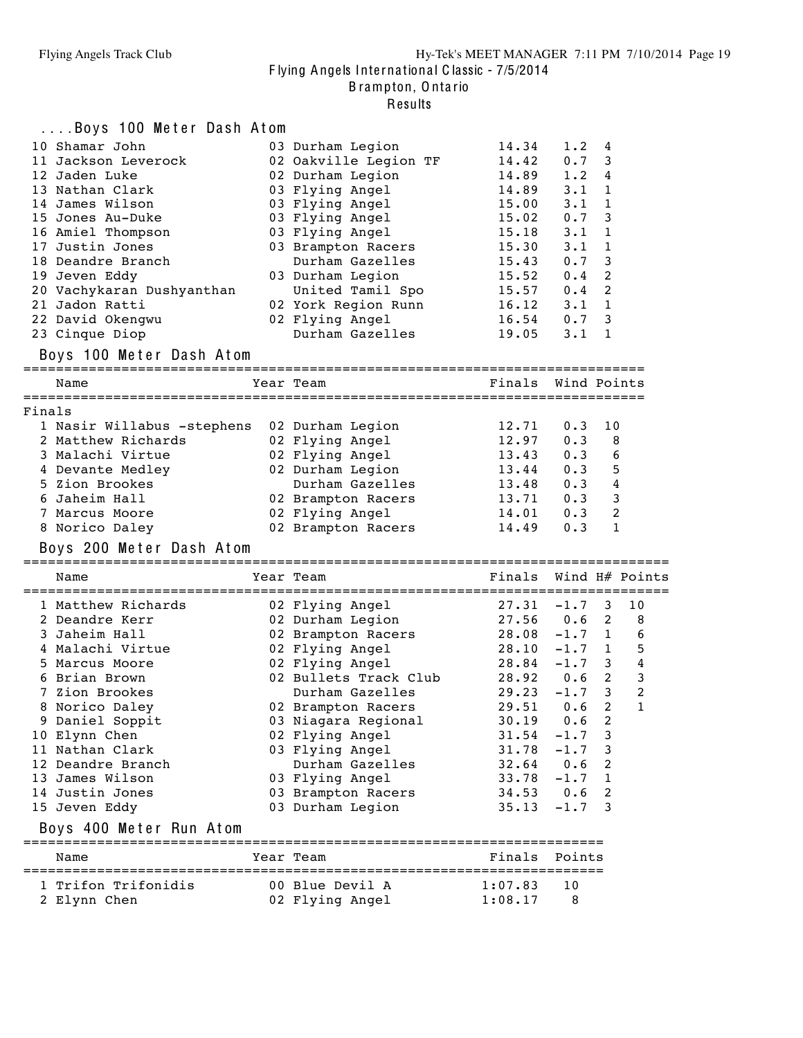B rampton, O nta rio

|        | Boys 100 Meter Dash Atom   |                                                                                                                               |                    |                |                         |
|--------|----------------------------|-------------------------------------------------------------------------------------------------------------------------------|--------------------|----------------|-------------------------|
|        | 10 Shamar John             | 03 Durham Legion                                                                                                              | 14.34              | 1.2            | 4                       |
|        | 11 Jackson Leverock        | 02 Oakville Legion TF                                                                                                         | 14.42              | 0.7            | 3                       |
|        | 12 Jaden Luke              | 02 Durham Legion                                                                                                              | 14.89              | $1 \cdot 2$    | 4                       |
|        | 13 Nathan Clark            | 03 Flying Angel                                                                                                               | 14.89              | $3 \cdot 1$    | 1                       |
|        | 14 James Wilson            | 03 Flying Angel                                                                                                               | 15.00              | $3 \cdot 1$    | 1                       |
|        | 15 Jones Au-Duke           | 03 Flying Angel                                                                                                               | 15.02              | 0.7            | 3                       |
|        | 16 Amiel Thompson          | 03 Flying Angel                                                                                                               | 15.18              | $3 \cdot 1$    | 1                       |
|        | 17 Justin Jones            | 03 Brampton Racers                                                                                                            | 15.30              | $3 \cdot 1$    | $\mathbf{1}$            |
|        | 18 Deandre Branch          | Durham Gazelles                                                                                                               | 15.43              | 0.7            | 3                       |
|        | 19 Jeven Eddy              | 03 Durham Legion                                                                                                              | 15.52              | 0.4            | 2                       |
|        | 20 Vachykaran Dushyanthan  | United Tamil Spo                                                                                                              | 15.57              | 0.4            | 2                       |
|        | 21 Jadon Ratti             | 02 York Region Runn                                                                                                           | 16.12              | $3 \cdot 1$    | 1                       |
|        | 22 David Okengwu           | 02 Flying Angel                                                                                                               | 16.54              | 0.7            | 3                       |
|        | 23 Cinque Diop             | Durham Gazelles                                                                                                               | 19.05              | $3 \cdot 1$    | 1                       |
|        | Boys 100 Meter Dash Atom   |                                                                                                                               |                    |                |                         |
|        | Name                       | Year Team                                                                                                                     | Finals Wind Points |                |                         |
|        |                            |                                                                                                                               |                    |                |                         |
| Finals |                            |                                                                                                                               |                    |                |                         |
|        | 1 Nasir Willabus -stephens | 02 Durham Legion                                                                                                              | 12.71              | 0.3            | 10                      |
|        | 2 Matthew Richards         | 02 Flying Angel                                                                                                               | 12.97              | 0.3            | 8                       |
|        | 3 Malachi Virtue           | 02 Flying Angel                                                                                                               | 13.43              | 0.3            | 6                       |
|        | 4 Devante Medley           | 02 Durham Legion                                                                                                              |                    | $13.44$ 0.3    | -5                      |
|        | 5 Zion Brookes             | Durham Gazelles                                                                                                               | 13.48 0.3          |                | $\overline{4}$          |
|        | 6 Jaheim Hall              | 02 Brampton Racers                                                                                                            | $13.71$<br>$14.01$ | 0.3            | $\overline{\mathbf{3}}$ |
|        | 7 Marcus Moore             | 02 Flying Angel                                                                                                               |                    | 0.3            | 2                       |
|        | 8 Norico Daley             | 02 Brampton Racers                                                                                                            | 14.49              | 0.3            | 1                       |
|        | Boys 200 Meter Dash Atom   |                                                                                                                               |                    |                |                         |
|        |                            |                                                                                                                               |                    |                |                         |
|        | Name                       | Year Team                                                                                                                     |                    |                | Finals Wind H# Points   |
|        | 1 Matthew Richards         |                                                                                                                               | 27.31              | $-1.7$         | 3<br>10                 |
|        | 2 Deandre Kerr             | 02 Flying Angel<br>02 Durham Legion                                                                                           |                    | $27.56$ 0.6    | 2<br>8                  |
|        | 3 Jaheim Hall              | 02 Brampton Racers                                                                                                            | 28.08              | $-1.7$ 1       | 6                       |
|        | 4 Malachi Virtue           | 02 Flying Angel                                                                                                               | 28.10              | $-1.7 \quad 1$ | 5                       |
|        | 5 Marcus Moore             | 02 Flying Angel<br>02 Flying Angel<br>02 Bullets Track Club<br>02 Bullets Track Club<br>02 Bullets Track Club<br>29.23 -1.7 3 |                    |                | $\bf 4$<br>$3^{\circ}$  |
|        | 6 Brian Brown              |                                                                                                                               |                    |                | 3                       |
|        | 7 Zion Brookes             |                                                                                                                               |                    |                | $\overline{c}$          |
|        | 8 Norico Daley             | 02 Brampton Racers                                                                                                            |                    | $29.51$ 0.6    | $\overline{2}$<br>1     |
|        | 9 Daniel Soppit            | 03 Niagara Regional                                                                                                           | 30.19              | 0.6            | 2                       |
|        | 10 Elynn Chen              | 02 Flying Angel                                                                                                               | 31.54              | $-1.7$         | 3                       |
|        | 11 Nathan Clark            | 03 Flying Angel                                                                                                               | 31.78              | $-1.7$         | 3                       |
|        | 12 Deandre Branch          | Durham Gazelles                                                                                                               | $32.64$ 0.6        |                | 2                       |
|        | 13 James Wilson            | 03 Flying Angel                                                                                                               | 33.78              | $-1.7$         | 1                       |
|        | 14 Justin Jones            | 03 Brampton Racers                                                                                                            | 34.53              | 0.6            | 2                       |
|        | 15 Jeven Eddy              | 03 Durham Legion                                                                                                              | 35.13              | $-1.7$         | 3                       |
|        | Boys 400 Meter Run Atom    |                                                                                                                               |                    |                |                         |
|        |                            |                                                                                                                               |                    |                |                         |
|        | Name                       | Year Team                                                                                                                     | Finals             | Points         |                         |
|        | 1 Trifon Trifonidis        | 00 Blue Devil A                                                                                                               | 1:07.83            | 10             |                         |
|        | 2 Elynn Chen               | 02 Flying Angel                                                                                                               | 1:08.17            | 8              |                         |
|        |                            |                                                                                                                               |                    |                |                         |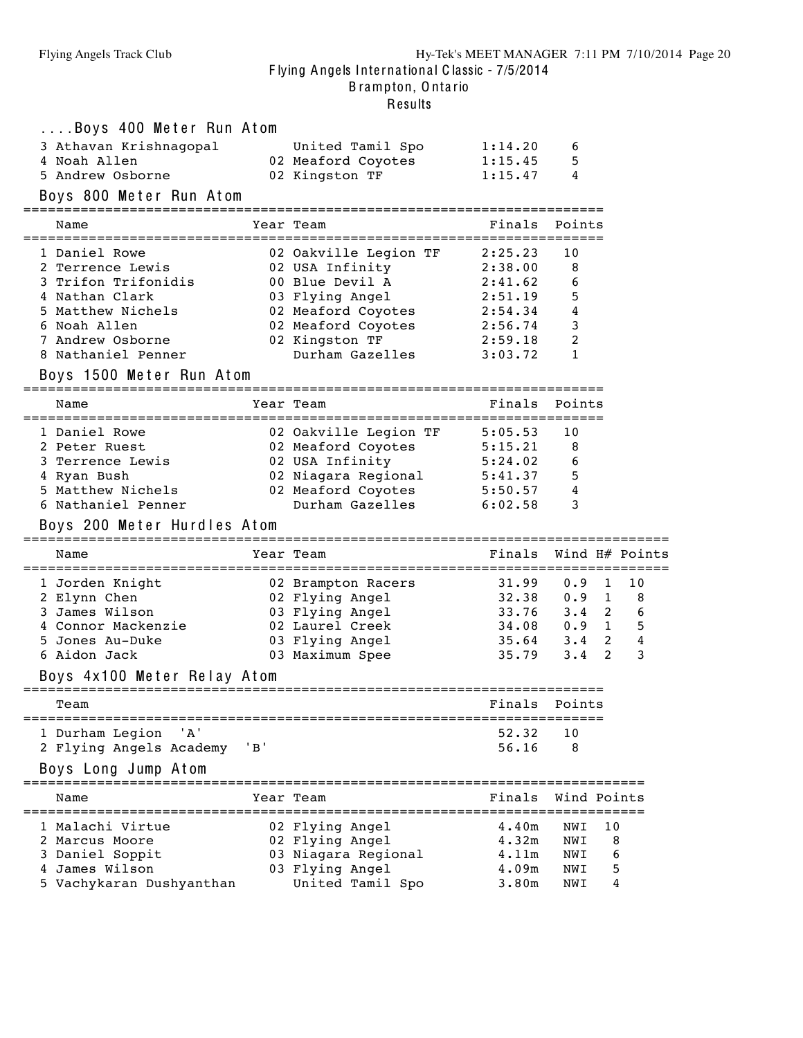| Name | Boys 400 Meter Run Atom<br>3 Athavan Krishnagopal<br>4 Noah Allen<br>5 Andrew Osborne<br>Boys 800 Meter Run Atom<br>1 Daniel Rowe<br>2 Terrence Lewis |     | United Tamil Spo<br>02 Meaford Coyotes<br>02 Kingston TF<br>Year Team<br>02 Oakville Legion TF 2:25.23<br>02 USA Infinity                              | 1:14.20<br>1:15.45<br>1:15.47<br>Finals Points<br>2:38.00                                           | 6<br>5<br>4<br>10<br>8          |                        |                                  |
|------|-------------------------------------------------------------------------------------------------------------------------------------------------------|-----|--------------------------------------------------------------------------------------------------------------------------------------------------------|-----------------------------------------------------------------------------------------------------|---------------------------------|------------------------|----------------------------------|
|      | 3 Trifon Trifonidis<br>4 Nathan Clark<br>5 Matthew Nichels                                                                                            |     | 00 Blue Devil A<br>03 Flying Angel                                                                                                                     | 2:41.62<br>2:51.19                                                                                  | 6<br>5<br>4                     |                        |                                  |
|      | 6 Noah Allen<br>7 Andrew Osborne<br>8 Nathaniel Penner<br>Boys 1500 Meter Run Atom                                                                    |     | 02 Meaford Coyotes 2:54.34<br>02 Meaford Coyotes<br>02 Kingston TF<br>Durham Gazelles                                                                  | 2:56.74<br>2:59.18<br>3:03.72                                                                       | 3<br>2<br>1                     |                        |                                  |
| Name |                                                                                                                                                       |     | Year Team                                                                                                                                              | Finals                                                                                              | Points                          |                        |                                  |
|      | 1 Daniel Rowe<br>2 Peter Ruest<br>3 Terrence Lewis<br>4 Ryan Bush<br>5 Matthew Nichels<br>6 Nathaniel Penner                                          |     | 02 Oakville Legion TF 5:05.53<br>02 Meaford Coyotes 5:15.21<br>02 USA Infinity<br>02 Niagara Regional 5:41.37<br>02 Meaford Coyotes<br>Durham Gazelles | 5:24.02<br>5:50.57<br>6:02.58                                                                       | 10<br>8<br>6<br>5<br>4<br>3     |                        |                                  |
|      | Boys 200 Meter Hurdles Atom                                                                                                                           |     |                                                                                                                                                        |                                                                                                     |                                 |                        |                                  |
| Name |                                                                                                                                                       |     | Year Team                                                                                                                                              | Finals Wind H# Points                                                                               |                                 |                        |                                  |
|      | 1 Jorden Knight<br>2 Elynn Chen<br>3 James Wilson<br>4 Connor Mackenzie<br>5 Jones Au-Duke<br>6 Aidon Jack<br>Boys 4x100 Meter Relay Atom             |     | 02 Brampton Racers<br>02 Flying Angel<br>03 Flying Angel<br>02 Laurel Creek<br>03 Flying Angel<br>03 Maximum Spee                                      | $31.99$ 0.9 1<br>$32.38$ 0.9 1 8<br>$33.76$ $3.4$ 2<br>34.08  0.9  1  5<br>$35.64$ $3.4$ 2<br>35.79 | $3 \cdot 4$                     | $\overline{2}$         | 10<br>6<br>$\boldsymbol{4}$<br>3 |
| Team |                                                                                                                                                       |     |                                                                                                                                                        | Finals                                                                                              | Points                          |                        |                                  |
|      | ' A '<br>1 Durham Legion<br>2 Flying Angels Academy<br>Boys Long Jump Atom                                                                            | 'B' |                                                                                                                                                        | 52.32<br>56.16                                                                                      | 10<br>8                         |                        |                                  |
| Name | ===================                                                                                                                                   |     | Year Team                                                                                                                                              | Finals                                                                                              | Wind Points                     |                        |                                  |
|      | 1 Malachi Virtue<br>2 Marcus Moore<br>3 Daniel Soppit<br>4 James Wilson<br>5 Vachykaran Dushyanthan                                                   |     | 02 Flying Angel<br>02 Flying Angel<br>03 Niagara Regional<br>03 Flying Angel<br>United Tamil Spo                                                       | 4.40m<br>4.32m<br>4.11m<br>4.09m<br>3.80m                                                           | NWI<br>NWI<br>NWI<br>NWI<br>NWI | 10<br>8<br>6<br>5<br>4 |                                  |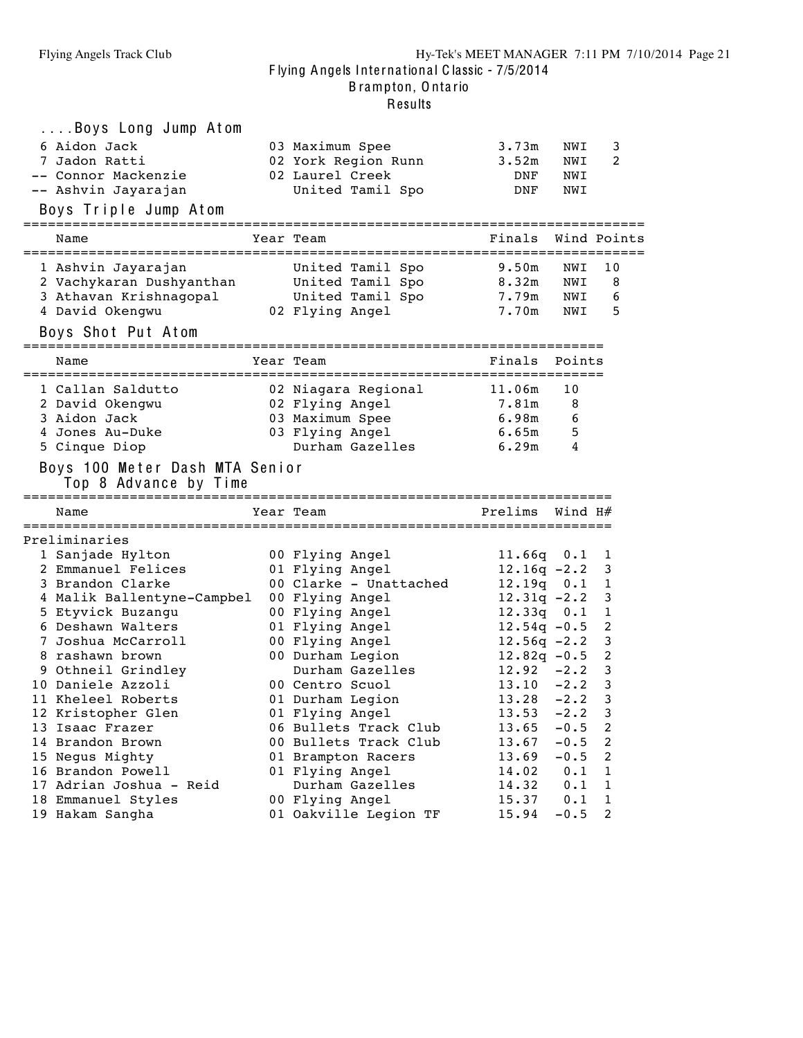B rampton, O nta rio

| Boys Long Jump Atom                                             |                                              |                |                  |                     |
|-----------------------------------------------------------------|----------------------------------------------|----------------|------------------|---------------------|
| 6 Aidon Jack                                                    | 03 Maximum Spee                              | 3.73m          | NWI              | 3                   |
| 7 Jadon Ratti                                                   | 02 York Region Runn                          | 3.52m          | NWI              | 2                   |
| -- Connor Mackenzie                                             | 02 Laurel Creek                              | DNF            | NWI              |                     |
| -- Ashvin Jayarajan                                             | United Tamil Spo                             | DNF            | NWI              |                     |
|                                                                 |                                              |                |                  |                     |
| Boys Triple Jump Atom                                           |                                              |                |                  |                     |
| Name                                                            | Year Team                                    | Finals         |                  | Wind Points         |
|                                                                 |                                              |                |                  |                     |
| 1 Ashvin Jayarajan                                              | United Tamil Spo                             | 9.50m          | NWI              | 10                  |
|                                                                 |                                              | 8.32m          | NWI              | 8                   |
| 3 Athavan Krishnagopal                                          | United Tamil Spo                             | 7.79m          | NWI              | 6                   |
| 4 David Okengwu                                                 | 02 Flying Angel                              | 7.70m          | NWI              | 5                   |
| Boys Shot Put Atom                                              |                                              |                |                  |                     |
| Name                                                            | ======================<br>Year Team          | Finals         | Points           |                     |
| ----------------------------------                              | ===========================                  |                |                  |                     |
| 1 Callan Saldutto                                               | 02 Niagara Regional                          | 11.06m         | 10               |                     |
| 2 David Okengwu                                                 | 02 Flying Angel                              | 7.81m          | 8                |                     |
| 3 Aidon Jack                                                    | 03 Maximum Spee                              | 6.98m          | 6                |                     |
| 4 Jones Au-Duke                                                 | 03 Flying Angel                              | 6.65m          | 5                |                     |
| 5 Cinque Diop                                                   | Durham Gazelles                              | 6.29m          | 4                |                     |
| Boys 100 Meter Dash MTA Senior<br>Top 8 Advance by Time<br>Name | ;==============================<br>Year Team | Prelims        | Wind H#          |                     |
|                                                                 |                                              |                |                  |                     |
| Preliminaries                                                   |                                              |                |                  |                     |
| 1 Sanjade Hylton                                                | 00 Flying Angel                              | $11.66q$ $0.1$ |                  | 1                   |
| 2 Emmanuel Felices                                              | 01 Flying Angel                              | $12.16q - 2.2$ |                  | 3                   |
| 3 Brandon Clarke                                                | 00 Clarke - Unattached                       | 12.19q 0.1     |                  | 1                   |
| 4 Malik Ballentyne-Campbel                                      | 00 Flying Angel                              | $12.31q -2.2$  |                  | 3                   |
| 5 Etyvick Buzangu                                               | 00 Flying Angel                              | $12.33q$ 0.1   |                  | $\mathbf{1}$        |
| 6 Deshawn Walters                                               | 01 Flying Angel                              | $12.54q - 0.5$ |                  | 2                   |
| 7 Joshua McCarroll                                              | 00 Flying Angel                              | $12.56q -2.2$  |                  | 3                   |
| 8 rashawn brown                                                 | 00 Durham Legion                             | $12.82q - 0.5$ |                  | 2                   |
| 9 Othneil Grindley                                              | Durham Gazelles                              | $12.92 - 2.2$  |                  | $\mathbf{3}$        |
| 10 Daniele Azzoli                                               | 00 Centro Scuol                              | $13.10 -2.2$   |                  | 3                   |
| 11 Kheleel Roberts                                              | 01 Durham Legion                             | 13.28<br>13.53 | $-2.2$<br>$-2.2$ | 3                   |
| 12 Kristopher Glen                                              | 01 Flying Angel                              |                |                  | 3                   |
| 13 Isaac Frazer                                                 | 06 Bullets Track Club                        | 13.65          | $-0.5$           | 2                   |
| 14 Brandon Brown                                                | 00 Bullets Track Club                        | 13.67          | $-0.5$<br>$-0.5$ | 2<br>$\overline{c}$ |
| 15 Negus Mighty                                                 | 01 Brampton Racers<br>01 Flying Angel        | 13.69<br>14.02 | 0.1              | $\mathbf 1$         |
| 16 Brandon Powell<br>17 Adrian Joshua - Reid                    | Durham Gazelles                              |                | 0.1              | 1                   |
| 18 Emmanuel Styles                                              | 00 Flying Angel                              | 14.32<br>15.37 | 0.1              | 1                   |
|                                                                 |                                              |                |                  |                     |
| 19 Hakam Sangha                                                 | 01 Oakville Legion TF                        | 15.94          | $-0.5$           | 2                   |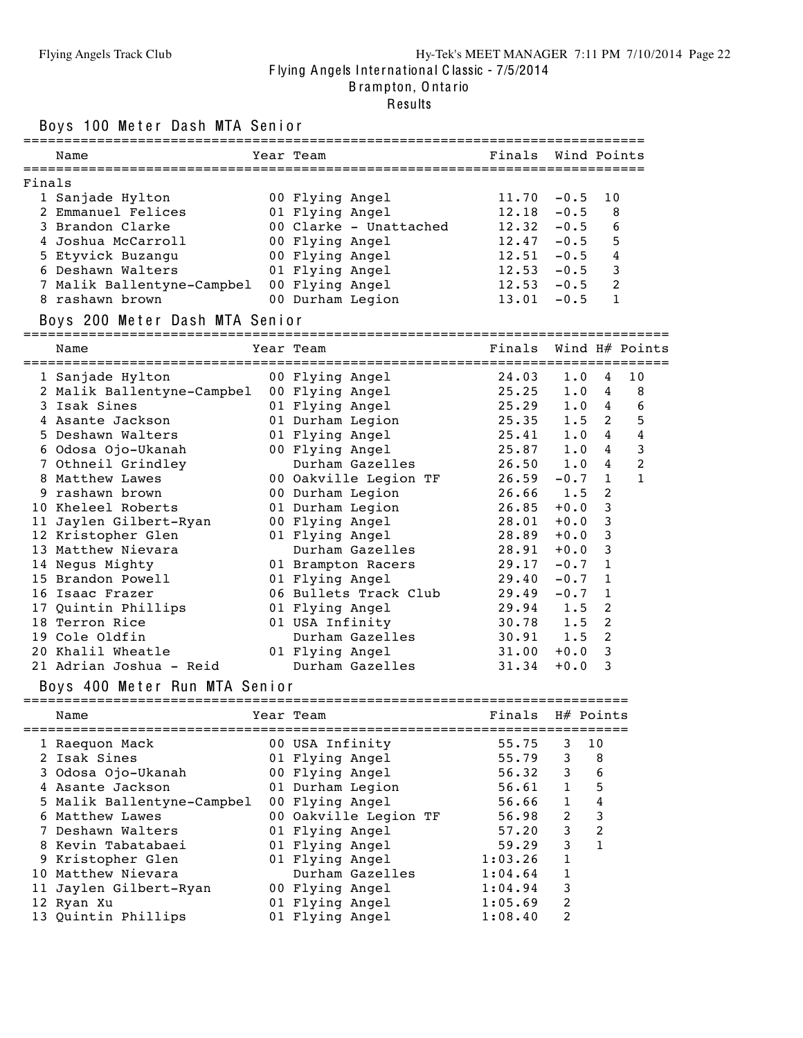#### Flying Angels Track Club Hy-Tek's MEET MANAGER 7:11 PM 7/10/2014 Page 22 Flying Angels International Classic - 7/5/2014

B rampton, O nta rio

#### Results

Boys 100 Meter Doob MTA Seni

| BOYS TOO METER DASN MIA SENIOR |                        |                    |              |                              |
|--------------------------------|------------------------|--------------------|--------------|------------------------------|
| Name                           | Year Team              | Finals Wind Points |              |                              |
| Finals                         |                        |                    |              |                              |
| 1 Sanjade Hylton               | 00 Flying Angel        | 11.70              | $-0.5$       | 10                           |
| 2 Emmanuel Felices             | 01 Flying Angel        | 12.18              | $-0.5$       | 8                            |
| 3 Brandon Clarke               | 00 Clarke - Unattached | 12.32              | $-0.5$       | 6                            |
| 4 Joshua McCarroll             | 00 Flying Angel        | 12.47              | $-0.5$       | 5                            |
| 5 Etyvick Buzangu              | 00 Flying Angel        | 12.51              | $-0.5$       | 4                            |
| 6 Deshawn Walters              | 01 Flying Angel        | 12.53              | $-0.5$       | 3                            |
| 7 Malik Ballentyne-Campbel     | 00 Flying Angel        | 12.53              | $-0.5$       | 2                            |
| 8 rashawn brown                | 00 Durham Legion       | 13.01              | $-0.5$       | 1                            |
| Boys 200 Meter Dash MTA Senior |                        |                    |              |                              |
| Name                           | Year Team              | Finals             |              | Wind $H#$ Points             |
| 1 Sanjade Hylton               | 00 Flying Angel        | 24.03              | 1.0          | 10<br>4                      |
| 2 Malik Ballentyne-Campbel     | 00 Flying Angel        | 25.25              | 1.0          | 8<br>4                       |
| 3 Isak Sines                   | 01 Flying Angel        | 25.29              | 1.0          | 6<br>4                       |
| 4 Asante Jackson               | 01 Durham Legion       | 25.35              | 1.5          | 2<br>5                       |
| 5 Deshawn Walters              | 01 Flying Angel        | 25.41              | 1.0          | 4<br>4                       |
| 6 Odosa Ojo-Ukanah             | 00 Flying Angel        | 25.87              | 1.0          | 3<br>4                       |
| 7 Othneil Grindley             | Durham Gazelles        | 26.50              | 1.0          | 2<br>4                       |
| 8 Matthew Lawes                | 00 Oakville Legion TF  | 26.59              | $-0.7$       | $\mathbf{1}$<br>$\mathbf{1}$ |
| 9 rashawn brown                | 00 Durham Legion       | 26.66              | 1.5          | 2                            |
| 10 Kheleel Roberts             | 01 Durham Legion       | 26.85              | $+0.0$       | 3                            |
| 11 Jaylen Gilbert-Ryan         | 00 Flying Angel        | 28.01              | $+0.0$       | 3                            |
| 12 Kristopher Glen             | 01 Flying Angel        | 28.89              | $+0.0$       | 3                            |
| 13 Matthew Nievara             | Durham Gazelles        | 28.91              | $+0.0$       | 3                            |
| 14 Negus Mighty                | 01 Brampton Racers     | 29.17              | $-0.7$       | 1                            |
| 15 Brandon Powell              | 01 Flying Angel        | 29.40              | $-0.7$       | $\mathbf{1}$                 |
| 16 Isaac Frazer                | 06 Bullets Track Club  | 29.49              | $-0.7$       | 1                            |
| 17 Quintin Phillips            | 01 Flying Angel        | 29.94              | 1.5          | $\overline{2}$               |
| 18 Terron Rice                 | 01 USA Infinity        | 30.78              | 1.5          | 2                            |
| 19 Cole Oldfin                 | Durham Gazelles        | $30.91$ 1.5        |              | 2                            |
| 20 Khalil Wheatle              | 01 Flying Angel        | 31.00              | $+0.0$       | 3                            |
| 21 Adrian Joshua - Reid        | Durham Gazelles        | 31.34              | $+0.0$       | 3                            |
| Boys 400 Meter Run MTA Senior  |                        |                    |              |                              |
| Name                           | Year Team              | Finals             | H# Points    |                              |
| 1 Raequon Mack                 | 00 USA Infinity        | 55.75              | 3            | 10                           |
| 2 Isak Sines                   | 01 Flying Angel        | 55.79              | 3            | 8                            |
| 3 Odosa Ojo-Ukanah             | 00 Flying Angel        | 56.32              | 3            | 6                            |
| 4 Asante Jackson               | 01 Durham Legion       | 56.61              | $\mathbf{1}$ | 5                            |
| 5 Malik Ballentyne-Campbel     | 00 Flying Angel        | 56.66              | $\mathbf{1}$ | 4                            |

 Matthew Lawes 00 Oakville Legion TF 56.98 2 3 Deshawn Walters 01 Flying Angel 57.20 3 2 Kevin Tabatabaei 01 Flying Angel 59.29 3 1 Kristopher Glen 01 Flying Angel 1:03.26 1 Matthew Nievara Durham Gazelles 1:04.64 1 Jaylen Gilbert-Ryan 00 Flying Angel 1:04.94 3 Ryan Xu 01 Flying Angel 1:05.69 2 Quintin Phillips 01 Flying Angel 1:08.40 2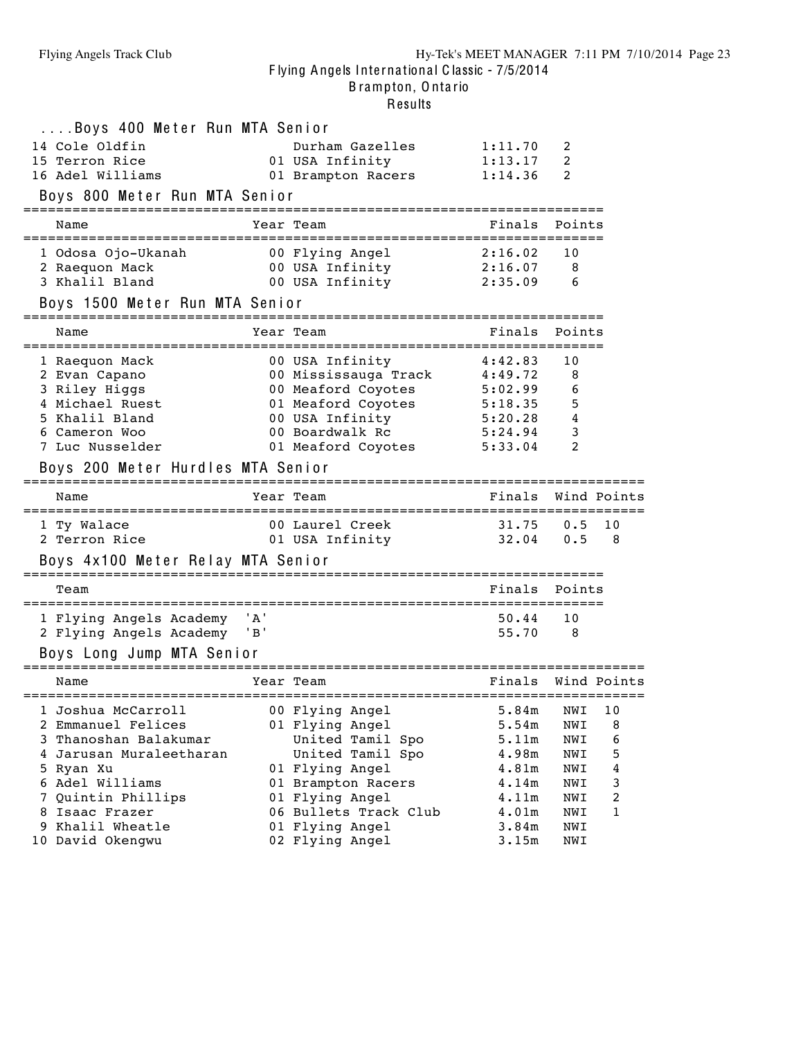B rampton, O nta rio

| Boys 400 Meter Run MTA Senior                   |       |                                                                                     |                |            |             |
|-------------------------------------------------|-------|-------------------------------------------------------------------------------------|----------------|------------|-------------|
| 14 Cole Oldfin                                  |       | Durham Gazelles                                                                     | 1:11.70        | 2          |             |
| 15 Terron Rice                                  |       | 01 USA Infinity                                                                     | 1:13.17        | 2          |             |
| 16 Adel Williams                                |       | 01 Brampton Racers                                                                  | 1:14.36        | 2          |             |
|                                                 |       |                                                                                     |                |            |             |
| Boys 800 Meter Run MTA Senior                   |       |                                                                                     |                |            |             |
| Name                                            |       | Year Team                                                                           | Finals         | Points     |             |
| 1 Odosa Ojo-Ukanah                              |       |                                                                                     | 2:16.02        | 10         |             |
| 2 Raequon Mack                                  |       | 00 Flying Angel<br>00 USA Infinity                                                  | 2:16.07        | 8          |             |
| 3 Khalil Bland                                  |       | 00 USA Infinity                                                                     | 2:35.09        | 6          |             |
| Boys 1500 Meter Run MTA Senior                  |       |                                                                                     |                |            |             |
| Name                                            |       | Year Team                                                                           | Finals         | Points     |             |
|                                                 |       |                                                                                     |                |            |             |
| 1 Raequon Mack                                  |       | 00 USA Infinity                                                                     | 4:42.83        | 10         |             |
| 2 Evan Capano                                   |       | 00 Mississauga Track 4:49.72                                                        |                | 8          |             |
| 3 Riley Higgs                                   |       | 00 Meaford Coyotes 5:02.99<br>01 Meaford Coyotes 5:18.35<br>00 USA Infinity 5:20.28 |                | 6          |             |
| 4 Michael Ruest                                 |       |                                                                                     |                | 5          |             |
| 5 Khalil Bland                                  |       |                                                                                     |                | 4          |             |
| 6 Cameron Woo                                   |       | 00 Boardwalk Rc                                                                     | 5:24.94        | 3          |             |
| 7 Luc Nusselder                                 |       | 01 Meaford Coyotes 5:33.04                                                          |                | 2          |             |
| Boys 200 Meter Hurdles MTA Senior               |       |                                                                                     |                |            |             |
|                                                 |       |                                                                                     |                |            |             |
| Name                                            |       | Year Team                                                                           | Finals         |            | Wind Points |
|                                                 |       |                                                                                     |                |            |             |
| 1 Ty Walace                                     |       | 00 Laurel Creek                                                                     | 31.75          | 0.5        | 10          |
| 2 Terron Rice                                   |       | 01 USA Infinity                                                                     | 32.04          | 0.5        | - 8         |
| Boys 4x100 Meter Relay MTA Senior               |       |                                                                                     |                |            |             |
| Team                                            |       |                                                                                     | Finals         | Points     |             |
|                                                 |       |                                                                                     |                |            |             |
| 1 Flying Angels Academy                         | ' A ' |                                                                                     | 50.44          | 10         |             |
| 2 Flying Angels Academy                         | 'B'   |                                                                                     | 55.70          | -8         |             |
| Boys Long Jump MTA Senior                       |       |                                                                                     |                |            |             |
| Name                                            |       | Year Team                                                                           | Finals         |            | Wind Points |
|                                                 |       |                                                                                     |                |            |             |
| 1 Joshua McCarroll booglying Angel 5.84m NWI 10 |       |                                                                                     |                |            |             |
| 2 Emmanuel Felices                              |       | 01 Flying Angel                                                                     | 5.54m          | NWI        | 8           |
| 3 Thanoshan Balakumar                           |       | United Tamil Spo                                                                    | 5.11m          | NWI        | 6           |
| 4 Jarusan Muraleetharan                         |       | United Tamil Spo                                                                    | 4.98m<br>4.81m | NWI<br>NWI | 5<br>4      |
| 5 Ryan Xu                                       |       | 01 Flying Angel                                                                     | 4.14m          | NWI        | 3           |
| 6 Adel Williams                                 |       | 01 Brampton Racers                                                                  |                | NWI        | 2           |
| 7 Quintin Phillips<br>8 Isaac Frazer            |       | 01 Flying Angel<br>06 Bullets Track Club                                            | 4.11m<br>4.01m | NWI        | 1           |
| 9 Khalil Wheatle                                |       | 01 Flying Angel                                                                     | 3.84m          | NWI        |             |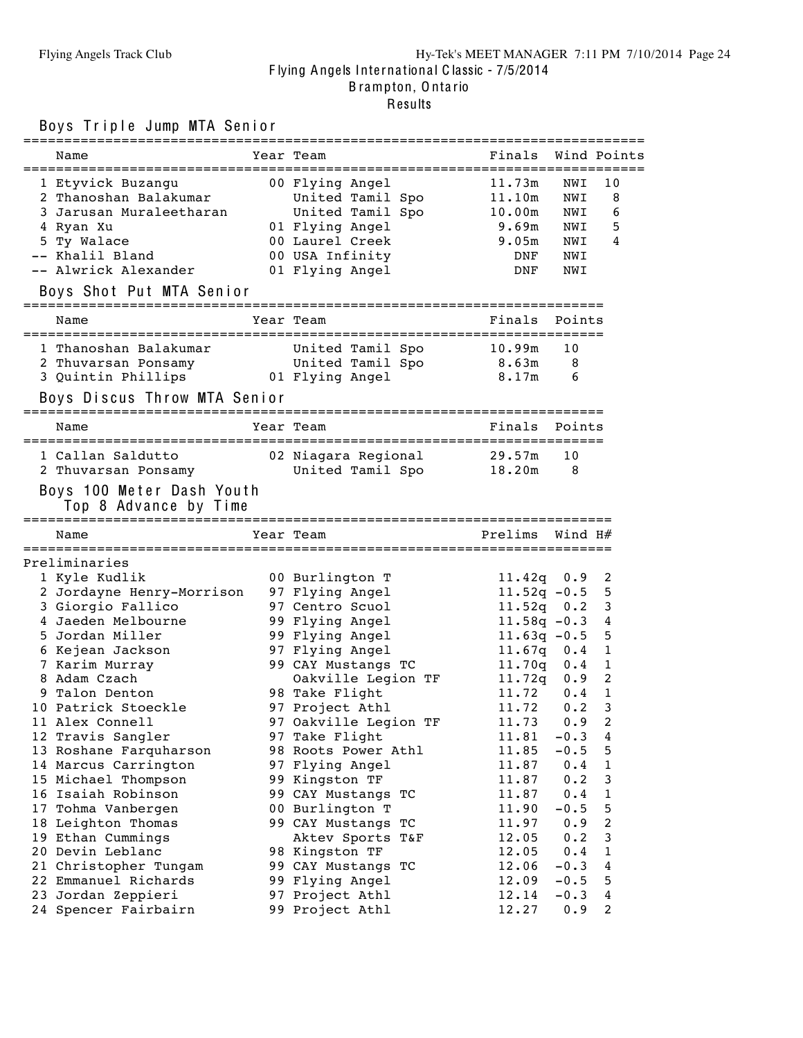### Flying Angels Track Club Hy-Tek's MEET MANAGER 7:11 PM 7/10/2014 Page 24 F lying Angels Inte rna tiona l C lassic - 7/5/2014 B rampton, O nta rio Results

### Boys Triple Jump MTA Senior

|    | Name                                                                                                                                    | Year Team                          | Finals Wind Points        |           |                |
|----|-----------------------------------------------------------------------------------------------------------------------------------------|------------------------------------|---------------------------|-----------|----------------|
|    | 1 Etyvick Buzangu                                                                                                                       | 00 Flying Angel                    | 11.73m                    | NWI       | 10             |
|    | 2 Thanoshan Balakumar                                                                                                                   | United Tamil Spo                   | 11.10m                    | NWI       | 8              |
|    | 3 Jarusan Muraleetharan                                                                                                                 | United Tamil Spo                   | $10\centerdot 00\text{m}$ | NWI       | 6              |
|    | 4 Ryan Xu                                                                                                                               | 01 Flying Angel                    | 9.69m                     | NWI       | 5              |
|    | 5 Ty Walace                                                                                                                             | 00 Laurel Creek                    | 9.05m                     | NWI       | 4              |
|    | -- Khalil Bland                                                                                                                         | 00 USA Infinity                    | DNF                       | NWI       |                |
|    | -- Alwrick Alexander                                                                                                                    | 01 Flying Angel                    | DNF                       | NWI       |                |
|    | Boys Shot Put MTA Senior                                                                                                                |                                    |                           |           |                |
|    | Name                                                                                                                                    | Year Team                          | Finals                    | Points    |                |
|    |                                                                                                                                         |                                    |                           | 10        |                |
|    | 1 Thanoshan Balakumar               United Tamil Spo           10.99m<br>2 Thuvarsan Ponsamy             United Tamil Spo         8.63m |                                    |                           | 8         |                |
|    | 3 Quintin Phillips 61 Flying Angel                                                                                                      | 8.17m                              |                           | 6         |                |
|    | Boys Discus Throw MTA Senior                                                                                                            |                                    |                           |           |                |
|    | Name                                                                                                                                    | Year Team                          | Finals                    | Points    |                |
|    | 1 Callan Saldutto                                                                                                                       | 02 Niagara Regional 29.57m         |                           | 10        |                |
|    | 2 Thuvarsan Ponsamy                                                                                                                     | United Tamil Spo 18.20m            |                           | 8         |                |
|    | Boys 100 Meter Dash Youth<br>Top 8 Advance by Time                                                                                      |                                    |                           |           |                |
|    | Name                                                                                                                                    | Year Team                          | Prelims                   | Wind $H#$ |                |
|    | Preliminaries                                                                                                                           |                                    |                           |           |                |
|    | 1 Kyle Kudlik                                                                                                                           | 00 Burlington T                    | $11.42q$ 0.9              |           | 2              |
|    | 2 Jordayne Henry-Morrison                                                                                                               | 97 Flying Angel                    | $11.52q - 0.5$            |           | 5              |
|    | 3 Giorgio Fallico                                                                                                                       | 97 Centro Scuol                    | $11.52q$ 0.2              |           | 3              |
|    | 4 Jaeden Melbourne                                                                                                                      | 99 Flying Angel                    | $11.58q - 0.3$            |           | 4              |
|    | 5 Jordan Miller                                                                                                                         | 99 Flying Angel                    | $11.63q - 0.5$            |           | 5              |
|    | 6 Kejean Jackson                                                                                                                        | 97 Flying Angel                    | $11.67q$ 0.4              |           | $\mathbf{1}$   |
|    | 7 Karim Murray                                                                                                                          | 99 CAY Mustangs TC                 | $11.70q$ 0.4              |           | $\mathbf 1$    |
|    | 8 Adam Czach                                                                                                                            | Oakville Legion TF                 | $11.72q$ 0.9              |           | 2              |
|    | 9 Talon Denton                                                                                                                          | 98 Take Flight                     | 11.72 0.4                 |           | 1              |
|    | 10 Patrick Stoeckle                                                                                                                     | 97 Project Athl                    | 11.72                     | 0.2       | 3              |
|    | 11 Alex Connell                                                                                                                         | 97 Oakville Legion TF              | $11.73$ 0.9 2             |           |                |
|    | 12 Travis Sangler                                                                                                                       | 97 Take Flight                     | 11.81                     | $-0.3$    | 4              |
|    | 13 Roshane Farquharson                                                                                                                  | 98 Roots Power Athl                | 11.85                     | $-0.5$    | 5              |
|    | 14 Marcus Carrington                                                                                                                    | 97 Flying Angel                    | 11.87                     | 0.4       | 1              |
|    | 15 Michael Thompson                                                                                                                     | 99 Kingston TF                     | 11.87                     | 0.2       | 3              |
|    | 16 Isaiah Robinson                                                                                                                      | 99 CAY Mustangs TC                 | 11.87                     | 0.4       | 1              |
| 17 | Tohma Vanbergen                                                                                                                         | 00 Burlington T                    | 11.90                     | $-0.5$    | 5              |
|    | 18 Leighton Thomas                                                                                                                      | 99 CAY Mustangs TC                 | 11.97                     | 0.9       | $\overline{c}$ |
|    | 19 Ethan Cummings                                                                                                                       | Aktev Sports T&F                   | 12.05                     | 0.2       | 3              |
|    | 20 Devin Leblanc                                                                                                                        | 98 Kingston TF                     | 12.05                     | 0.4       | 1              |
|    | 21 Christopher Tungam                                                                                                                   | 99 CAY Mustangs TC                 | 12.06                     | $-0.3$    | 4              |
|    | 22 Emmanuel Richards                                                                                                                    | 99 Flying Angel                    | 12.09                     | $-0.5$    | 5              |
|    | 23 Jordan Zeppieri                                                                                                                      | 97 Project Athl<br>99 Project Athl | 12.14<br>12.27            | $-0.3$    | 4<br>2         |
|    | 24 Spencer Fairbairn                                                                                                                    |                                    |                           | 0.9       |                |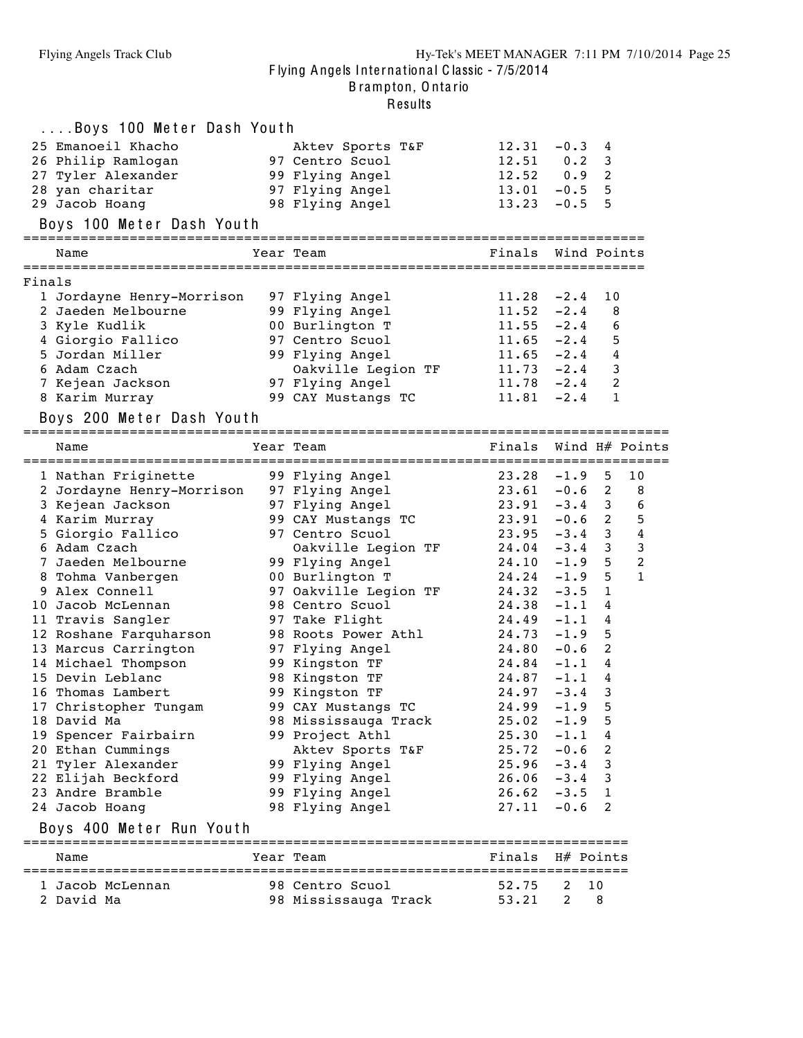.<br>Results

|        | Boys 100 Meter Dash Youth |                          |               |             |                |                  |
|--------|---------------------------|--------------------------|---------------|-------------|----------------|------------------|
|        | 25 Emanoeil Khacho        | Aktev Sports T&F         | 12.31         | $-0.3$      | 4              |                  |
|        | 26 Philip Ramlogan        | 97 Centro Scuol          | $12.51$ 0.2   |             | 3              |                  |
|        | 27 Tyler Alexander        | 99 Flying Angel          | $12.52 \t0.9$ |             | 2              |                  |
|        | 28 yan charitar           | 97 Flying Angel          | 13.01         | $-0.5$      | 5              |                  |
|        | 29 Jacob Hoang            | 98 Flying Angel          | 13.23         | $-0.5$      | 5              |                  |
|        | Boys 100 Meter Dash Youth |                          |               |             |                |                  |
|        |                           |                          |               |             |                |                  |
|        | Name                      | Year Team                | Finals        | Wind Points |                |                  |
| Finals |                           |                          |               |             |                |                  |
|        | 1 Jordayne Henry-Morrison | 97 Flying Angel          | 11.28         | $-2.4$      | 10             |                  |
|        | 2 Jaeden Melbourne        | 99 Flying Angel          | 11.52         | $-2.4$      | 8              |                  |
|        | 3 Kyle Kudlik             | 00 Burlington T          | 11.55         | $-2.4$      | 6              |                  |
|        | 4 Giorgio Fallico         | 97 Centro Scuol          | 11.65         | $-2.4$      | 5              |                  |
|        | 5 Jordan Miller           | 99 Flying Angel          | 11.65         | $-2.4$      | 4              |                  |
|        | 6 Adam Czach              | Oakville Legion TF 11.73 |               | $-2.4$      | 3              |                  |
|        | 7 Kejean Jackson          | 97 Flying Angel          | $11.78 - 2.4$ |             | 2              |                  |
|        | 8 Karim Murray            | 99 CAY Mustangs TC       | 11.81         | $-2.4$      | 1              |                  |
|        | Boys 200 Meter Dash Youth |                          |               |             |                |                  |
|        |                           |                          |               |             |                |                  |
|        | Name                      | Year Team                | Finals        |             |                | Wind H# Points   |
|        | 1 Nathan Friginette       | 99 Flying Angel          | 23.28         | $-1.9$      | 5              | 10               |
|        | 2 Jordayne Henry-Morrison | 97 Flying Angel          | 23.61         | $-0.6$ 2    |                | 8                |
|        | 3 Kejean Jackson          | 97 Flying Angel          | 23.91         | $-3.4$ 3    |                | 6                |
|        | 4 Karim Murray            | 99 CAY Mustangs TC       | 23.91         | $-0.6$ 2    |                | 5                |
|        | 5 Giorgio Fallico         | 97 Centro Scuol          | 23.95         | $-3.4$ 3    |                | $\bf{4}$         |
|        | 6 Adam Czach              | Oakville Legion TF       | 24.04         | $-3.4$      | 3              | 3                |
|        | 7 Jaeden Melbourne        | 99 Flying Angel          | 24.10         | $-1.9$      | 5              | $\boldsymbol{2}$ |
|        | 8 Tohma Vanbergen         | 00 Burlington T          | 24.24         | $-1.9$      | 5              | $\mathbf{1}$     |
|        | 9 Alex Connell            | 97 Oakville Legion TF    | 24.32         | $-3.5$      | 1              |                  |
|        | 10 Jacob McLennan         | 98 Centro Scuol          | 24.38         | $-1.1$      | 4              |                  |
|        | 11 Travis Sangler         | 97 Take Flight           | 24.49         | $-1.1$      | 4              |                  |
|        | 12 Roshane Farquharson    | 98 Roots Power Athl      | 24.73         | $-1.9$      | 5              |                  |
|        | 13 Marcus Carrington      | 97 Flying Angel          | 24.80         | $-0.6$      | $\overline{c}$ |                  |
|        | 14 Michael Thompson       | 99 Kingston TF           | 24.84         | $-1.1$      | 4              |                  |
|        | 15 Devin Leblanc          | 98 Kingston TF           | 24.87         | $-1.1$      | 4              |                  |
|        | 16 Thomas Lambert         | 99 Kingston TF           | 24.97         | $-3.4$      | 3              |                  |
|        | 17 Christopher Tungam     | 99 CAY Mustangs TC       | 24.99         | $-1.9$ 5    |                |                  |
|        | 18 David Ma               | 98 Mississauga Track     | 25.02         | $-1.9$      | 5              |                  |
|        | 19 Spencer Fairbairn      | 99 Project Athl          | 25.30         | $-1.1$      | 4              |                  |
|        | 20 Ethan Cummings         | Aktev Sports T&F         | 25.72         | $-0.6$      | 2              |                  |
|        | 21 Tyler Alexander        | 99 Flying Angel          | 25.96         | $-3.4$      | 3              |                  |
|        | 22 Elijah Beckford        |                          | 26.06         | $-3.4$      | 3              |                  |
|        |                           | 99 Flying Angel          | 26.62         | $-3.5$      |                |                  |
|        | 23 Andre Bramble          | 99 Flying Angel          | 27.11         |             | 1<br>2         |                  |
|        | 24 Jacob Hoang            | 98 Flying Angel          |               | $-0.6$      |                |                  |
|        | Boys 400 Meter Run Youth  |                          |               |             |                |                  |
|        | Name                      | Year Team                | Finals        | H# Points   |                |                  |
|        | 1 Jacob McLennan          | 98 Centro Scuol          | 52.75         | 2           | 10             |                  |
|        | 2 David Ma                | 98 Mississauga Track     | 53.21         | 2           | 8              |                  |
|        |                           |                          |               |             |                |                  |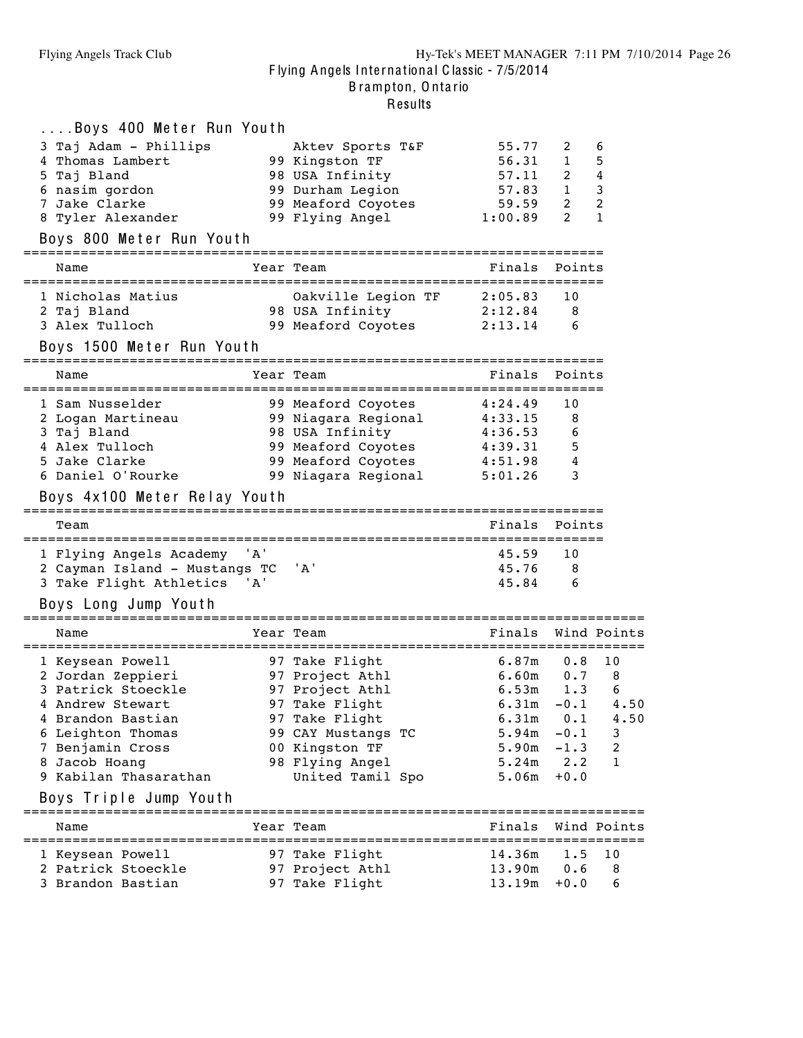| Boys 400 Meter Run Youth              |                                                      |                    |              |                      |
|---------------------------------------|------------------------------------------------------|--------------------|--------------|----------------------|
| 3 Taj Adam - Phillips                 | Aktev Sports T&F                                     | 55.77              | 2            | 6                    |
| 4 Thomas Lambert                      | 99 Kingston TF                                       | 56.31              | $\mathbf{1}$ | 5                    |
| 5 Taj Bland                           | 98 USA Infinity                                      | 57.11              | $2^{\circ}$  | 4                    |
| 6 nasim gordon                        | 99 Durham Legion                                     | 57.83 1            |              | 3                    |
| 7 Jake Clarke                         | 99 Meaford Coyotes                                   | $59.59$ 2          |              | $\overline{c}$       |
| 8 Tyler Alexander                     | 99 Flying Angel                                      | 1:00.89            | 2            | $\mathbf{1}$         |
| Boys 800 Meter Run Youth              |                                                      |                    |              |                      |
|                                       |                                                      |                    |              |                      |
| Name                                  | Year Team                                            | Finals             | Points       |                      |
| 1 Nicholas Matius                     | Oakville Legion TF 2:05.83                           |                    | 10           |                      |
| 2 Taj Bland                           | 98 USA Infinity                                      | 2:12.84            | 8            |                      |
| 3 Alex Tulloch                        | 99 Meaford Coyotes                                   | 2:13.14            | 6            |                      |
| Boys 1500 Meter Run Youth             |                                                      |                    |              |                      |
| Name                                  | Year Team                                            | Finals             | Points       |                      |
|                                       |                                                      |                    |              |                      |
| 1 Sam Nusselder                       | 99 Meaford Coyotes                                   | 4:24.49            | 10           |                      |
| 2 Logan Martineau                     | 99 Niagara Regional                                  | 4:33.15            | 8            |                      |
| 3 Taj Bland                           | 98 USA Infinity                                      | 4:36.53            | 6            |                      |
| 4 Alex Tulloch                        | 99 Meaford Coyotes                                   | 4:39.31<br>4:51.98 | 5            |                      |
| 5 Jake Clarke                         | 99 Meaford Coyotes                                   |                    | 4            |                      |
| 6 Daniel O'Rourke                     | 99 Niagara Regional                                  | 5:01.26            | 3            |                      |
| Boys 4x100 Meter Relay Youth          |                                                      |                    |              |                      |
|                                       |                                                      |                    |              |                      |
| Team                                  |                                                      | Finals             | Points       |                      |
|                                       |                                                      |                    |              |                      |
| ' A '<br>1 Flying Angels Academy      |                                                      | 45.59              | 10           |                      |
| 2 Cayman Island - Mustangs TC         | ' A '                                                | 45.76              | 8            |                      |
| 3 Take Flight Athletics<br>'A'        |                                                      | 45.84              | 6            |                      |
| Boys Long Jump Youth                  |                                                      |                    |              |                      |
| Name                                  | Year Team                                            | Finals             |              | Wind Points          |
|                                       |                                                      | 6.87m              | 0.8          | 10                   |
| 1 Keysean Powell<br>2 Jordan Zeppieri |                                                      |                    |              | 8                    |
| 3 Patrick Stoeckle                    | 97 Take Flight<br>97 Project Athl<br>97 Project Athl | 6.60m<br>6.53m     | 0.7<br>1.3   | 6                    |
| 4 Andrew Stewart                      | 97 Take Flight                                       | $6.31m - 0.1$ 4.50 |              |                      |
| 4 Brandon Bastian                     | 97 Take Flight                                       |                    |              | $6.31m$ $0.1$ $4.50$ |
| 6 Leighton Thomas                     | 99 CAY Mustangs TC                                   | 5.94m              | $-0.1$       | 3                    |
| 7 Benjamin Cross                      | 00 Kingston TF                                       | 5.90m              | $-1.3$       | 2                    |
| 8 Jacob Hoang                         | 98 Flying Angel                                      | $5.24m$ $2.2$      |              | 1                    |
| 9 Kabilan Thasarathan                 | United Tamil Spo                                     | 5.06m              | $+0.0$       |                      |
| Boys Triple Jump Youth                |                                                      |                    |              |                      |
| Name                                  | Year Team                                            | Finals             |              | Wind Points          |
|                                       |                                                      |                    |              |                      |
| 1 Keysean Powell                      | 97 Take Flight                                       | $14.36m$ 1.5       |              | 10                   |
| 2 Patrick Stoeckle                    | 97 Project Athl                                      | $13.90m$ 0.6       |              | 8                    |
| 3 Brandon Bastian                     | 97 Take Flight                                       | $13.19m + 0.0$     |              | 6                    |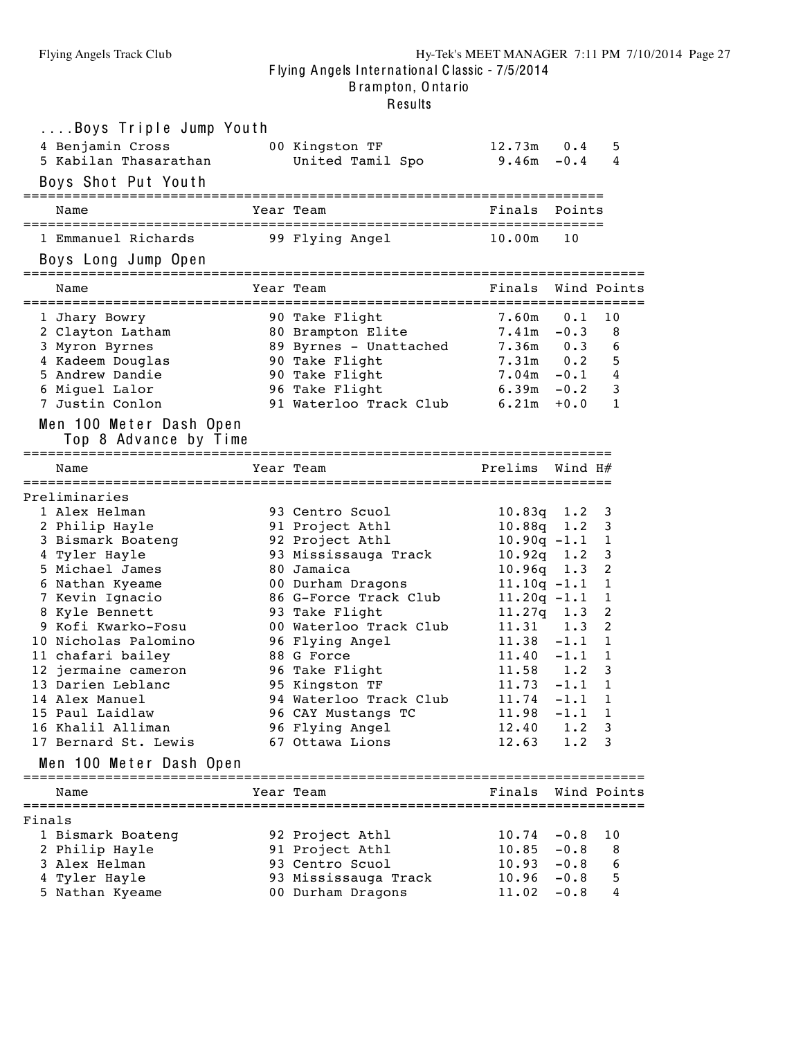B rampton, O nta rio

|        | Boys Triple Jump Youth                                                                                 |                                           |                 |         |                |
|--------|--------------------------------------------------------------------------------------------------------|-------------------------------------------|-----------------|---------|----------------|
|        |                                                                                                        |                                           | $12.73m$ 0.4    |         | 5              |
|        | 4 Benjamin Cross                         00 Kingston TF<br>5 Kabilan Thasarathan           United Tami | United Tamil Spo                          | $9.46m - 0.4$   |         | 4              |
|        | Boys Shot Put Youth                                                                                    |                                           |                 |         |                |
|        |                                                                                                        |                                           |                 |         |                |
|        | Name                                                                                                   | Year Team                                 | Finals          | Points  |                |
|        |                                                                                                        |                                           |                 |         |                |
|        | 1 Emmanuel Richards 99 Flying Angel                                                                    |                                           | 10.00m          | 10      |                |
|        | Boys Long Jump Open                                                                                    |                                           |                 |         |                |
|        |                                                                                                        |                                           |                 |         |                |
|        | Name                                                                                                   | Year Team                                 | Finals          |         | Wind Points    |
|        | 1 Jhary Bowry                                                                                          | 90 Take Flight                            | $7.60m$ 0.1     |         | 10             |
|        | 2 Clayton Latham                                                                                       | 80 Brampton Elite                         | $7.41m - 0.3$   |         | 8              |
|        | 3 Myron Byrnes                                                                                         | 89 Byrnes - Unattached                    | $7.36m$ $0.3$   |         | 6              |
|        | 4 Kadeem Douglas                                                                                       | 90 Take Flight                            | $7.31m$ 0.2     |         | 5              |
|        | 5 Andrew Dandie                                                                                        |                                           | $7.04m - 0.1$ 4 |         |                |
|        | 6 Miguel Lalor                                                                                         | 90 Take Flight<br>96 Take Flight<br>01 II | $6.39m - 0.2$   |         | 3              |
|        | 7 Justin Conlon                                                                                        | 91 Waterloo Track Club                    | 6.21m           | $+0.0$  | $\mathbf{1}$   |
|        |                                                                                                        |                                           |                 |         |                |
|        | Men 100 Meter Dash Open                                                                                |                                           |                 |         |                |
|        | Top 8 Advance by Time                                                                                  |                                           |                 |         |                |
|        |                                                                                                        |                                           |                 |         |                |
|        | Name                                                                                                   | Year Team                                 | Prelims         | Wind H# |                |
|        | Preliminaries                                                                                          |                                           |                 |         |                |
|        | 1 Alex Helman                                                                                          | 93 Centro Scuol                           | $10.83q$ 1.2    |         | 3              |
|        | 2 Philip Hayle                                                                                         | 91 Project Athl                           | $10.88q$ 1.2    |         | 3              |
|        | 3 Bismark Boateng                                                                                      | 92 Project Athl                           | $10.90q - 1.1$  |         | 1              |
|        | 4 Tyler Hayle                                                                                          | 93 Mississauga Track                      | $10.92q$ 1.2    |         | 3              |
|        | 5 Michael James                                                                                        | 80 Jamaica                                | $10.96q$ 1.3    |         | $\overline{c}$ |
|        | 6 Nathan Kyeame                                                                                        | 00 Durham Dragons                         | $11.10q - 1.1$  |         | $\mathbf{1}$   |
|        | 7 Kevin Ignacio                                                                                        | 86 G-Force Track Club                     | $11.20q - 1.1$  |         | 1              |
|        | 8 Kyle Bennett                                                                                         | 93 Take Flight                            | $11.27q$ 1.3    |         | 2              |
|        | 9 Kofi Kwarko-Fosu                                                                                     | 00 Waterloo Track Club                    | $11.31 \t1.3$   |         | 2              |
|        | 10 Nicholas Palomino                                                                                   | 96 Flying Angel                           | $11.38 - 1.1$   |         | $\mathbf{1}$   |
|        | 11 chafari bailey                                                                                      | 88 G Force                                | $11.40 - 1.1$   |         | 1              |
|        | 12 jermaine cameron                                                                                    | 96 Take Flight                            | $11.58$ 1.2     |         | 3              |
|        | 13 Darien Leblanc                                                                                      | 95 Kingston TF                            | $11.73 - 1.1$   |         | 1              |
|        | 14 Alex Manuel                                                                                         | 94 Waterloo Track Club                    | 11.74           | $-1.1$  | 1              |
|        | 15 Paul Laidlaw                                                                                        | 96 CAY Mustangs TC                        | 11.98           | $-1.1$  | 1              |
|        | 16 Khalil Alliman                                                                                      | 96 Flying Angel                           | 12.40           | 1.2     | 3              |
|        | 17 Bernard St. Lewis                                                                                   | 67 Ottawa Lions                           | 12.63           | 1.2     | 3              |
|        |                                                                                                        |                                           |                 |         |                |
|        | Men 100 Meter Dash Open                                                                                |                                           |                 |         |                |
|        | Name                                                                                                   | Year Team                                 | Finals          |         | Wind Points    |
|        |                                                                                                        |                                           |                 |         |                |
| Finals |                                                                                                        |                                           |                 |         |                |
|        | 1 Bismark Boateng                                                                                      | 92 Project Athl                           | 10.74           | $-0.8$  | 10             |
|        | 2 Philip Hayle                                                                                         | 91 Project Athl                           | 10.85           | $-0.8$  | 8              |
|        | 3 Alex Helman                                                                                          | 93 Centro Scuol                           | 10.93           | $-0.8$  | 6              |
|        | 4 Tyler Hayle                                                                                          | 93 Mississauga Track                      | 10.96           | $-0.8$  | 5              |
|        | 5 Nathan Kyeame                                                                                        | 00 Durham Dragons                         | 11.02           | $-0.8$  | 4              |
|        |                                                                                                        |                                           |                 |         |                |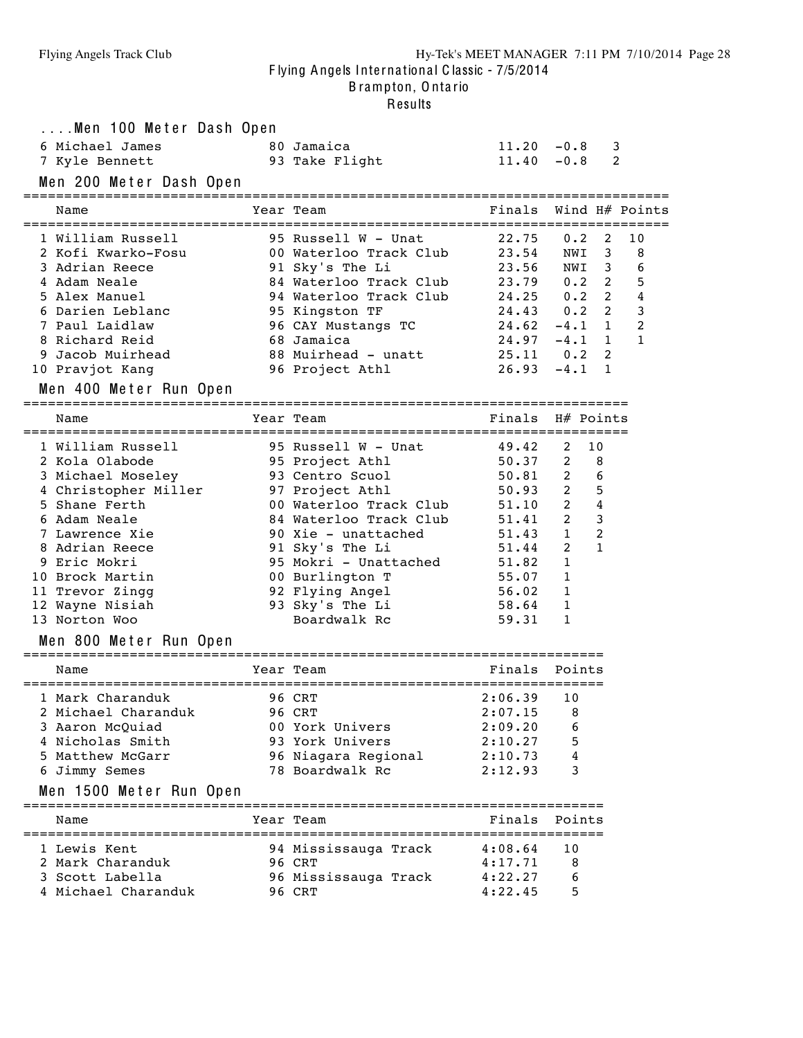#### Flying Angels Track Club Hy-Tek's MEET MANAGER 7:11 PM 7/10/2014 Page 28 F lying Angels Inte rna tiona l C lassic - 7/5/2014

B rampton, O nta rio

| Men 100 Meter Dash Open<br>6 Michael James<br>7 Kyle Bennett<br>Men 200 Meter Dash Open                                                                                                                                                                                                                           | 80 Jamaica<br>93 Take Flight                                                                                                                                                                                                                                                 | $11.20 - 0.8$<br>$11.40 - 0.8$                                                                                    | 3<br>2                                                                                                                                                                                                                                                           |                                                                 |
|-------------------------------------------------------------------------------------------------------------------------------------------------------------------------------------------------------------------------------------------------------------------------------------------------------------------|------------------------------------------------------------------------------------------------------------------------------------------------------------------------------------------------------------------------------------------------------------------------------|-------------------------------------------------------------------------------------------------------------------|------------------------------------------------------------------------------------------------------------------------------------------------------------------------------------------------------------------------------------------------------------------|-----------------------------------------------------------------|
| Name                                                                                                                                                                                                                                                                                                              | Year Team                                                                                                                                                                                                                                                                    | Finals                                                                                                            | Wind H# Points                                                                                                                                                                                                                                                   |                                                                 |
| 1 William Russell<br>2 Kofi Kwarko-Fosu<br>3 Adrian Reece<br>4 Adam Neale<br>5 Alex Manuel<br>6 Darien Leblanc<br>7 Paul Laidlaw<br>8 Richard Reid<br>Jacob Muirhead<br>9<br>10 Pravjot Kang                                                                                                                      | 95 Russell W - Unat<br>00 Waterloo Track Club<br>91 Sky's The Li<br>84 Waterloo Track Club<br>94 Waterloo Track Club<br>95 Kingston TF<br>96 CAY Mustangs TC<br>68 Jamaica<br>88 Muirhead - unatt<br>96 Project Athl                                                         | 22.75<br>23.54<br>23.56<br>23.79<br>$24.25$ 0.2<br>$24.43$ 0.2<br>24.62<br>24.97<br>25.11<br>26.93                | 0.2<br>2<br>3<br>NWI<br>NWI<br>3<br>2<br>0.2<br>$\overline{2}$<br>$\overline{2}$<br>$\mathbf{1}$<br>$-4.1$<br>$-4.1$<br>$\mathbf{1}$<br>2<br>0.2<br>$\mathbf{1}$<br>$-4 \cdot 1$                                                                                 | 10<br>8<br>6<br>5<br>$\overline{4}$<br>3<br>$\overline{2}$<br>1 |
| Men 400 Meter Run Open                                                                                                                                                                                                                                                                                            | :==================                                                                                                                                                                                                                                                          |                                                                                                                   |                                                                                                                                                                                                                                                                  |                                                                 |
| Name                                                                                                                                                                                                                                                                                                              | Year Team<br>:===============<br>-===============================                                                                                                                                                                                                            | Finals                                                                                                            | H# Points                                                                                                                                                                                                                                                        |                                                                 |
| 1 William Russell<br>2 Kola Olabode<br>3 Michael Moseley<br>4 Christopher Miller<br>5 Shane Ferth<br>6 Adam Neale<br>7 Lawrence Xie<br>8 Adrian Reece<br>9 Eric Mokri<br>10 Brock Martin<br>11 Trevor Zingg<br>12 Wayne Nisiah<br>13 Norton Woo<br>Men 800 Meter Run Open<br>=============<br>=================== | 95 Russell W - Unat<br>95 Project Athl<br>93 Centro Scuol<br>97 Project Athl<br>00 Waterloo Track Club<br>84 Waterloo Track Club<br>90 Xie - unattached<br>91 Sky's The Li<br>95 Mokri - Unattached<br>00 Burlington T<br>92 Flying Angel<br>93 Sky's The Li<br>Boardwalk Rc | 49.42<br>50.37<br>50.81<br>50.93<br>51.10<br>51.41<br>51.43<br>51.44<br>51.82<br>55.07<br>56.02<br>58.64<br>59.31 | 10<br>2<br>$\overline{2}$<br>8<br>$\overline{2}$<br>6<br>$\overline{2}$<br>5<br>$\overline{2}$<br>4<br>$\overline{2}$<br>$\overline{\mathbf{3}}$<br>2<br>$\mathbf{1}$<br>$\overline{2}$<br>$\mathbf{1}$<br>$\mathbf{1}$<br>1<br>1<br>$\mathbf 1$<br>$\mathbf{1}$ |                                                                 |
| Name                                                                                                                                                                                                                                                                                                              | Year Team                                                                                                                                                                                                                                                                    | Finals                                                                                                            | Points                                                                                                                                                                                                                                                           |                                                                 |
| 1 Mark Charanduk<br>2 Michael Charanduk<br>3 Aaron McQuiad<br>4 Nicholas Smith<br>5 Matthew McGarr<br>6 Jimmy Semes<br>Men 1500 Meter Run Open                                                                                                                                                                    | 96 CRT<br>96 CRT<br>00 York Univers<br>93 York Univers<br>96 Niagara Regional<br>78 Boardwalk Rc                                                                                                                                                                             | 2:06.39<br>2:07.15<br>2:09.20<br>2:10.27<br>2:10.73<br>2:12.93                                                    | 10<br>8<br>6<br>5<br>4<br>3                                                                                                                                                                                                                                      |                                                                 |
| Name                                                                                                                                                                                                                                                                                                              | Year Team                                                                                                                                                                                                                                                                    | Finals                                                                                                            | Points                                                                                                                                                                                                                                                           |                                                                 |
| 1 Lewis Kent<br>2 Mark Charanduk<br>3 Scott Labella<br>4 Michael Charanduk                                                                                                                                                                                                                                        | 94 Mississauga Track<br>96 CRT<br>96 Mississauga Track<br>96 CRT                                                                                                                                                                                                             | 4:08.64<br>4:17.71<br>4:22.27<br>4:22.45                                                                          | 10<br>8<br>6<br>5                                                                                                                                                                                                                                                |                                                                 |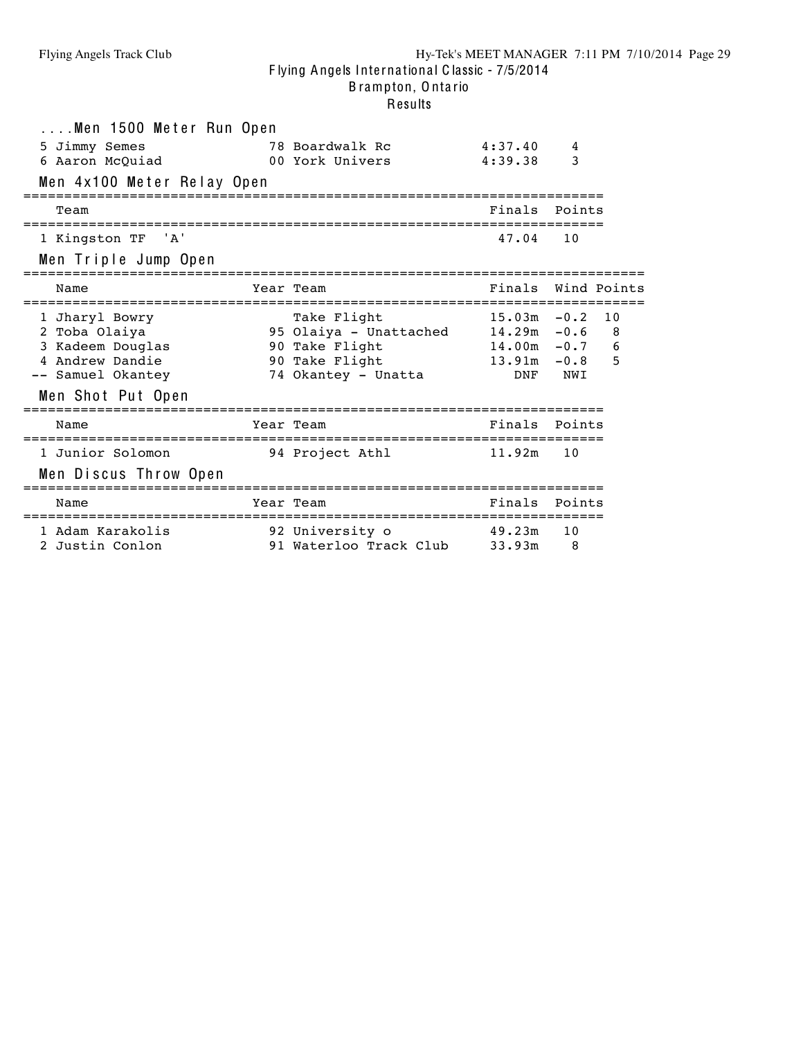| Men 1500 Meter Run Open<br>5 Jimmy Semes<br>6 Aaron McQuiad<br>Men 4x100 Meter Relay Open                        | 78 Boardwalk Rc<br>00 York Univers                                                               | 4:37.40<br>4:39.38           | 4<br>3                                                                   |  |
|------------------------------------------------------------------------------------------------------------------|--------------------------------------------------------------------------------------------------|------------------------------|--------------------------------------------------------------------------|--|
| Team                                                                                                             |                                                                                                  | Finals                       | Points                                                                   |  |
| 1 Kingston TF 'A'<br>Men Triple Jump Open                                                                        |                                                                                                  | 47.04                        | 10                                                                       |  |
| Name                                                                                                             | Year Team                                                                                        | Finals                       | Wind Points                                                              |  |
| 1 Jharyl Bowry<br>2 Toba Olaiya<br>3 Kadeem Douglas<br>4 Andrew Dandie<br>-- Samuel Okantey<br>Men Shot Put Open | Take Flight<br>95 Olaiya - Unattached<br>90 Take Flight<br>90 Take Flight<br>74 Okantey - Unatta | $13.91m - 0.8$<br><b>DNF</b> | $15.03m - 0.2$ 10<br>$14.29m - 0.6$<br>8<br>$14.00m - 0.7$ 6<br>5<br>NWI |  |
| Name                                                                                                             | Year Team                                                                                        | Finals                       | Points                                                                   |  |
| 1 Junior Solomon<br>Men Discus Throw Open                                                                        | 94 Project Athl                                                                                  | 11.92m                       | 10                                                                       |  |
| Name                                                                                                             | Year Team                                                                                        | Finals                       | Points                                                                   |  |
| 1 Adam Karakolis<br>2 Justin Conlon                                                                              | 92 University o<br>91 Waterloo Track Club                                                        | 49.23m<br>33.93m             | 10<br>8                                                                  |  |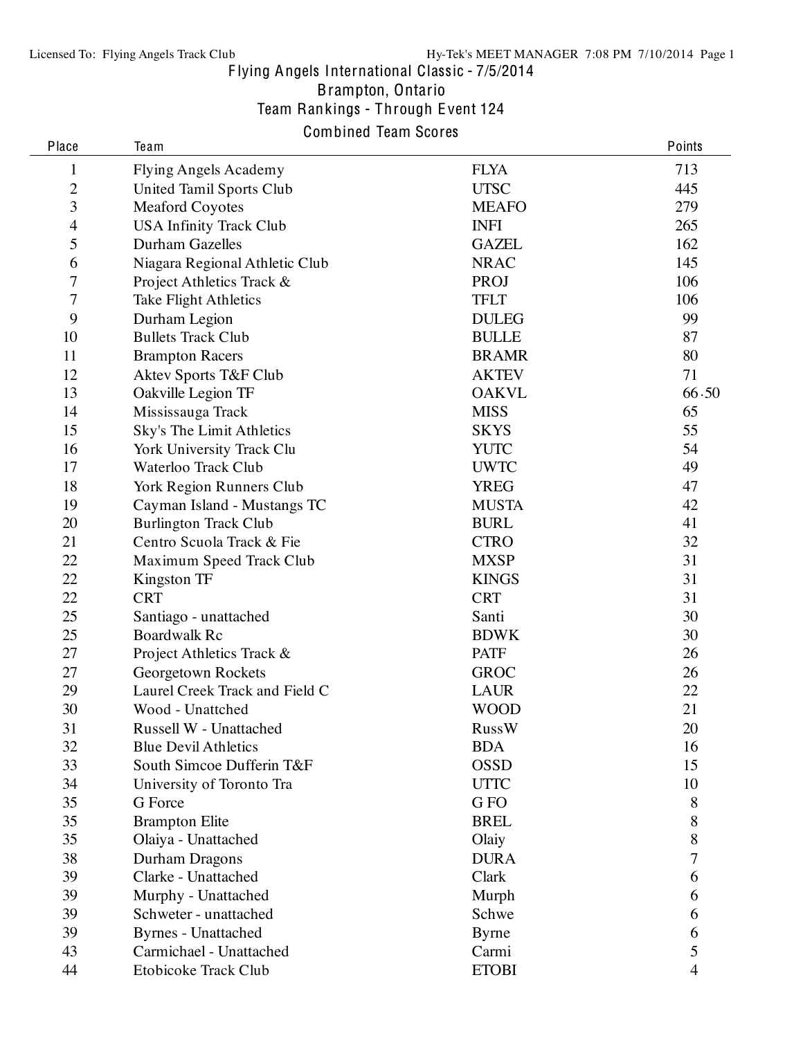Brampton, Ontario

Team Rankings - Through E vent 124

# Combined Team Scores

| Place          | Team                           |              | Points         |
|----------------|--------------------------------|--------------|----------------|
| $\mathbf 1$    | <b>Flying Angels Academy</b>   | <b>FLYA</b>  | 713            |
| $\overline{c}$ | United Tamil Sports Club       | <b>UTSC</b>  | 445            |
| 3              | <b>Meaford Coyotes</b>         | <b>MEAFO</b> | 279            |
| $\overline{4}$ | <b>USA Infinity Track Club</b> | <b>INFI</b>  | 265            |
| 5              | <b>Durham Gazelles</b>         | <b>GAZEL</b> | 162            |
| 6              | Niagara Regional Athletic Club | <b>NRAC</b>  | 145            |
| 7              | Project Athletics Track &      | PROJ         | 106            |
| $\overline{7}$ | <b>Take Flight Athletics</b>   | <b>TFLT</b>  | 106            |
| 9              | Durham Legion                  | <b>DULEG</b> | 99             |
| 10             | <b>Bullets Track Club</b>      | <b>BULLE</b> | 87             |
| 11             | <b>Brampton Racers</b>         | <b>BRAMR</b> | 80             |
| 12             | Aktev Sports T&F Club          | <b>AKTEV</b> | 71             |
| 13             | Oakville Legion TF             | <b>OAKVL</b> | 66.50          |
| 14             | Mississauga Track              | <b>MISS</b>  | 65             |
| 15             | Sky's The Limit Athletics      | <b>SKYS</b>  | 55             |
| 16             | York University Track Clu      | <b>YUTC</b>  | 54             |
| 17             | Waterloo Track Club            | <b>UWTC</b>  | 49             |
| 18             | York Region Runners Club       | <b>YREG</b>  | 47             |
| 19             | Cayman Island - Mustangs TC    | <b>MUSTA</b> | 42             |
| 20             | <b>Burlington Track Club</b>   | <b>BURL</b>  | 41             |
| 21             | Centro Scuola Track & Fie      | <b>CTRO</b>  | 32             |
| 22             | Maximum Speed Track Club       | <b>MXSP</b>  | 31             |
| 22             | Kingston TF                    | <b>KINGS</b> | 31             |
| 22             | <b>CRT</b>                     | <b>CRT</b>   | 31             |
| 25             | Santiago - unattached          | Santi        | 30             |
| 25             | <b>Boardwalk Rc</b>            | <b>BDWK</b>  | 30             |
| 27             | Project Athletics Track &      | <b>PATF</b>  | 26             |
| 27             | Georgetown Rockets             | <b>GROC</b>  | 26             |
| 29             | Laurel Creek Track and Field C | <b>LAUR</b>  | 22             |
| 30             | Wood - Unattched               | <b>WOOD</b>  | 21             |
| 31             | Russell W - Unattached         | <b>RussW</b> | 20             |
| 32             | <b>Blue Devil Athletics</b>    | <b>BDA</b>   | 16             |
| 33             | South Simcoe Dufferin T&F      | <b>OSSD</b>  | 15             |
| 34             | University of Toronto Tra      | <b>UTTC</b>  | 10             |
| 35             | G Force                        | G FO         | 8              |
| 35             | <b>Brampton Elite</b>          | <b>BREL</b>  | 8              |
| 35             | Olaiya - Unattached            | Olaiy        | 8              |
| 38             | Durham Dragons                 | <b>DURA</b>  | 7              |
| 39             | Clarke - Unattached            | Clark        | 6              |
| 39             | Murphy - Unattached            | Murph        | 6              |
| 39             | Schweter - unattached          | Schwe        | 6              |
| 39             | <b>Byrnes</b> - Unattached     | <b>Byrne</b> | 6              |
| 43             | Carmichael - Unattached        | Carmi        | 5              |
| 44             | Etobicoke Track Club           | <b>ETOBI</b> | $\overline{4}$ |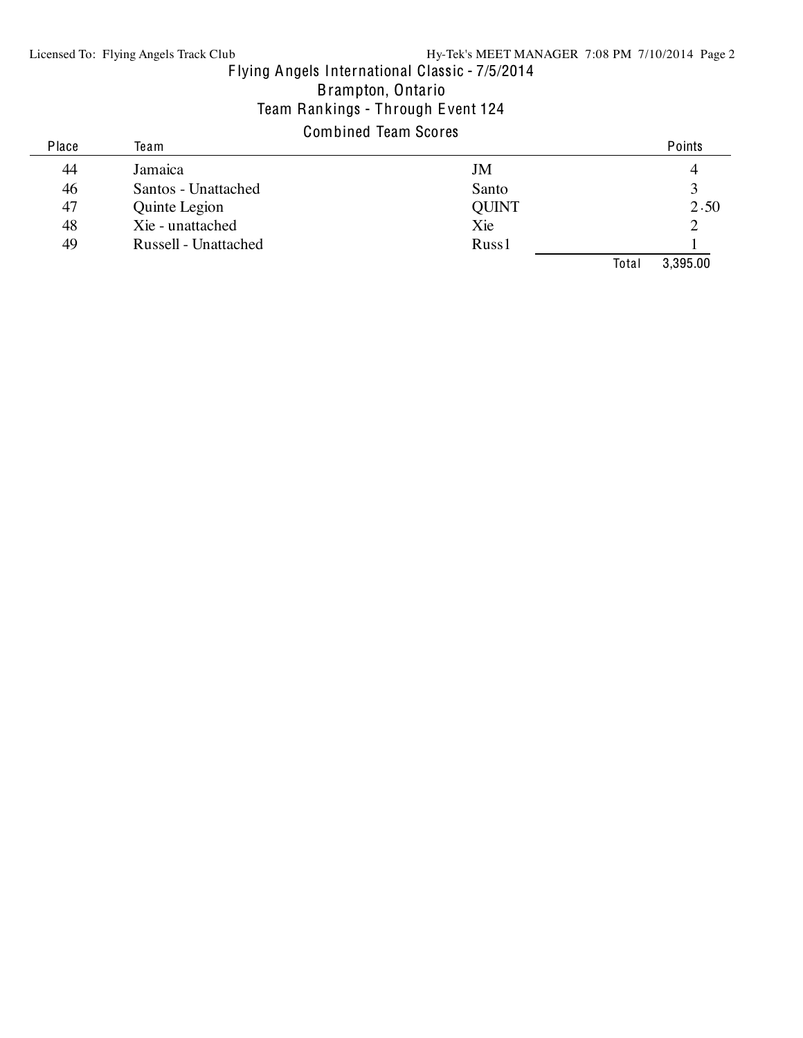Brampton, Ontario

### Team Rankings - Through E vent 124

# Combined Team Scores

| Place | Team                 |              |       | Points   |
|-------|----------------------|--------------|-------|----------|
| 44    | Jamaica              | JM           |       |          |
| 46    | Santos - Unattached  | Santo        |       |          |
| 47    | Quinte Legion        | <b>QUINT</b> |       | 2.50     |
| 48    | Xie - unattached     | Xie          |       |          |
| 49    | Russell - Unattached | Russ1        |       |          |
|       |                      |              | Total | 3,395.00 |
|       |                      |              |       |          |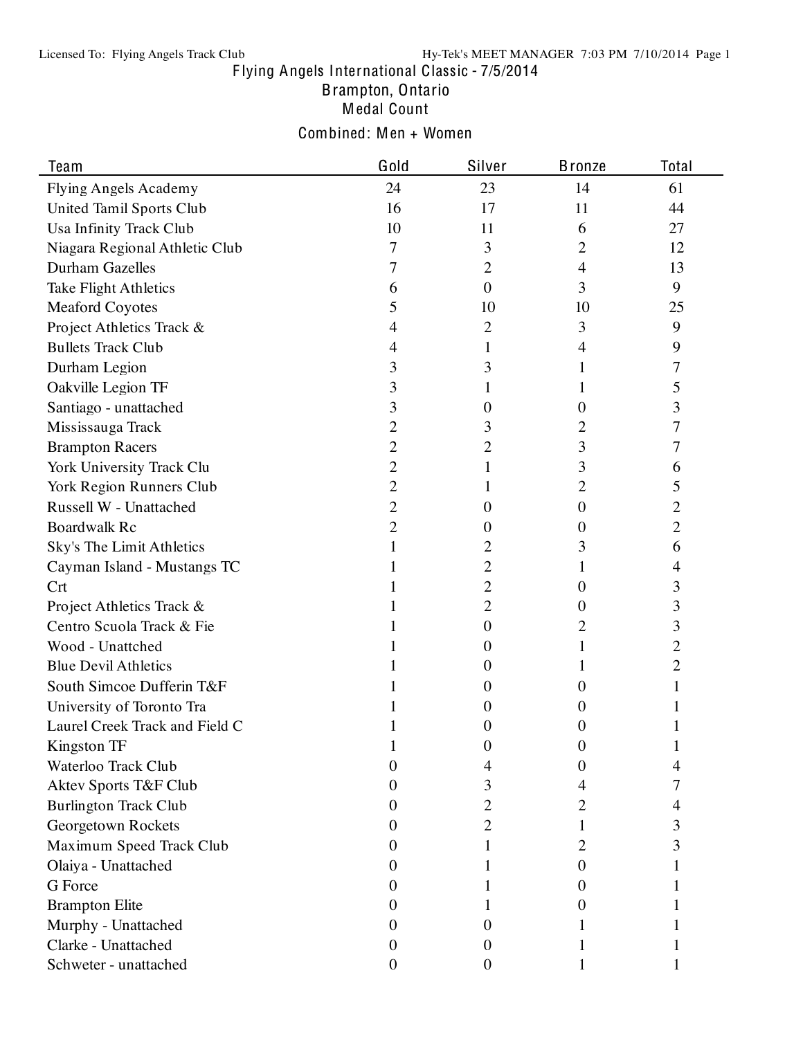Brampton, Ontario

Medal Count

# Combined: Men + Women

| Team                             | Gold             | Silver           | <b>Bronze</b>    | Total |
|----------------------------------|------------------|------------------|------------------|-------|
| Flying Angels Academy            | 24               | 23               | 14               | 61    |
| United Tamil Sports Club         | 16               | 17               | 11               | 44    |
| Usa Infinity Track Club          | 10               | 11               | 6                | 27    |
| Niagara Regional Athletic Club   | 7                | 3                | 2                | 12    |
| <b>Durham Gazelles</b>           | 7                | 2                | 4                | 13    |
| <b>Take Flight Athletics</b>     | 6                | $\overline{0}$   | 3                | 9     |
| <b>Meaford Coyotes</b>           | 5                | 10               | 10               | 25    |
| Project Athletics Track &        | 4                | 2                | 3                | 9     |
| <b>Bullets Track Club</b>        | 4                |                  | 4                | 9     |
| Durham Legion                    | 3                | 3                | L                | 7     |
| Oakville Legion TF               | 3                |                  | 1                | 5     |
| Santiago - unattached            | 3                | 0                | $\theta$         | 3     |
| Mississauga Track                | 2                | 3                | 2                | 7     |
| <b>Brampton Racers</b>           | 2                | 2                | 3                | 7     |
| York University Track Clu        | 2                |                  | 3                | 6     |
| York Region Runners Club         | 2                |                  | 2                | 5     |
| Russell W - Unattached           | 2                | O                | $\boldsymbol{0}$ | 2     |
| <b>Boardwalk Rc</b>              | 2                | $_{0}$           | $\theta$         | 2     |
| Sky's The Limit Athletics        |                  | 2                | 3                | 6     |
| Cayman Island - Mustangs TC      |                  | 2                | 1                | 4     |
| Crt                              |                  | 2                | 0                | 3     |
| Project Athletics Track &        |                  | 2                | 0                | 3     |
| Centro Scuola Track & Fie        |                  | $\boldsymbol{0}$ | 2                | 3     |
| Wood - Unattched                 |                  | 0                |                  | 2     |
| <b>Blue Devil Athletics</b>      |                  | $_{0}$           | L                | 2     |
| South Simcoe Dufferin T&F        |                  | O                | 0                |       |
| University of Toronto Tra        |                  | O                | O                |       |
| Laurel Creek Track and Field C   |                  | 0                | O                |       |
| Kingston TF                      |                  | U                | U                |       |
| Waterloo Track Club              | 0                |                  | O                | 4     |
| <b>Aktev Sports T&amp;F Club</b> | 0                | 3                | 4                | 7     |
| <b>Burlington Track Club</b>     | 0                | 2                | 2                | 4     |
| Georgetown Rockets               | 0                | $\overline{c}$   |                  | 3     |
| Maximum Speed Track Club         | $\theta$         |                  | 2                | 3     |
| Olaiya - Unattached              | 0                |                  | 0                |       |
| G Force                          | 0                |                  | O                |       |
| <b>Brampton Elite</b>            | 0                |                  | 0                |       |
| Murphy - Unattached              | 0                | 0                |                  |       |
| Clarke - Unattached              | $\theta$         | 0                |                  |       |
| Schweter - unattached            | $\boldsymbol{0}$ | $\boldsymbol{0}$ |                  |       |